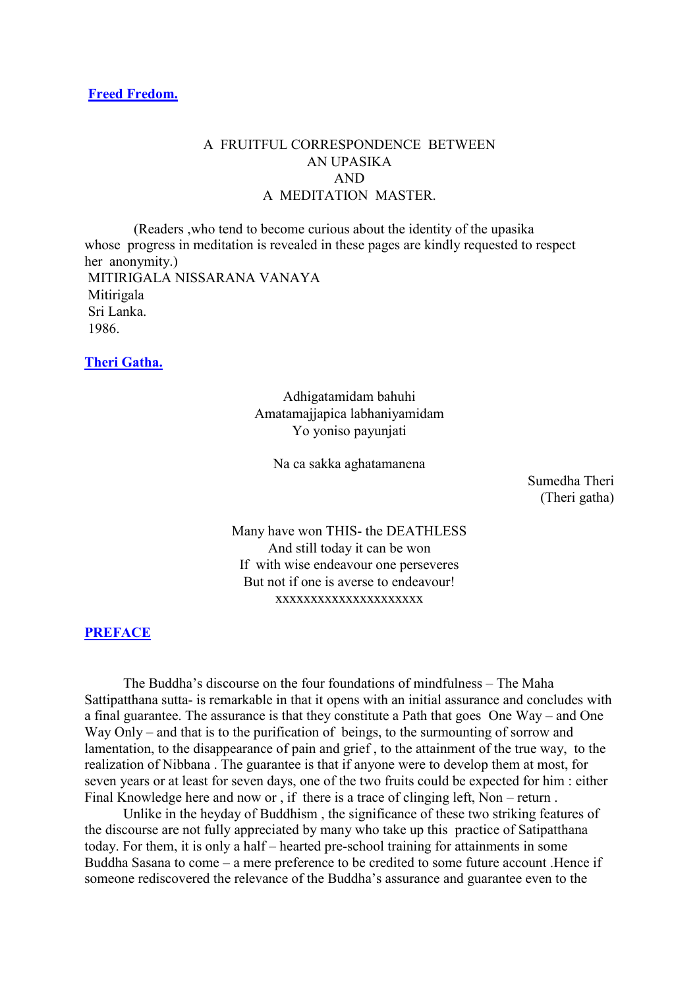# A FRUITFUL CORRESPONDENCE BETWEEN AN UPASIKA AND A MEDITATION MASTER.

(Readers ,who tend to become curious about the identity of the upasika whose progress in meditation is revealed in these pages are kindly requested to respect her anonymity.) MITIRIGALA NISSARANA VANAYA Mitirigala Sri Lanka. 1986.

**[Theri Gatha.](http://comemeditate.webs.com/apps/blog/show/4751348-theri-gatha-)**

Adhigatamidam bahuhi Amatamajjapica labhaniyamidam Yo yoniso payunjati

Na ca sakka aghatamanena

Sumedha Theri (Theri gatha)

Many have won THIS- the DEATHLESS And still today it can be won If with wise endeavour one perseveres But not if one is averse to endeavour! xxxxxxxxxxxxxxxxxxxxx

# **[PREFACE](http://comemeditate.webs.com/apps/blog/show/4751289-preface)**

The Buddha's discourse on the four foundations of mindfulness – The Maha Sattipatthana sutta- is remarkable in that it opens with an initial assurance and concludes with a final guarantee. The assurance is that they constitute a Path that goes One Way – and One Way Only – and that is to the purification of beings, to the surmounting of sorrow and lamentation, to the disappearance of pain and grief , to the attainment of the true way, to the realization of Nibbana . The guarantee is that if anyone were to develop them at most, for seven years or at least for seven days, one of the two fruits could be expected for him : either Final Knowledge here and now or , if there is a trace of clinging left, Non – return .

Unlike in the heyday of Buddhism , the significance of these two striking features of the discourse are not fully appreciated by many who take up this practice of Satipatthana today. For them, it is only a half – hearted pre-school training for attainments in some Buddha Sasana to come – a mere preference to be credited to some future account .Hence if someone rediscovered the relevance of the Buddha's assurance and guarantee even to the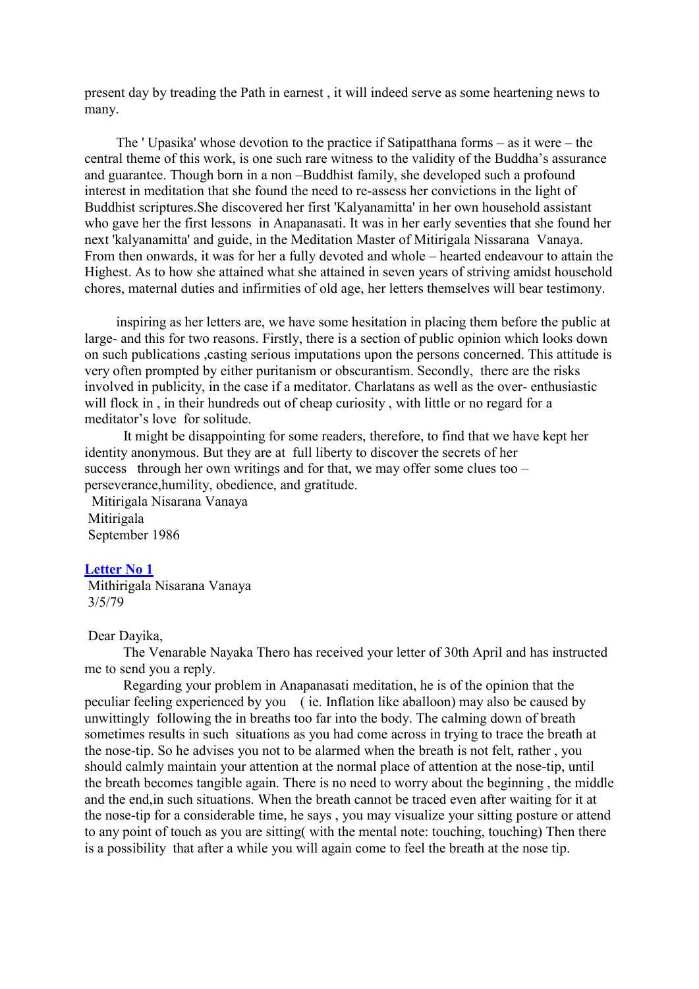present day by treading the Path in earnest , it will indeed serve as some heartening news to many.

The ' Upasika' whose devotion to the practice if Satipatthana forms – as it were – the central theme of this work, is one such rare witness to the validity of the Buddha's assurance and guarantee. Though born in a non –Buddhist family, she developed such a profound interest in meditation that she found the need to re-assess her convictions in the light of Buddhist scriptures.She discovered her first 'Kalyanamitta' in her own household assistant who gave her the first lessons in Anapanasati. It was in her early seventies that she found her next 'kalyanamitta' and guide, in the Meditation Master of Mitirigala Nissarana Vanaya. From then onwards, it was for her a fully devoted and whole – hearted endeavour to attain the Highest. As to how she attained what she attained in seven years of striving amidst household chores, maternal duties and infirmities of old age, her letters themselves will bear testimony.

inspiring as her letters are, we have some hesitation in placing them before the public at large- and this for two reasons. Firstly, there is a section of public opinion which looks down on such publications ,casting serious imputations upon the persons concerned. This attitude is very often prompted by either puritanism or obscurantism. Secondly, there are the risks involved in publicity, in the case if a meditator. Charlatans as well as the over- enthusiastic will flock in, in their hundreds out of cheap curiosity, with little or no regard for a meditator's love for solitude.

It might be disappointing for some readers, therefore, to find that we have kept her identity anonymous. But they are at full liberty to discover the secrets of her success through her own writings and for that, we may offer some clues too – perseverance,humility, obedience, and gratitude.

Mitirigala Nisarana Vanaya Mitirigala September 1986

#### **[Letter No 1](http://comemeditate.webs.com/apps/blog/show/4751259-letter-no-1)**

Mithirigala Nisarana Vanaya 3/5/79

### Dear Dayika,

The Venarable Nayaka Thero has received your letter of 30th April and has instructed me to send you a reply.

Regarding your problem in Anapanasati meditation, he is of the opinion that the peculiar feeling experienced by you ( ie. Inflation like aballoon) may also be caused by unwittingly following the in breaths too far into the body. The calming down of breath sometimes results in such situations as you had come across in trying to trace the breath at the nose-tip. So he advises you not to be alarmed when the breath is not felt, rather , you should calmly maintain your attention at the normal place of attention at the nose-tip, until the breath becomes tangible again. There is no need to worry about the beginning , the middle and the end,in such situations. When the breath cannot be traced even after waiting for it at the nose-tip for a considerable time, he says , you may visualize your sitting posture or attend to any point of touch as you are sitting( with the mental note: touching, touching) Then there is a possibility that after a while you will again come to feel the breath at the nose tip.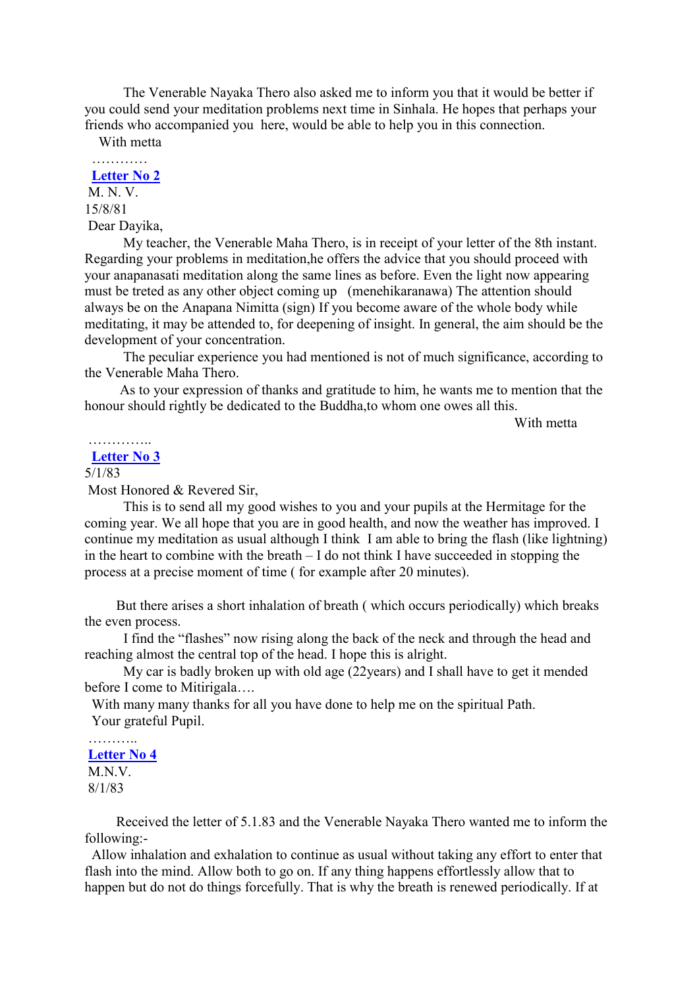The Venerable Nayaka Thero also asked me to inform you that it would be better if you could send your meditation problems next time in Sinhala. He hopes that perhaps your friends who accompanied you here, would be able to help you in this connection.

With metta

#### …………… **[Letter No 2](http://comemeditate.webs.com/apps/blog/show/4751231-letter-no-2)**

M. N. V. 15/8/81 Dear Dayika,

My teacher, the Venerable Maha Thero, is in receipt of your letter of the 8th instant. Regarding your problems in meditation,he offers the advice that you should proceed with your anapanasati meditation along the same lines as before. Even the light now appearing must be treted as any other object coming up (menehikaranawa) The attention should always be on the Anapana Nimitta (sign) If you become aware of the whole body while meditating, it may be attended to, for deepening of insight. In general, the aim should be the development of your concentration.

The peculiar experience you had mentioned is not of much significance, according to the Venerable Maha Thero.

As to your expression of thanks and gratitude to him, he wants me to mention that the honour should rightly be dedicated to the Buddha,to whom one owes all this.

With metta

## ………….. **[Letter No 3](http://comemeditate.webs.com/apps/blog/show/4751216-letter-no-3)**

# 5/1/83

Most Honored & Revered Sir,

This is to send all my good wishes to you and your pupils at the Hermitage for the coming year. We all hope that you are in good health, and now the weather has improved. I continue my meditation as usual although I think I am able to bring the flash (like lightning) in the heart to combine with the breath – I do not think I have succeeded in stopping the process at a precise moment of time ( for example after 20 minutes).

But there arises a short inhalation of breath ( which occurs periodically) which breaks the even process.

I find the "flashes" now rising along the back of the neck and through the head and reaching almost the central top of the head. I hope this is alright.

My car is badly broken up with old age (22years) and I shall have to get it mended before I come to Mitirigala….

With many many thanks for all you have done to help me on the spiritual Path. Your grateful Pupil.

#### **[Letter No 4](http://comemeditate.webs.com/apps/blog/show/4745964-letter-no-4)**

M<sub>N</sub>V 8/1/83

………

Received the letter of 5.1.83 and the Venerable Nayaka Thero wanted me to inform the following:-

Allow inhalation and exhalation to continue as usual without taking any effort to enter that flash into the mind. Allow both to go on. If any thing happens effortlessly allow that to happen but do not do things forcefully. That is why the breath is renewed periodically. If at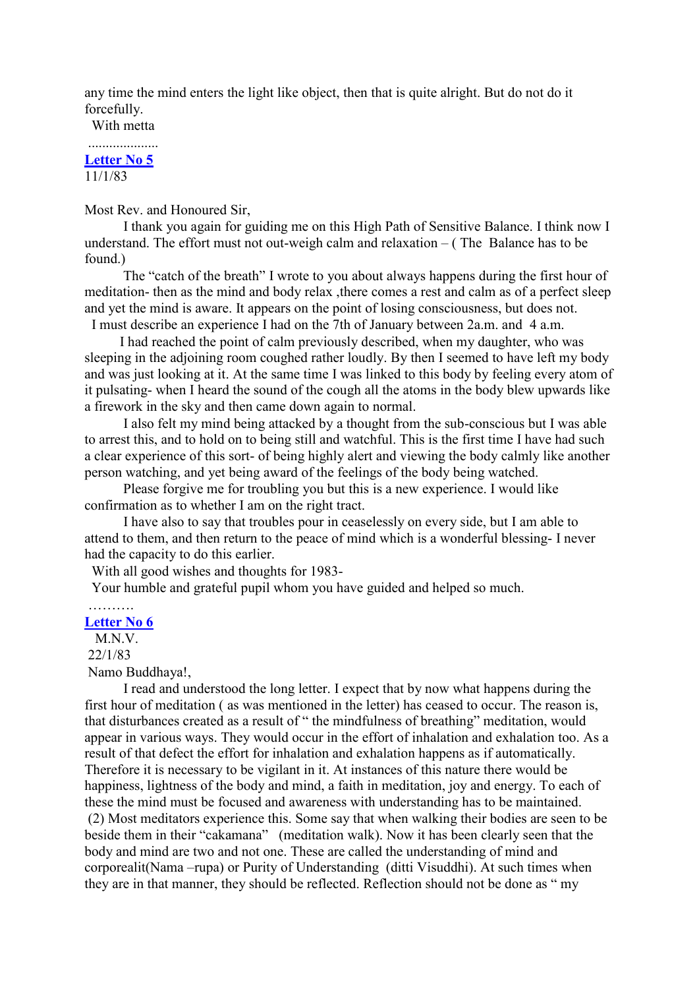any time the mind enters the light like object, then that is quite alright. But do not do it forcefully.

With metta ....................

# **[Letter No 5](http://comemeditate.webs.com/apps/blog/show/4745923-letter-no-5)** 11/1/83

Most Rev. and Honoured Sir,

I thank you again for guiding me on this High Path of Sensitive Balance. I think now I understand. The effort must not out-weigh calm and relaxation  $-$  (The Balance has to be found.)

The "catch of the breath" I wrote to you about always happens during the first hour of meditation- then as the mind and body relax ,there comes a rest and calm as of a perfect sleep and yet the mind is aware. It appears on the point of losing consciousness, but does not.

I must describe an experience I had on the 7th of January between 2a.m. and 4 a.m.

I had reached the point of calm previously described, when my daughter, who was sleeping in the adjoining room coughed rather loudly. By then I seemed to have left my body and was just looking at it. At the same time I was linked to this body by feeling every atom of it pulsating- when I heard the sound of the cough all the atoms in the body blew upwards like a firework in the sky and then came down again to normal.

I also felt my mind being attacked by a thought from the sub-conscious but I was able to arrest this, and to hold on to being still and watchful. This is the first time I have had such a clear experience of this sort- of being highly alert and viewing the body calmly like another person watching, and yet being award of the feelings of the body being watched.

Please forgive me for troubling you but this is a new experience. I would like confirmation as to whether I am on the right tract.

I have also to say that troubles pour in ceaselessly on every side, but I am able to attend to them, and then return to the peace of mind which is a wonderful blessing- I never had the capacity to do this earlier.

With all good wishes and thoughts for 1983-

Your humble and grateful pupil whom you have guided and helped so much.

# ………

**[Letter No 6](http://comemeditate.webs.com/apps/blog/show/4745894-letter-no-6)** M.N.V.

22/1/83

Namo Buddhaya!,

I read and understood the long letter. I expect that by now what happens during the first hour of meditation ( as was mentioned in the letter) has ceased to occur. The reason is, that disturbances created as a result of " the mindfulness of breathing" meditation, would appear in various ways. They would occur in the effort of inhalation and exhalation too. As a result of that defect the effort for inhalation and exhalation happens as if automatically. Therefore it is necessary to be vigilant in it. At instances of this nature there would be happiness, lightness of the body and mind, a faith in meditation, joy and energy. To each of these the mind must be focused and awareness with understanding has to be maintained. (2) Most meditators experience this. Some say that when walking their bodies are seen to be beside them in their "cakamana" (meditation walk). Now it has been clearly seen that the body and mind are two and not one. These are called the understanding of mind and corporealit(Nama –rupa) or Purity of Understanding (ditti Visuddhi). At such times when they are in that manner, they should be reflected. Reflection should not be done as " my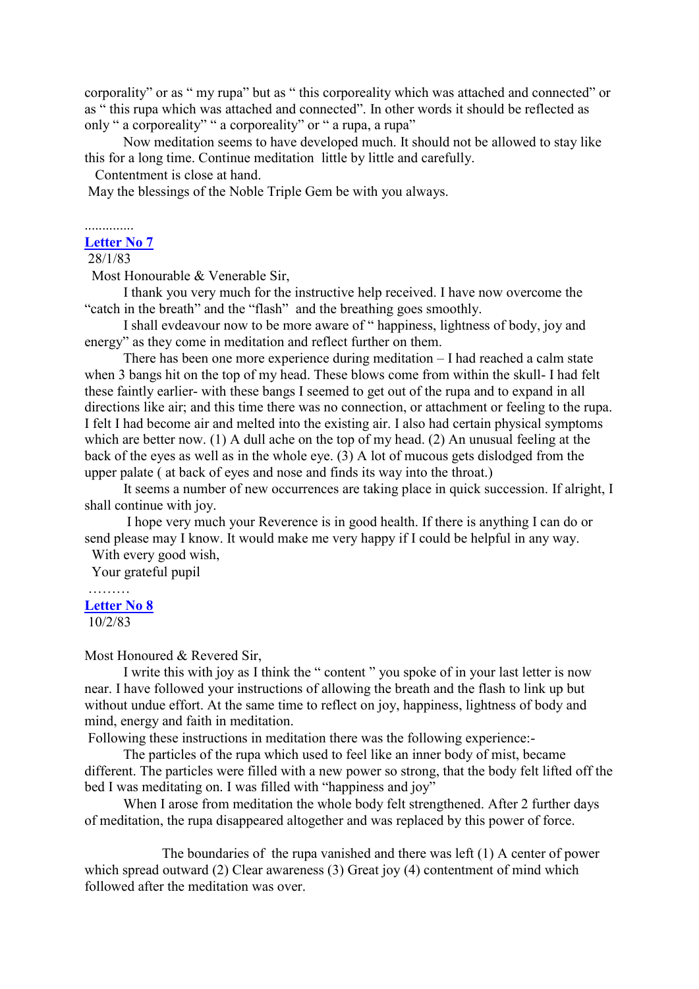corporality" or as " my rupa" but as " this corporeality which was attached and connected" or as " this rupa which was attached and connected". In other words it should be reflected as only " a corporeality" " a corporeality" or " a rupa, a rupa"

Now meditation seems to have developed much. It should not be allowed to stay like this for a long time. Continue meditation little by little and carefully.

Contentment is close at hand.

May the blessings of the Noble Triple Gem be with you always.

#### .............. **[Letter No 7](http://comemeditate.webs.com/apps/blog/show/4745864-letter-no-7)**

28/1/83

Most Honourable & Venerable Sir,

I thank you very much for the instructive help received. I have now overcome the "catch in the breath" and the "flash" and the breathing goes smoothly.

I shall evdeavour now to be more aware of " happiness, lightness of body, joy and energy" as they come in meditation and reflect further on them.

There has been one more experience during meditation – I had reached a calm state when 3 bangs hit on the top of my head. These blows come from within the skull- I had felt these faintly earlier- with these bangs I seemed to get out of the rupa and to expand in all directions like air; and this time there was no connection, or attachment or feeling to the rupa. I felt I had become air and melted into the existing air. I also had certain physical symptoms which are better now. (1) A dull ache on the top of my head. (2) An unusual feeling at the back of the eyes as well as in the whole eye. (3) A lot of mucous gets dislodged from the upper palate ( at back of eyes and nose and finds its way into the throat.)

It seems a number of new occurrences are taking place in quick succession. If alright, I shall continue with joy.

I hope very much your Reverence is in good health. If there is anything I can do or send please may I know. It would make me very happy if I could be helpful in any way.

With every good wish,

Your grateful pupil

## ……… **[Letter No 8](http://comemeditate.webs.com/apps/blog/show/4745826-letter-no-8)**

10/2/83

#### Most Honoured & Revered Sir,

I write this with joy as I think the " content " you spoke of in your last letter is now near. I have followed your instructions of allowing the breath and the flash to link up but without undue effort. At the same time to reflect on joy, happiness, lightness of body and mind, energy and faith in meditation.

Following these instructions in meditation there was the following experience:-

The particles of the rupa which used to feel like an inner body of mist, became different. The particles were filled with a new power so strong, that the body felt lifted off the bed I was meditating on. I was filled with "happiness and joy"

When I arose from meditation the whole body felt strengthened. After 2 further days of meditation, the rupa disappeared altogether and was replaced by this power of force.

The boundaries of the rupa vanished and there was left (1) A center of power which spread outward (2) Clear awareness (3) Great joy (4) contentment of mind which followed after the meditation was over.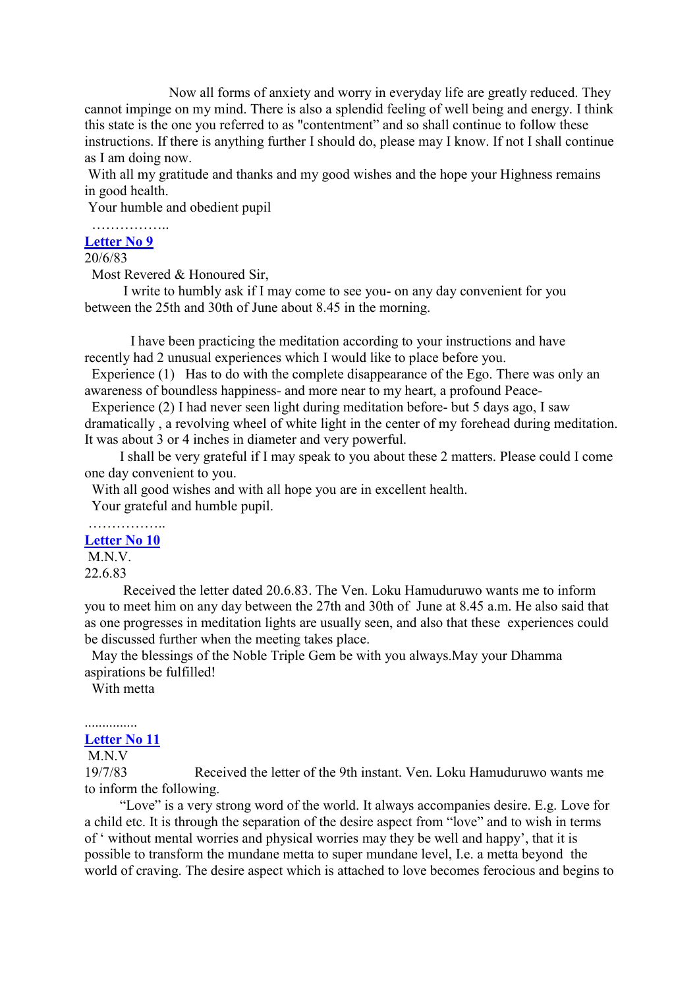Now all forms of anxiety and worry in everyday life are greatly reduced. They cannot impinge on my mind. There is also a splendid feeling of well being and energy. I think this state is the one you referred to as "contentment" and so shall continue to follow these instructions. If there is anything further I should do, please may I know. If not I shall continue as I am doing now.

With all my gratitude and thanks and my good wishes and the hope your Highness remains in good health.

Your humble and obedient pupil

#### …………….. **[Letter No 9](http://comemeditate.webs.com/apps/blog/show/4745602-letter-no-9)**

#### 20/6/83

Most Revered & Honoured Sir,

I write to humbly ask if I may come to see you- on any day convenient for you between the 25th and 30th of June about 8.45 in the morning.

I have been practicing the meditation according to your instructions and have recently had 2 unusual experiences which I would like to place before you.

Experience (1) Has to do with the complete disappearance of the Ego. There was only an awareness of boundless happiness- and more near to my heart, a profound Peace-

Experience (2) I had never seen light during meditation before- but 5 days ago, I saw dramatically , a revolving wheel of white light in the center of my forehead during meditation. It was about 3 or 4 inches in diameter and very powerful.

I shall be very grateful if I may speak to you about these 2 matters. Please could I come one day convenient to you.

With all good wishes and with all hope you are in excellent health. Your grateful and humble pupil.

# **[Letter No 10](http://comemeditate.webs.com/apps/blog/show/4745580-letter-no-10)**

M<sub>N</sub>V

```
22.6.83
```
Received the letter dated 20.6.83. The Ven. Loku Hamuduruwo wants me to inform you to meet him on any day between the 27th and 30th of June at 8.45 a.m. He also said that as one progresses in meditation lights are usually seen, and also that these experiences could be discussed further when the meeting takes place.

May the blessings of the Noble Triple Gem be with you always.May your Dhamma aspirations be fulfilled!

With metta

#### ............... **[Letter No 11](http://comemeditate.webs.com/apps/blog/show/4745547-letter-no-11)**

# M<sub>N</sub>V

19/7/83 Received the letter of the 9th instant. Ven. Loku Hamuduruwo wants me to inform the following.

"Love" is a very strong word of the world. It always accompanies desire. E.g. Love for a child etc. It is through the separation of the desire aspect from "love" and to wish in terms of ' without mental worries and physical worries may they be well and happy', that it is possible to transform the mundane metta to super mundane level, I.e. a metta beyond the world of craving. The desire aspect which is attached to love becomes ferocious and begins to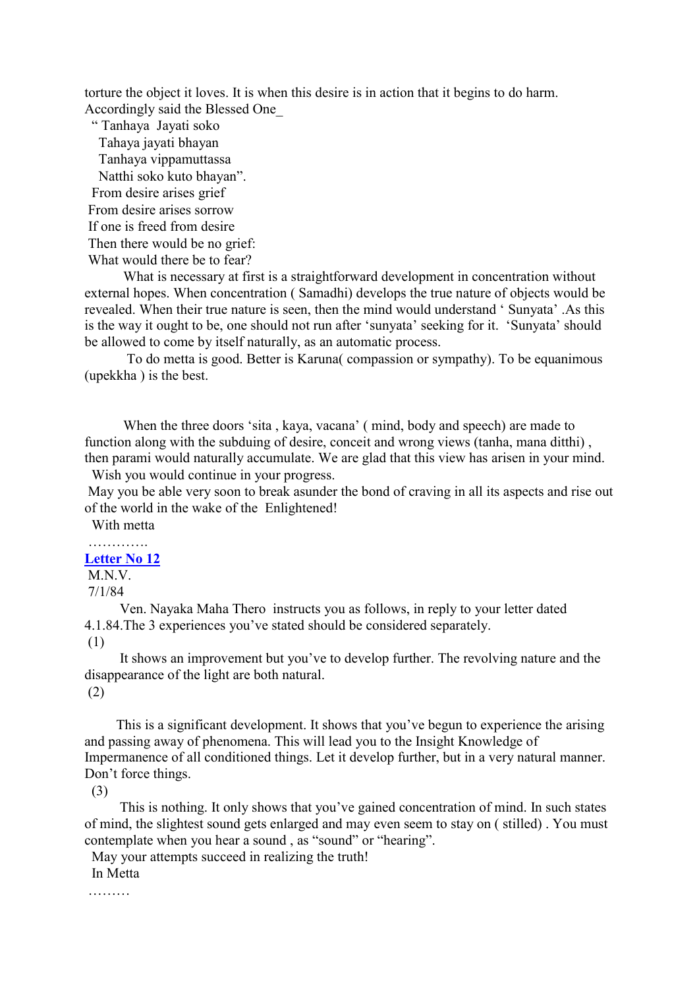torture the object it loves. It is when this desire is in action that it begins to do harm. Accordingly said the Blessed One\_

" Tanhaya Jayati soko Tahaya jayati bhayan Tanhaya vippamuttassa Natthi soko kuto bhayan". From desire arises grief From desire arises sorrow If one is freed from desire Then there would be no grief: What would there be to fear?

What is necessary at first is a straightforward development in concentration without external hopes. When concentration ( Samadhi) develops the true nature of objects would be revealed. When their true nature is seen, then the mind would understand ' Sunyata' .As this is the way it ought to be, one should not run after 'sunyata' seeking for it. 'Sunyata' should be allowed to come by itself naturally, as an automatic process.

To do metta is good. Better is Karuna( compassion or sympathy). To be equanimous (upekkha ) is the best.

When the three doors 'sita , kaya, vacana' ( mind, body and speech) are made to function along with the subduing of desire, conceit and wrong views (tanha, mana ditthi) , then parami would naturally accumulate. We are glad that this view has arisen in your mind. Wish you would continue in your progress.

May you be able very soon to break asunder the bond of craving in all its aspects and rise out of the world in the wake of the Enlightened!

With metta

### …………. **[Letter No 12](http://comemeditate.webs.com/apps/blog/show/4745507-letter-no-12)**

M<sub>N</sub>V

7/1/84

Ven. Nayaka Maha Thero instructs you as follows, in reply to your letter dated 4.1.84.The 3 experiences you've stated should be considered separately.

(1)

It shows an improvement but you've to develop further. The revolving nature and the disappearance of the light are both natural.

(2)

This is a significant development. It shows that you've begun to experience the arising and passing away of phenomena. This will lead you to the Insight Knowledge of Impermanence of all conditioned things. Let it develop further, but in a very natural manner. Don't force things.

(3)

This is nothing. It only shows that you've gained concentration of mind. In such states of mind, the slightest sound gets enlarged and may even seem to stay on ( stilled) . You must contemplate when you hear a sound , as "sound" or "hearing".

May your attempts succeed in realizing the truth!

In Metta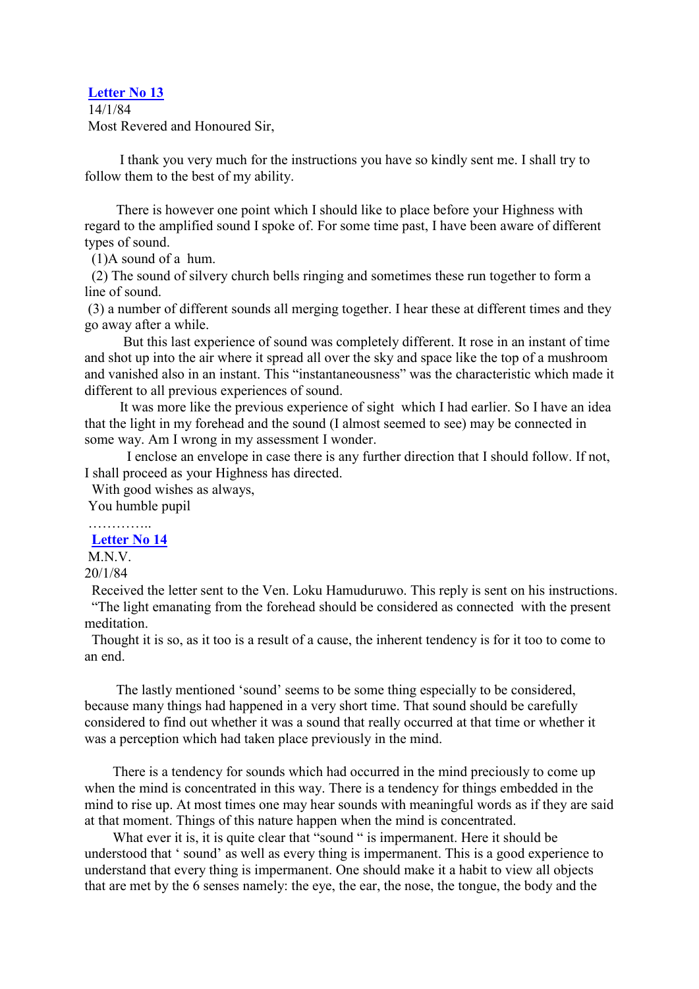#### **[Letter No 13](http://comemeditate.webs.com/apps/blog/show/4743461-letter-no-13)**

14/1/84 Most Revered and Honoured Sir,

I thank you very much for the instructions you have so kindly sent me. I shall try to follow them to the best of my ability.

There is however one point which I should like to place before your Highness with regard to the amplified sound I spoke of. For some time past, I have been aware of different types of sound.

(1)A sound of a hum.

(2) The sound of silvery church bells ringing and sometimes these run together to form a line of sound.

(3) a number of different sounds all merging together. I hear these at different times and they go away after a while.

But this last experience of sound was completely different. It rose in an instant of time and shot up into the air where it spread all over the sky and space like the top of a mushroom and vanished also in an instant. This "instantaneousness" was the characteristic which made it different to all previous experiences of sound.

It was more like the previous experience of sight which I had earlier. So I have an idea that the light in my forehead and the sound (I almost seemed to see) may be connected in some way. Am I wrong in my assessment I wonder.

I enclose an envelope in case there is any further direction that I should follow. If not, I shall proceed as your Highness has directed.

With good wishes as always,

You humble pupil

…………..

**[Letter No 14](http://comemeditate.webs.com/apps/blog/show/4743444-letter-no-14)**

M<sub>N</sub>V

20/1/84

Received the letter sent to the Ven. Loku Hamuduruwo. This reply is sent on his instructions. "The light emanating from the forehead should be considered as connected with the present meditation.

Thought it is so, as it too is a result of a cause, the inherent tendency is for it too to come to an end.

The lastly mentioned 'sound' seems to be some thing especially to be considered, because many things had happened in a very short time. That sound should be carefully considered to find out whether it was a sound that really occurred at that time or whether it was a perception which had taken place previously in the mind.

There is a tendency for sounds which had occurred in the mind preciously to come up when the mind is concentrated in this way. There is a tendency for things embedded in the mind to rise up. At most times one may hear sounds with meaningful words as if they are said at that moment. Things of this nature happen when the mind is concentrated.

What ever it is, it is quite clear that "sound " is impermanent. Here it should be understood that ' sound' as well as every thing is impermanent. This is a good experience to understand that every thing is impermanent. One should make it a habit to view all objects that are met by the 6 senses namely: the eye, the ear, the nose, the tongue, the body and the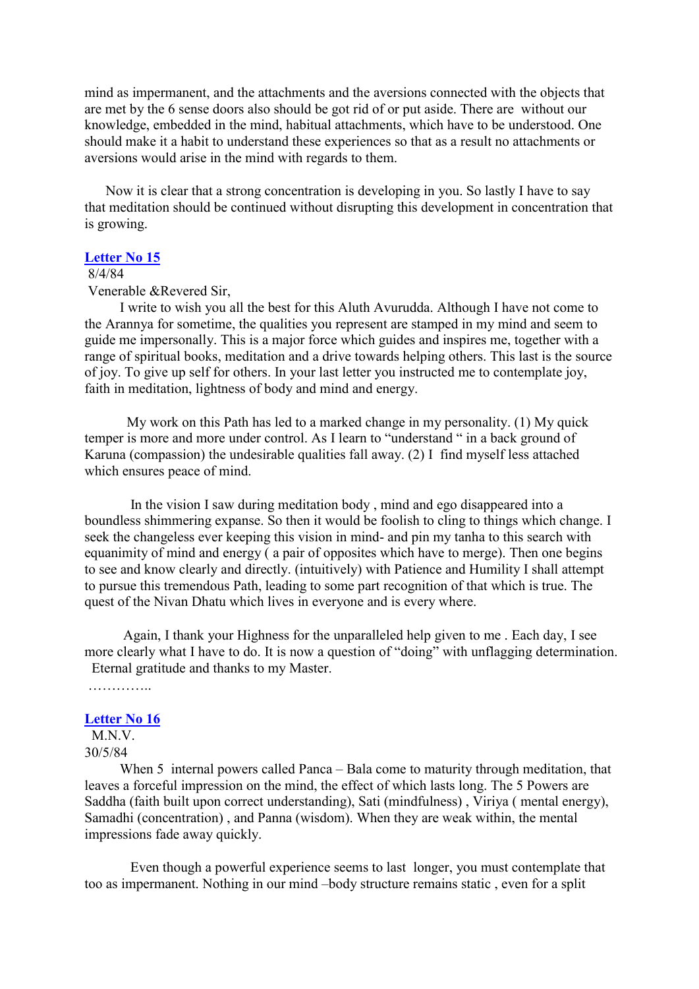mind as impermanent, and the attachments and the aversions connected with the objects that are met by the 6 sense doors also should be got rid of or put aside. There are without our knowledge, embedded in the mind, habitual attachments, which have to be understood. One should make it a habit to understand these experiences so that as a result no attachments or aversions would arise in the mind with regards to them.

Now it is clear that a strong concentration is developing in you. So lastly I have to say that meditation should be continued without disrupting this development in concentration that is growing.

#### **[Letter No 15](http://comemeditate.webs.com/apps/blog/show/4743430-letter-no-15)**

## 8/4/84

Venerable &Revered Sir,

I write to wish you all the best for this Aluth Avurudda. Although I have not come to the Arannya for sometime, the qualities you represent are stamped in my mind and seem to guide me impersonally. This is a major force which guides and inspires me, together with a range of spiritual books, meditation and a drive towards helping others. This last is the source of joy. To give up self for others. In your last letter you instructed me to contemplate joy, faith in meditation, lightness of body and mind and energy.

My work on this Path has led to a marked change in my personality. (1) My quick temper is more and more under control. As I learn to "understand " in a back ground of Karuna (compassion) the undesirable qualities fall away. (2) I find myself less attached which ensures peace of mind.

In the vision I saw during meditation body , mind and ego disappeared into a boundless shimmering expanse. So then it would be foolish to cling to things which change. I seek the changeless ever keeping this vision in mind- and pin my tanha to this search with equanimity of mind and energy ( a pair of opposites which have to merge). Then one begins to see and know clearly and directly. (intuitively) with Patience and Humility I shall attempt to pursue this tremendous Path, leading to some part recognition of that which is true. The quest of the Nivan Dhatu which lives in everyone and is every where.

Again, I thank your Highness for the unparalleled help given to me . Each day, I see more clearly what I have to do. It is now a question of "doing" with unflagging determination. Eternal gratitude and thanks to my Master.

……………

# **[Letter No 16](http://comemeditate.webs.com/apps/blog/show/4743416-letter-no-16)**

M.N.V. 30/5/84

When 5 internal powers called Panca – Bala come to maturity through meditation, that leaves a forceful impression on the mind, the effect of which lasts long. The 5 Powers are Saddha (faith built upon correct understanding), Sati (mindfulness) , Viriya ( mental energy), Samadhi (concentration) , and Panna (wisdom). When they are weak within, the mental impressions fade away quickly.

Even though a powerful experience seems to last longer, you must contemplate that too as impermanent. Nothing in our mind –body structure remains static , even for a split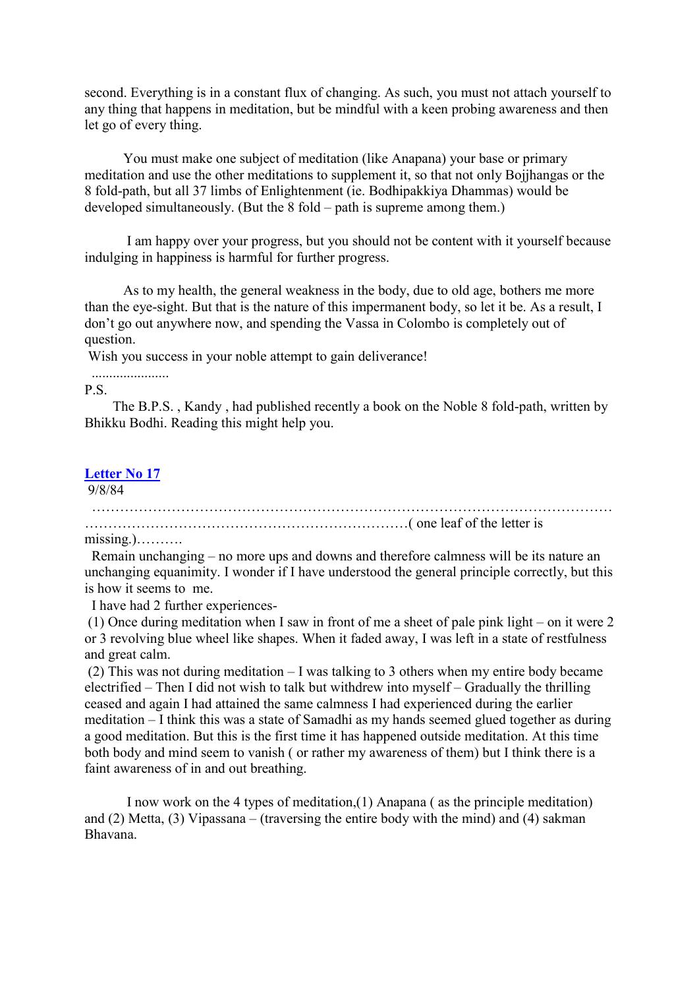second. Everything is in a constant flux of changing. As such, you must not attach yourself to any thing that happens in meditation, but be mindful with a keen probing awareness and then let go of every thing.

You must make one subject of meditation (like Anapana) your base or primary meditation and use the other meditations to supplement it, so that not only Bojjhangas or the 8 fold-path, but all 37 limbs of Enlightenment (ie. Bodhipakkiya Dhammas) would be developed simultaneously. (But the 8 fold – path is supreme among them.)

I am happy over your progress, but you should not be content with it yourself because indulging in happiness is harmful for further progress.

As to my health, the general weakness in the body, due to old age, bothers me more than the eye-sight. But that is the nature of this impermanent body, so let it be. As a result, I don't go out anywhere now, and spending the Vassa in Colombo is completely out of question.

Wish you success in your noble attempt to gain deliverance!

P.S.

The B.P.S. , Kandy , had published recently a book on the Noble 8 fold-path, written by Bhikku Bodhi. Reading this might help you.

# **[Letter No 17](http://comemeditate.webs.com/apps/blog/show/4743388-letter-no-17)**

......................

9/8/84

………………………………………………………………………………………………… ……………………………………………………………( one leaf of the letter is

missing.)……….

Remain unchanging – no more ups and downs and therefore calmness will be its nature an unchanging equanimity. I wonder if I have understood the general principle correctly, but this is how it seems to me.

I have had 2 further experiences-

(1) Once during meditation when I saw in front of me a sheet of pale pink light – on it were 2 or 3 revolving blue wheel like shapes. When it faded away, I was left in a state of restfulness and great calm.

(2) This was not during meditation – I was talking to 3 others when my entire body became electrified – Then I did not wish to talk but withdrew into myself – Gradually the thrilling ceased and again I had attained the same calmness I had experienced during the earlier meditation – I think this was a state of Samadhi as my hands seemed glued together as during a good meditation. But this is the first time it has happened outside meditation. At this time both body and mind seem to vanish ( or rather my awareness of them) but I think there is a faint awareness of in and out breathing.

I now work on the 4 types of meditation,(1) Anapana ( as the principle meditation) and (2) Metta, (3) Vipassana – (traversing the entire body with the mind) and (4) sakman Bhavana.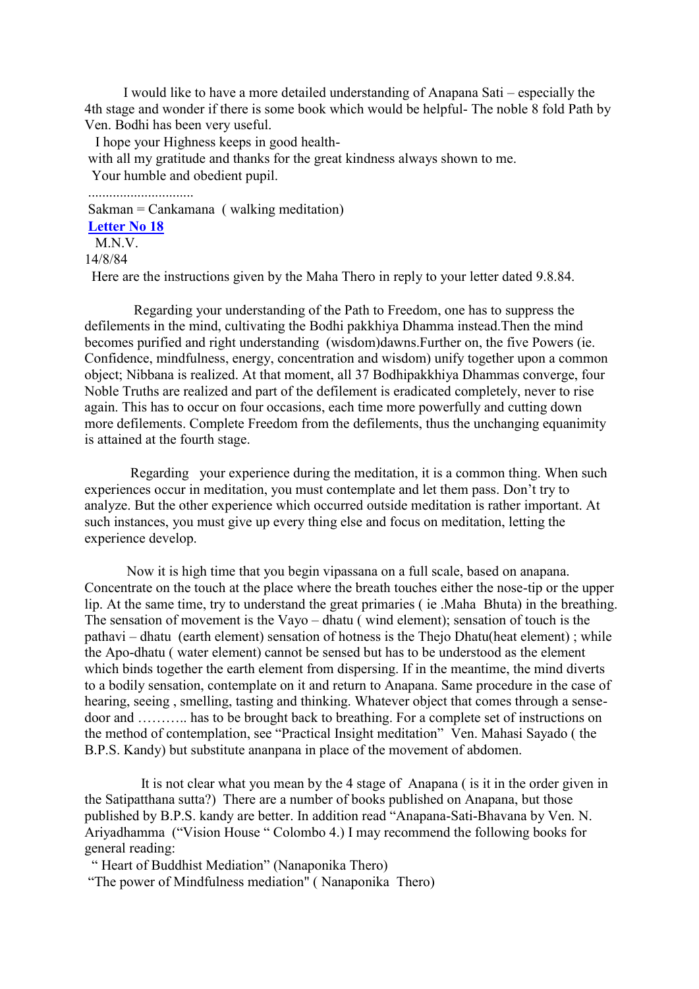I would like to have a more detailed understanding of Anapana Sati – especially the 4th stage and wonder if there is some book which would be helpful- The noble 8 fold Path by Ven. Bodhi has been very useful.

I hope your Highness keeps in good health-

with all my gratitude and thanks for the great kindness always shown to me.

Your humble and obedient pupil.

..............................

Sakman = Cankamana ( walking meditation) **[Letter No 18](http://comemeditate.webs.com/apps/blog/show/4743353-letter-no-18)** M.N.V.

## 14/8/84

Here are the instructions given by the Maha Thero in reply to your letter dated 9.8.84.

Regarding your understanding of the Path to Freedom, one has to suppress the defilements in the mind, cultivating the Bodhi pakkhiya Dhamma instead.Then the mind becomes purified and right understanding (wisdom)dawns.Further on, the five Powers (ie. Confidence, mindfulness, energy, concentration and wisdom) unify together upon a common object; Nibbana is realized. At that moment, all 37 Bodhipakkhiya Dhammas converge, four Noble Truths are realized and part of the defilement is eradicated completely, never to rise again. This has to occur on four occasions, each time more powerfully and cutting down more defilements. Complete Freedom from the defilements, thus the unchanging equanimity is attained at the fourth stage.

Regarding your experience during the meditation, it is a common thing. When such experiences occur in meditation, you must contemplate and let them pass. Don't try to analyze. But the other experience which occurred outside meditation is rather important. At such instances, you must give up every thing else and focus on meditation, letting the experience develop.

Now it is high time that you begin vipassana on a full scale, based on anapana. Concentrate on the touch at the place where the breath touches either the nose-tip or the upper lip. At the same time, try to understand the great primaries ( ie .Maha Bhuta) in the breathing. The sensation of movement is the Vayo – dhatu ( wind element); sensation of touch is the pathavi – dhatu (earth element) sensation of hotness is the Thejo Dhatu(heat element) ; while the Apo-dhatu ( water element) cannot be sensed but has to be understood as the element which binds together the earth element from dispersing. If in the meantime, the mind diverts to a bodily sensation, contemplate on it and return to Anapana. Same procedure in the case of hearing, seeing, smelling, tasting and thinking. Whatever object that comes through a sensedoor and ……….. has to be brought back to breathing. For a complete set of instructions on the method of contemplation, see "Practical Insight meditation" Ven. Mahasi Sayado ( the B.P.S. Kandy) but substitute ananpana in place of the movement of abdomen.

It is not clear what you mean by the 4 stage of Anapana ( is it in the order given in the Satipatthana sutta?) There are a number of books published on Anapana, but those published by B.P.S. kandy are better. In addition read "Anapana-Sati-Bhavana by Ven. N. Ariyadhamma ("Vision House " Colombo 4.) I may recommend the following books for general reading:

" Heart of Buddhist Mediation" (Nanaponika Thero) "The power of Mindfulness mediation" ( Nanaponika Thero)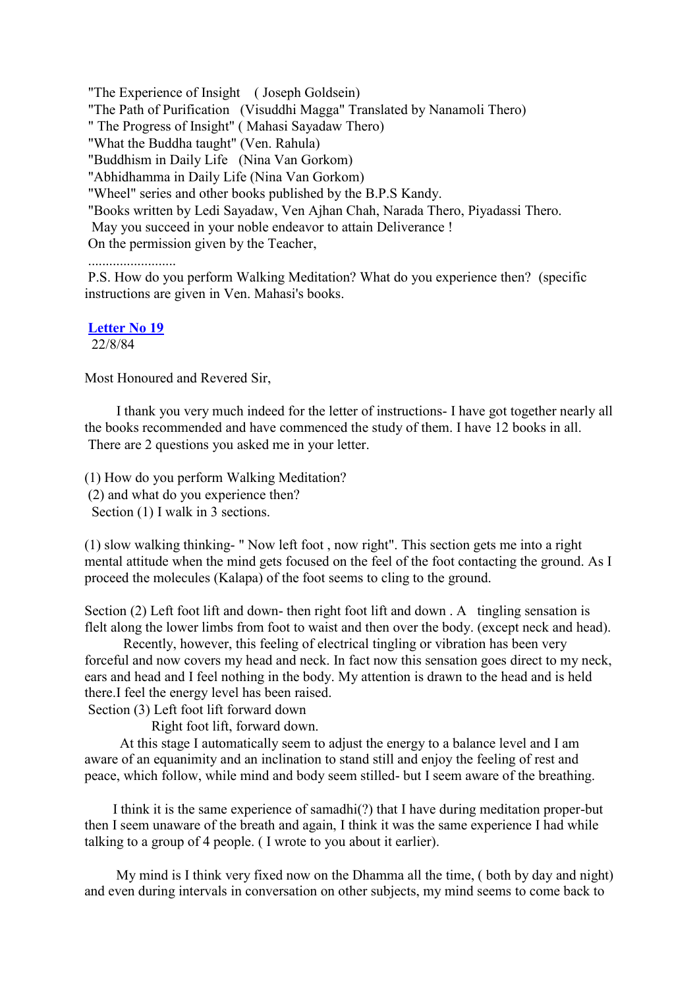"The Experience of Insight ( Joseph Goldsein)

"The Path of Purification (Visuddhi Magga" Translated by Nanamoli Thero)

" The Progress of Insight" ( Mahasi Sayadaw Thero)

"What the Buddha taught" (Ven. Rahula)

"Buddhism in Daily Life (Nina Van Gorkom)

"Abhidhamma in Daily Life (Nina Van Gorkom)

"Wheel" series and other books published by the B.P.S Kandy.

"Books written by Ledi Sayadaw, Ven Ajhan Chah, Narada Thero, Piyadassi Thero.

May you succeed in your noble endeavor to attain Deliverance !

On the permission given by the Teacher,

.........................

P.S. How do you perform Walking Meditation? What do you experience then? (specific instructions are given in Ven. Mahasi's books.

**[Letter No 19](http://comemeditate.webs.com/apps/blog/show/4743288-letter-no-19)**

22/8/84

Most Honoured and Revered Sir,

I thank you very much indeed for the letter of instructions- I have got together nearly all the books recommended and have commenced the study of them. I have 12 books in all. There are 2 questions you asked me in your letter.

(1) How do you perform Walking Meditation? (2) and what do you experience then? Section (1) I walk in 3 sections.

(1) slow walking thinking- " Now left foot , now right". This section gets me into a right mental attitude when the mind gets focused on the feel of the foot contacting the ground. As I proceed the molecules (Kalapa) of the foot seems to cling to the ground.

Section (2) Left foot lift and down- then right foot lift and down . A tingling sensation is flelt along the lower limbs from foot to waist and then over the body. (except neck and head).

Recently, however, this feeling of electrical tingling or vibration has been very forceful and now covers my head and neck. In fact now this sensation goes direct to my neck, ears and head and I feel nothing in the body. My attention is drawn to the head and is held there.I feel the energy level has been raised.

Section (3) Left foot lift forward down

Right foot lift, forward down.

At this stage I automatically seem to adjust the energy to a balance level and I am aware of an equanimity and an inclination to stand still and enjoy the feeling of rest and peace, which follow, while mind and body seem stilled- but I seem aware of the breathing.

I think it is the same experience of samadhi(?) that I have during meditation proper-but then I seem unaware of the breath and again, I think it was the same experience I had while talking to a group of 4 people. ( I wrote to you about it earlier).

My mind is I think very fixed now on the Dhamma all the time, ( both by day and night) and even during intervals in conversation on other subjects, my mind seems to come back to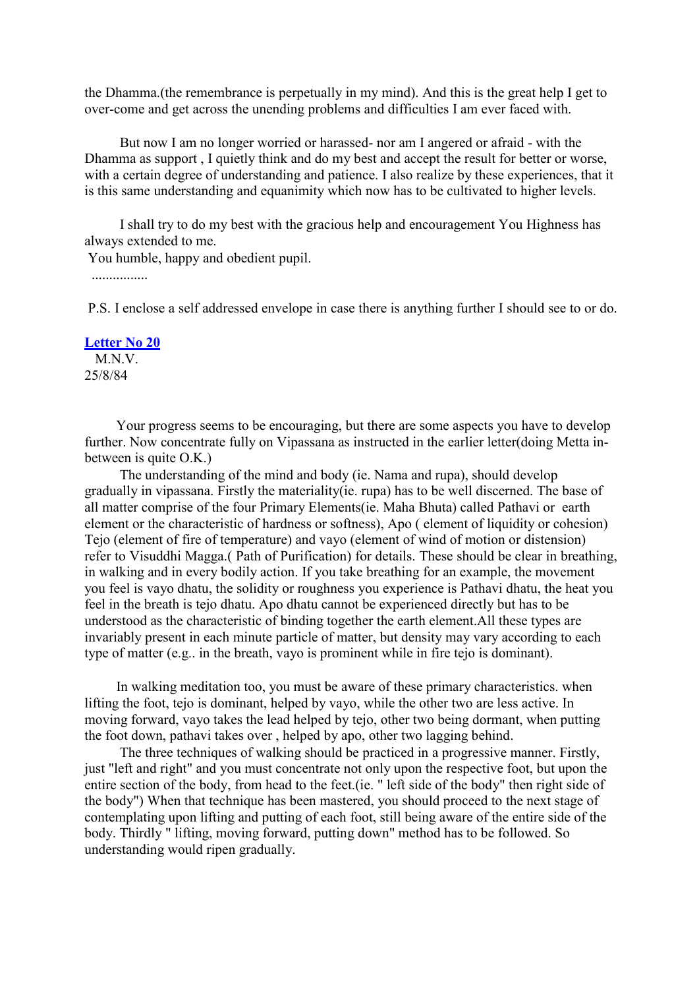the Dhamma.(the remembrance is perpetually in my mind). And this is the great help I get to over-come and get across the unending problems and difficulties I am ever faced with.

But now I am no longer worried or harassed- nor am I angered or afraid - with the Dhamma as support , I quietly think and do my best and accept the result for better or worse, with a certain degree of understanding and patience. I also realize by these experiences, that it is this same understanding and equanimity which now has to be cultivated to higher levels.

I shall try to do my best with the gracious help and encouragement You Highness has always extended to me.

You humble, happy and obedient pupil.

................

P.S. I enclose a self addressed envelope in case there is anything further I should see to or do.

#### **[Letter No 20](http://comemeditate.webs.com/apps/blog/show/4743263-letter-no-20)**

M.N.V. 25/8/84

Your progress seems to be encouraging, but there are some aspects you have to develop further. Now concentrate fully on Vipassana as instructed in the earlier letter(doing Metta inbetween is quite O.K.)

The understanding of the mind and body (ie. Nama and rupa), should develop gradually in vipassana. Firstly the materiality(ie. rupa) has to be well discerned. The base of all matter comprise of the four Primary Elements(ie. Maha Bhuta) called Pathavi or earth element or the characteristic of hardness or softness), Apo ( element of liquidity or cohesion) Tejo (element of fire of temperature) and vayo (element of wind of motion or distension) refer to Visuddhi Magga.( Path of Purification) for details. These should be clear in breathing, in walking and in every bodily action. If you take breathing for an example, the movement you feel is vayo dhatu, the solidity or roughness you experience is Pathavi dhatu, the heat you feel in the breath is tejo dhatu. Apo dhatu cannot be experienced directly but has to be understood as the characteristic of binding together the earth element.All these types are invariably present in each minute particle of matter, but density may vary according to each type of matter (e.g.. in the breath, vayo is prominent while in fire tejo is dominant).

In walking meditation too, you must be aware of these primary characteristics. when lifting the foot, tejo is dominant, helped by vayo, while the other two are less active. In moving forward, vayo takes the lead helped by tejo, other two being dormant, when putting the foot down, pathavi takes over , helped by apo, other two lagging behind.

The three techniques of walking should be practiced in a progressive manner. Firstly, just "left and right" and you must concentrate not only upon the respective foot, but upon the entire section of the body, from head to the feet.(ie. " left side of the body" then right side of the body") When that technique has been mastered, you should proceed to the next stage of contemplating upon lifting and putting of each foot, still being aware of the entire side of the body. Thirdly " lifting, moving forward, putting down" method has to be followed. So understanding would ripen gradually.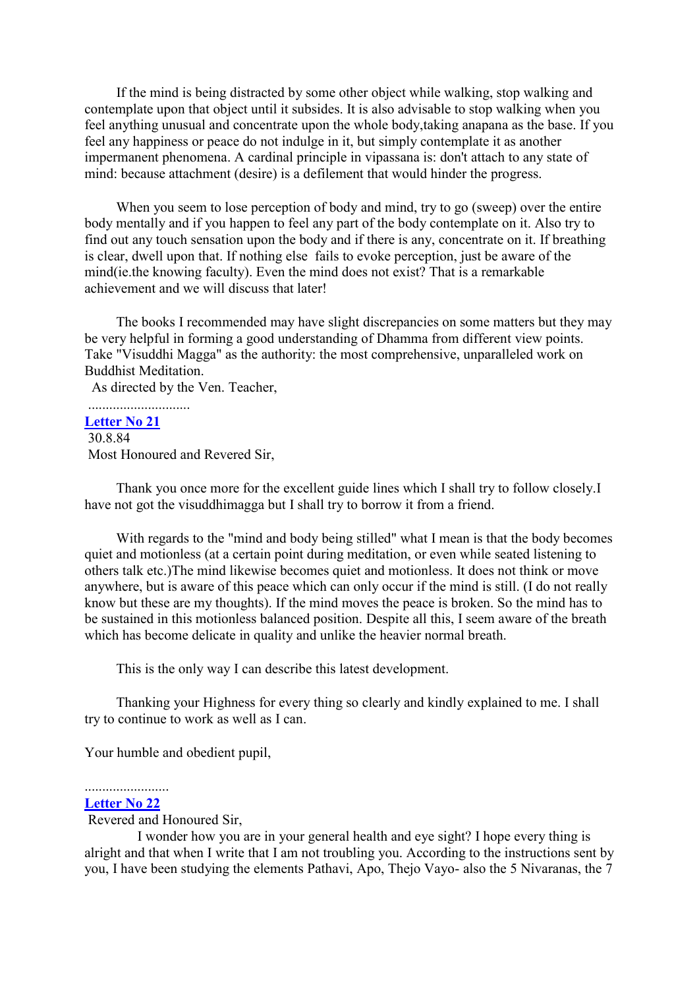If the mind is being distracted by some other object while walking, stop walking and contemplate upon that object until it subsides. It is also advisable to stop walking when you feel anything unusual and concentrate upon the whole body,taking anapana as the base. If you feel any happiness or peace do not indulge in it, but simply contemplate it as another impermanent phenomena. A cardinal principle in vipassana is: don't attach to any state of mind: because attachment (desire) is a defilement that would hinder the progress.

When you seem to lose perception of body and mind, try to go (sweep) over the entire body mentally and if you happen to feel any part of the body contemplate on it. Also try to find out any touch sensation upon the body and if there is any, concentrate on it. If breathing is clear, dwell upon that. If nothing else fails to evoke perception, just be aware of the mind(ie.the knowing faculty). Even the mind does not exist? That is a remarkable achievement and we will discuss that later!

The books I recommended may have slight discrepancies on some matters but they may be very helpful in forming a good understanding of Dhamma from different view points. Take "Visuddhi Magga" as the authority: the most comprehensive, unparalleled work on Buddhist Meditation.

As directed by the Ven. Teacher,

# .............................

**[Letter No 21](http://comemeditate.webs.com/apps/blog/show/4743240-letter-no-21)** 30.8.84 Most Honoured and Revered Sir,

Thank you once more for the excellent guide lines which I shall try to follow closely.I have not got the visuddhimagga but I shall try to borrow it from a friend.

With regards to the "mind and body being stilled" what I mean is that the body becomes quiet and motionless (at a certain point during meditation, or even while seated listening to others talk etc.)The mind likewise becomes quiet and motionless. It does not think or move anywhere, but is aware of this peace which can only occur if the mind is still. (I do not really know but these are my thoughts). If the mind moves the peace is broken. So the mind has to be sustained in this motionless balanced position. Despite all this, I seem aware of the breath which has become delicate in quality and unlike the heavier normal breath.

This is the only way I can describe this latest development.

Thanking your Highness for every thing so clearly and kindly explained to me. I shall try to continue to work as well as I can.

Your humble and obedient pupil,

#### ........................ **[Letter No 22](http://comemeditate.webs.com/apps/blog/show/4743213-letter-no-22)**

Revered and Honoured Sir,

I wonder how you are in your general health and eye sight? I hope every thing is alright and that when I write that I am not troubling you. According to the instructions sent by you, I have been studying the elements Pathavi, Apo, Thejo Vayo- also the 5 Nivaranas, the 7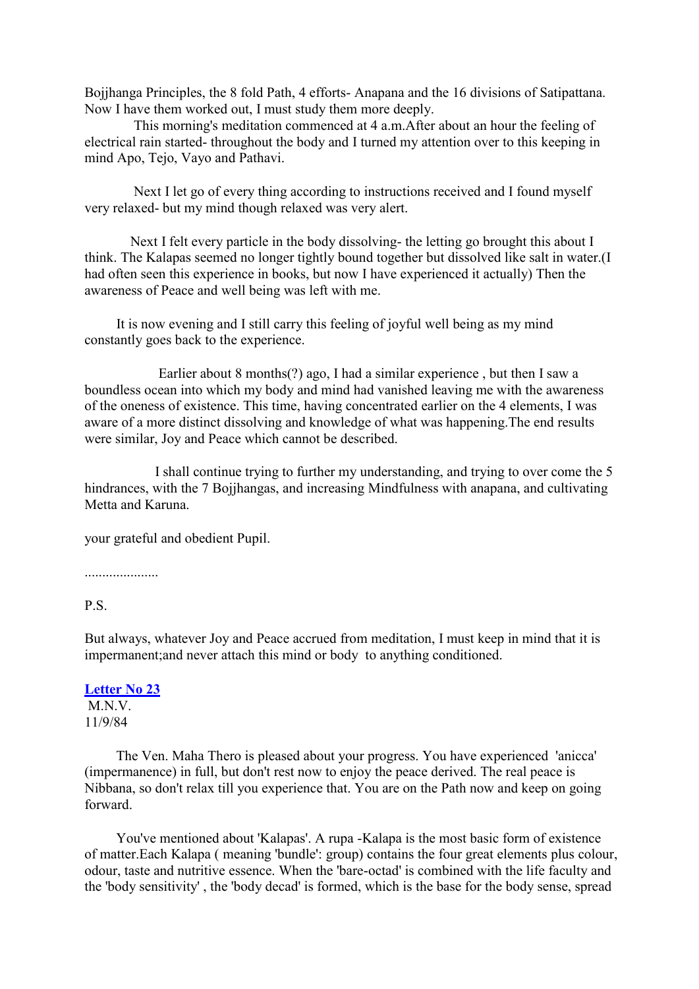Bojjhanga Principles, the 8 fold Path, 4 efforts- Anapana and the 16 divisions of Satipattana. Now I have them worked out, I must study them more deeply.

This morning's meditation commenced at 4 a.m.After about an hour the feeling of electrical rain started- throughout the body and I turned my attention over to this keeping in mind Apo, Tejo, Vayo and Pathavi.

Next I let go of every thing according to instructions received and I found myself very relaxed- but my mind though relaxed was very alert.

Next I felt every particle in the body dissolving- the letting go brought this about I think. The Kalapas seemed no longer tightly bound together but dissolved like salt in water.(I had often seen this experience in books, but now I have experienced it actually) Then the awareness of Peace and well being was left with me.

It is now evening and I still carry this feeling of joyful well being as my mind constantly goes back to the experience.

Earlier about 8 months(?) ago, I had a similar experience , but then I saw a boundless ocean into which my body and mind had vanished leaving me with the awareness of the oneness of existence. This time, having concentrated earlier on the 4 elements, I was aware of a more distinct dissolving and knowledge of what was happening.The end results were similar, Joy and Peace which cannot be described.

I shall continue trying to further my understanding, and trying to over come the 5 hindrances, with the 7 Bojjhangas, and increasing Mindfulness with anapana, and cultivating Metta and Karuna.

your grateful and obedient Pupil.

.....................

# P.S.

But always, whatever Joy and Peace accrued from meditation, I must keep in mind that it is impermanent;and never attach this mind or body to anything conditioned.

# **[Letter No 23](http://comemeditate.webs.com/apps/blog/show/4743198-letter-no-23)** M<sub>N</sub>V

11/9/84

The Ven. Maha Thero is pleased about your progress. You have experienced 'anicca' (impermanence) in full, but don't rest now to enjoy the peace derived. The real peace is Nibbana, so don't relax till you experience that. You are on the Path now and keep on going forward.

You've mentioned about 'Kalapas'. A rupa -Kalapa is the most basic form of existence of matter.Each Kalapa ( meaning 'bundle': group) contains the four great elements plus colour, odour, taste and nutritive essence. When the 'bare-octad' is combined with the life faculty and the 'body sensitivity' , the 'body decad' is formed, which is the base for the body sense, spread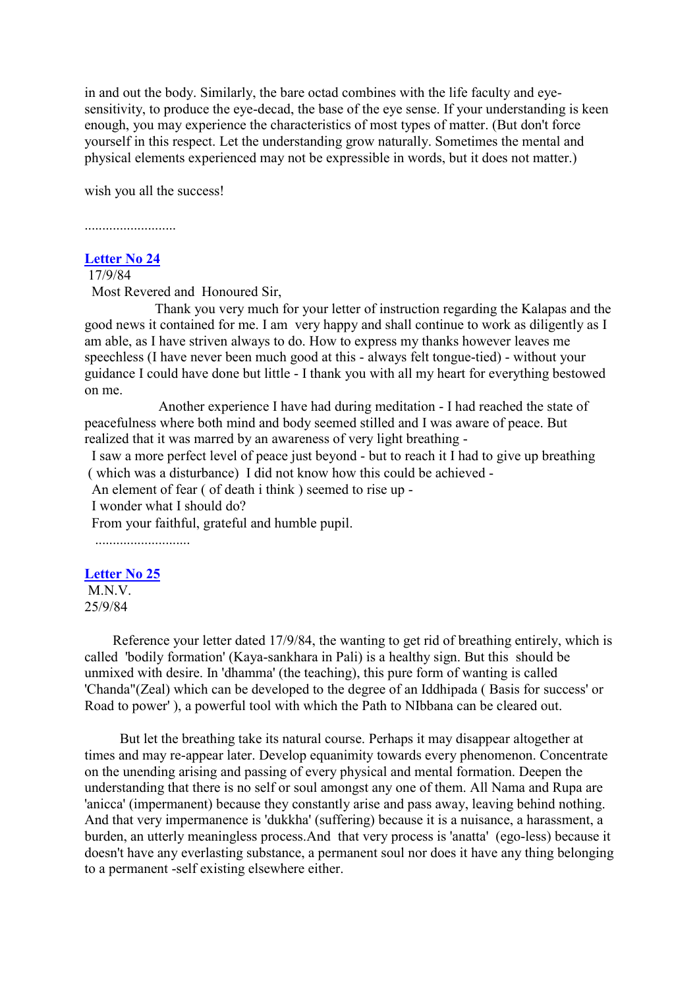in and out the body. Similarly, the bare octad combines with the life faculty and eyesensitivity, to produce the eye-decad, the base of the eye sense. If your understanding is keen enough, you may experience the characteristics of most types of matter. (But don't force yourself in this respect. Let the understanding grow naturally. Sometimes the mental and physical elements experienced may not be expressible in words, but it does not matter.)

wish you all the success!

#### ..........................

### **[Letter No 24](http://comemeditate.webs.com/apps/blog/show/4743165-letter-no-24)**

17/9/84

Most Revered and Honoured Sir,

Thank you very much for your letter of instruction regarding the Kalapas and the good news it contained for me. I am very happy and shall continue to work as diligently as I am able, as I have striven always to do. How to express my thanks however leaves me speechless (I have never been much good at this - always felt tongue-tied) - without your guidance I could have done but little - I thank you with all my heart for everything bestowed on me.

Another experience I have had during meditation - I had reached the state of peacefulness where both mind and body seemed stilled and I was aware of peace. But realized that it was marred by an awareness of very light breathing -

I saw a more perfect level of peace just beyond - but to reach it I had to give up breathing ( which was a disturbance) I did not know how this could be achieved -

An element of fear ( of death i think ) seemed to rise up -

I wonder what I should do?

From your faithful, grateful and humble pupil.

...........................

# **[Letter No 25](http://comemeditate.webs.com/apps/blog/show/4743132-letter-no-25)**

M.N.V. 25/9/84

Reference your letter dated 17/9/84, the wanting to get rid of breathing entirely, which is called 'bodily formation' (Kaya-sankhara in Pali) is a healthy sign. But this should be unmixed with desire. In 'dhamma' (the teaching), this pure form of wanting is called 'Chanda"(Zeal) which can be developed to the degree of an Iddhipada ( Basis for success' or Road to power' ), a powerful tool with which the Path to NIbbana can be cleared out.

But let the breathing take its natural course. Perhaps it may disappear altogether at times and may re-appear later. Develop equanimity towards every phenomenon. Concentrate on the unending arising and passing of every physical and mental formation. Deepen the understanding that there is no self or soul amongst any one of them. All Nama and Rupa are 'anicca' (impermanent) because they constantly arise and pass away, leaving behind nothing. And that very impermanence is 'dukkha' (suffering) because it is a nuisance, a harassment, a burden, an utterly meaningless process.And that very process is 'anatta' (ego-less) because it doesn't have any everlasting substance, a permanent soul nor does it have any thing belonging to a permanent -self existing elsewhere either.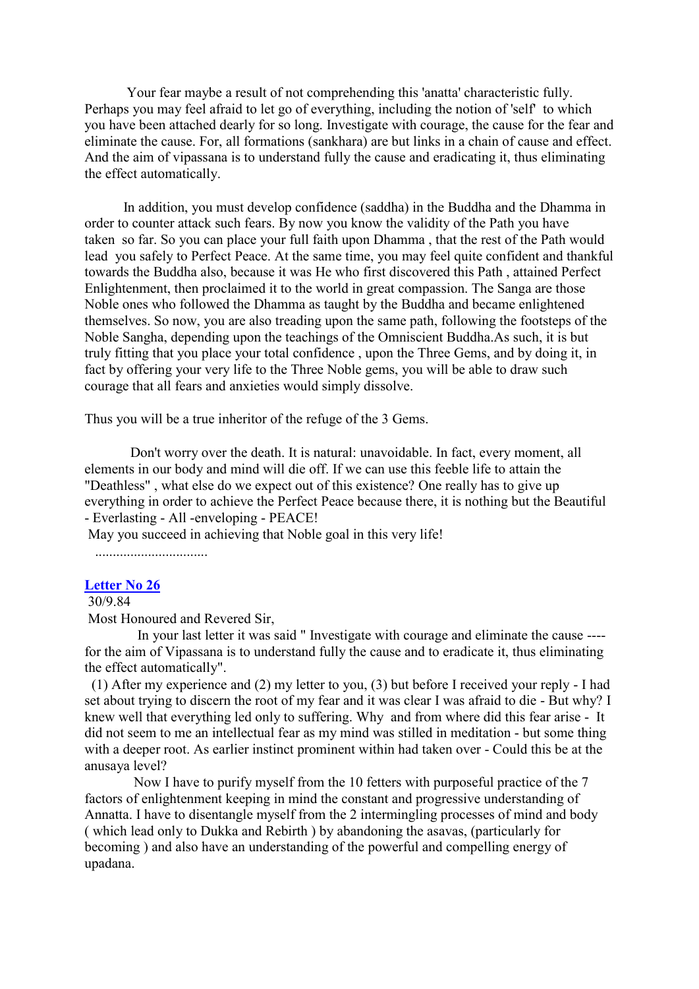Your fear maybe a result of not comprehending this 'anatta' characteristic fully. Perhaps you may feel afraid to let go of everything, including the notion of 'self' to which you have been attached dearly for so long. Investigate with courage, the cause for the fear and eliminate the cause. For, all formations (sankhara) are but links in a chain of cause and effect. And the aim of vipassana is to understand fully the cause and eradicating it, thus eliminating the effect automatically.

In addition, you must develop confidence (saddha) in the Buddha and the Dhamma in order to counter attack such fears. By now you know the validity of the Path you have taken so far. So you can place your full faith upon Dhamma , that the rest of the Path would lead you safely to Perfect Peace. At the same time, you may feel quite confident and thankful towards the Buddha also, because it was He who first discovered this Path , attained Perfect Enlightenment, then proclaimed it to the world in great compassion. The Sanga are those Noble ones who followed the Dhamma as taught by the Buddha and became enlightened themselves. So now, you are also treading upon the same path, following the footsteps of the Noble Sangha, depending upon the teachings of the Omniscient Buddha.As such, it is but truly fitting that you place your total confidence , upon the Three Gems, and by doing it, in fact by offering your very life to the Three Noble gems, you will be able to draw such courage that all fears and anxieties would simply dissolve.

Thus you will be a true inheritor of the refuge of the 3 Gems.

Don't worry over the death. It is natural: unavoidable. In fact, every moment, all elements in our body and mind will die off. If we can use this feeble life to attain the "Deathless" , what else do we expect out of this existence? One really has to give up everything in order to achieve the Perfect Peace because there, it is nothing but the Beautiful - Everlasting - All -enveloping - PEACE!

May you succeed in achieving that Noble goal in this very life!

................................

# **[Letter No 26](http://comemeditate.webs.com/apps/blog/show/4743116-letter-no-26)**

## 30/9.84

Most Honoured and Revered Sir,

In your last letter it was said " Investigate with courage and eliminate the cause --- for the aim of Vipassana is to understand fully the cause and to eradicate it, thus eliminating the effect automatically".

(1) After my experience and (2) my letter to you, (3) but before I received your reply - I had set about trying to discern the root of my fear and it was clear I was afraid to die - But why? I knew well that everything led only to suffering. Why and from where did this fear arise - It did not seem to me an intellectual fear as my mind was stilled in meditation - but some thing with a deeper root. As earlier instinct prominent within had taken over - Could this be at the anusaya level?

Now I have to purify myself from the 10 fetters with purposeful practice of the 7 factors of enlightenment keeping in mind the constant and progressive understanding of Annatta. I have to disentangle myself from the 2 intermingling processes of mind and body ( which lead only to Dukka and Rebirth ) by abandoning the asavas, (particularly for becoming ) and also have an understanding of the powerful and compelling energy of upadana.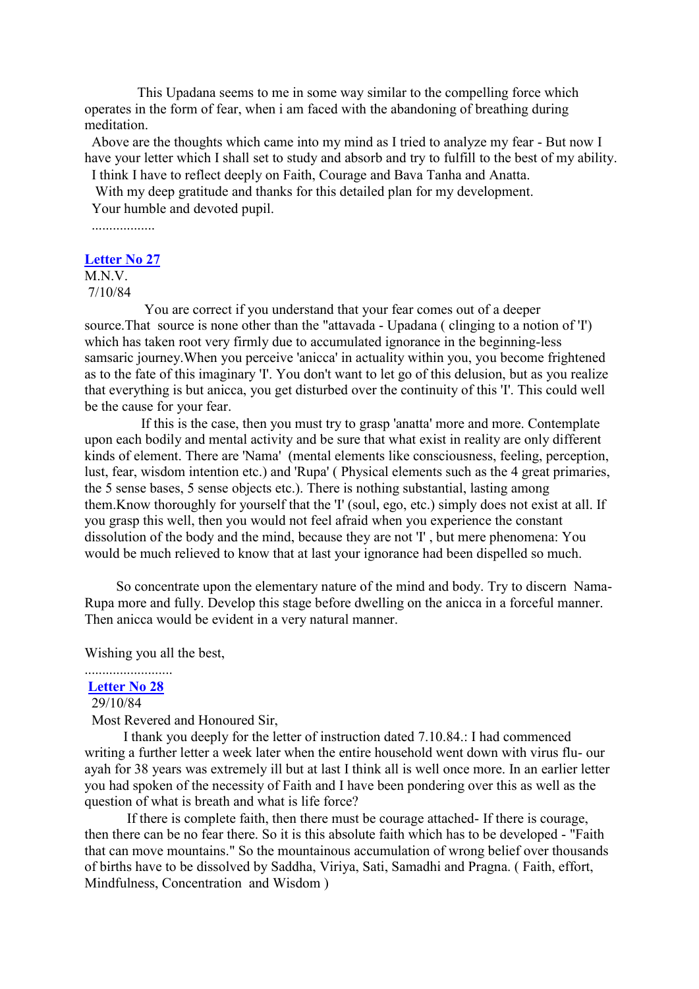This Upadana seems to me in some way similar to the compelling force which operates in the form of fear, when i am faced with the abandoning of breathing during meditation.

Above are the thoughts which came into my mind as I tried to analyze my fear - But now I have your letter which I shall set to study and absorb and try to fulfill to the best of my ability.

I think I have to reflect deeply on Faith, Courage and Bava Tanha and Anatta.

With my deep gratitude and thanks for this detailed plan for my development. Your humble and devoted pupil.

..................

#### **[Letter No 27](http://comemeditate.webs.com/apps/blog/show/4705913-letter-no-27)**

M.N.V. 7/10/84

You are correct if you understand that your fear comes out of a deeper source.That source is none other than the "attavada - Upadana ( clinging to a notion of 'I') which has taken root very firmly due to accumulated ignorance in the beginning-less samsaric journey.When you perceive 'anicca' in actuality within you, you become frightened as to the fate of this imaginary 'I'. You don't want to let go of this delusion, but as you realize that everything is but anicca, you get disturbed over the continuity of this 'I'. This could well be the cause for your fear.

If this is the case, then you must try to grasp 'anatta' more and more. Contemplate upon each bodily and mental activity and be sure that what exist in reality are only different kinds of element. There are 'Nama' (mental elements like consciousness, feeling, perception, lust, fear, wisdom intention etc.) and 'Rupa' ( Physical elements such as the 4 great primaries, the 5 sense bases, 5 sense objects etc.). There is nothing substantial, lasting among them.Know thoroughly for yourself that the 'I' (soul, ego, etc.) simply does not exist at all. If you grasp this well, then you would not feel afraid when you experience the constant dissolution of the body and the mind, because they are not 'I' , but mere phenomena: You would be much relieved to know that at last your ignorance had been dispelled so much.

So concentrate upon the elementary nature of the mind and body. Try to discern Nama-Rupa more and fully. Develop this stage before dwelling on the anicca in a forceful manner. Then anicca would be evident in a very natural manner.

Wishing you all the best,

#### ......................... **[Letter No 28](http://comemeditate.webs.com/apps/blog/show/4705897-letter-no-28)**

29/10/84

Most Revered and Honoured Sir,

I thank you deeply for the letter of instruction dated 7.10.84.: I had commenced writing a further letter a week later when the entire household went down with virus flu- our ayah for 38 years was extremely ill but at last I think all is well once more. In an earlier letter you had spoken of the necessity of Faith and I have been pondering over this as well as the question of what is breath and what is life force?

If there is complete faith, then there must be courage attached- If there is courage, then there can be no fear there. So it is this absolute faith which has to be developed - "Faith that can move mountains." So the mountainous accumulation of wrong belief over thousands of births have to be dissolved by Saddha, Viriya, Sati, Samadhi and Pragna. ( Faith, effort, Mindfulness, Concentration and Wisdom )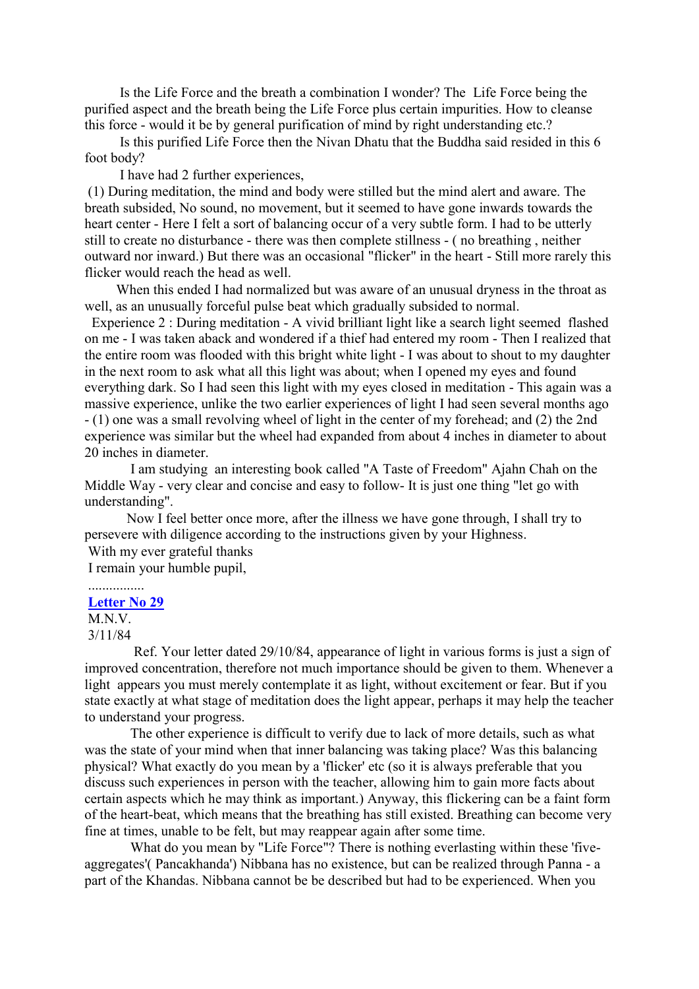Is the Life Force and the breath a combination I wonder? The Life Force being the purified aspect and the breath being the Life Force plus certain impurities. How to cleanse this force - would it be by general purification of mind by right understanding etc.?

Is this purified Life Force then the Nivan Dhatu that the Buddha said resided in this 6 foot body?

I have had 2 further experiences,

(1) During meditation, the mind and body were stilled but the mind alert and aware. The breath subsided, No sound, no movement, but it seemed to have gone inwards towards the heart center - Here I felt a sort of balancing occur of a very subtle form. I had to be utterly still to create no disturbance - there was then complete stillness - ( no breathing , neither outward nor inward.) But there was an occasional "flicker" in the heart - Still more rarely this flicker would reach the head as well.

When this ended I had normalized but was aware of an unusual dryness in the throat as well, as an unusually forceful pulse beat which gradually subsided to normal.

Experience 2 : During meditation - A vivid brilliant light like a search light seemed flashed on me - I was taken aback and wondered if a thief had entered my room - Then I realized that the entire room was flooded with this bright white light - I was about to shout to my daughter in the next room to ask what all this light was about; when I opened my eyes and found everything dark. So I had seen this light with my eyes closed in meditation - This again was a massive experience, unlike the two earlier experiences of light I had seen several months ago - (1) one was a small revolving wheel of light in the center of my forehead; and (2) the 2nd experience was similar but the wheel had expanded from about 4 inches in diameter to about 20 inches in diameter.

I am studying an interesting book called "A Taste of Freedom" Ajahn Chah on the Middle Way - very clear and concise and easy to follow- It is just one thing "let go with understanding".

Now I feel better once more, after the illness we have gone through, I shall try to persevere with diligence according to the instructions given by your Highness. With my ever grateful thanks

I remain your humble pupil,

## ................ **[Letter No 29](http://comemeditate.webs.com/apps/blog/show/4705875-letter-no-29)**

M.N.V.

3/11/84

Ref. Your letter dated 29/10/84, appearance of light in various forms is just a sign of improved concentration, therefore not much importance should be given to them. Whenever a light appears you must merely contemplate it as light, without excitement or fear. But if you state exactly at what stage of meditation does the light appear, perhaps it may help the teacher to understand your progress.

The other experience is difficult to verify due to lack of more details, such as what was the state of your mind when that inner balancing was taking place? Was this balancing physical? What exactly do you mean by a 'flicker' etc (so it is always preferable that you discuss such experiences in person with the teacher, allowing him to gain more facts about certain aspects which he may think as important.) Anyway, this flickering can be a faint form of the heart-beat, which means that the breathing has still existed. Breathing can become very fine at times, unable to be felt, but may reappear again after some time.

What do you mean by "Life Force"? There is nothing everlasting within these 'fiveaggregates'( Pancakhanda') Nibbana has no existence, but can be realized through Panna - a part of the Khandas. Nibbana cannot be be described but had to be experienced. When you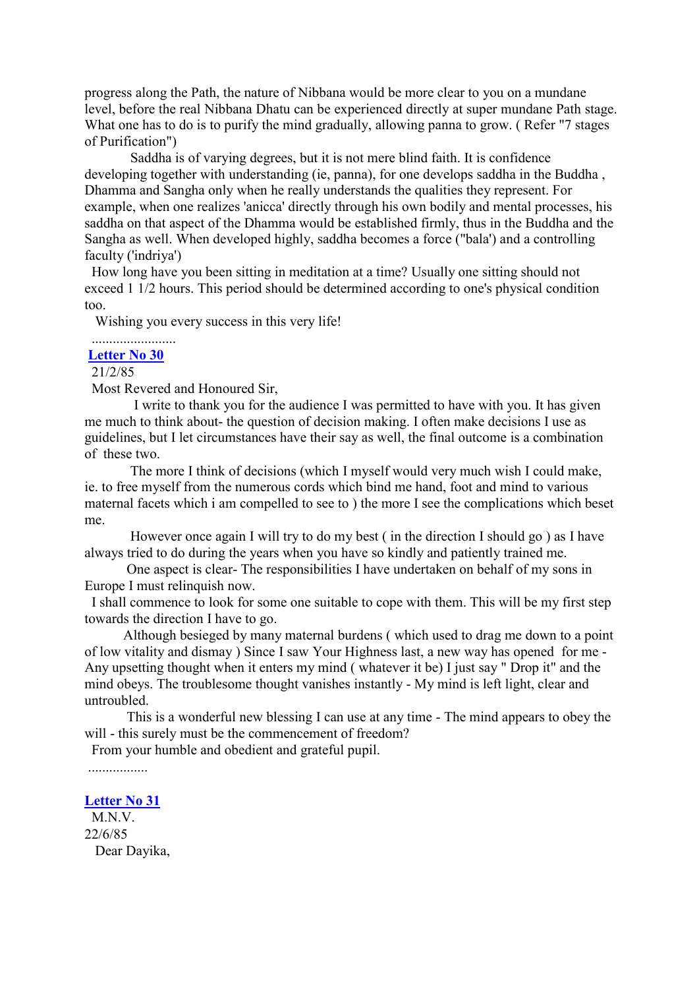progress along the Path, the nature of Nibbana would be more clear to you on a mundane level, before the real Nibbana Dhatu can be experienced directly at super mundane Path stage. What one has to do is to purify the mind gradually, allowing panna to grow. (Refer "7 stages of Purification")

Saddha is of varying degrees, but it is not mere blind faith. It is confidence developing together with understanding (ie, panna), for one develops saddha in the Buddha , Dhamma and Sangha only when he really understands the qualities they represent. For example, when one realizes 'anicca' directly through his own bodily and mental processes, his saddha on that aspect of the Dhamma would be established firmly, thus in the Buddha and the Sangha as well. When developed highly, saddha becomes a force ("bala') and a controlling faculty ('indriya')

How long have you been sitting in meditation at a time? Usually one sitting should not exceed 1 1/2 hours. This period should be determined according to one's physical condition too.

Wishing you every success in this very life!

# ........................

# **[Letter No 30](http://comemeditate.webs.com/apps/blog/show/4705859-letter-no-30)**

21/2/85

Most Revered and Honoured Sir,

I write to thank you for the audience I was permitted to have with you. It has given me much to think about- the question of decision making. I often make decisions I use as guidelines, but I let circumstances have their say as well, the final outcome is a combination of these two.

The more I think of decisions (which I myself would very much wish I could make, ie. to free myself from the numerous cords which bind me hand, foot and mind to various maternal facets which i am compelled to see to ) the more I see the complications which beset me.

However once again I will try to do my best ( in the direction I should go ) as I have always tried to do during the years when you have so kindly and patiently trained me.

One aspect is clear- The responsibilities I have undertaken on behalf of my sons in Europe I must relinquish now.

I shall commence to look for some one suitable to cope with them. This will be my first step towards the direction I have to go.

Although besieged by many maternal burdens ( which used to drag me down to a point of low vitality and dismay ) Since I saw Your Highness last, a new way has opened for me - Any upsetting thought when it enters my mind ( whatever it be) I just say " Drop it" and the mind obeys. The troublesome thought vanishes instantly - My mind is left light, clear and untroubled.

This is a wonderful new blessing I can use at any time - The mind appears to obey the will - this surely must be the commencement of freedom?

From your humble and obedient and grateful pupil.

.................

### **[Letter No 31](http://comemeditate.webs.com/apps/blog/show/4705841-letter-no-31)**

M<sub>N</sub>V 22/6/85 Dear Dayika,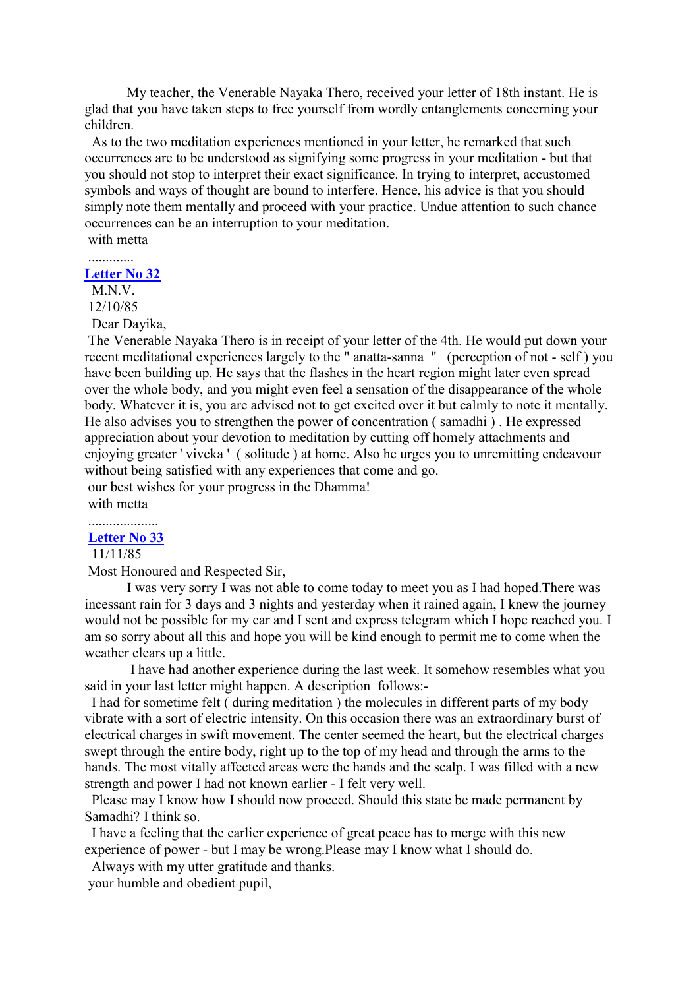My teacher, the Venerable Nayaka Thero, received your letter of 18th instant. He is glad that you have taken steps to free yourself from wordly entanglements concerning your children.

As to the two meditation experiences mentioned in your letter, he remarked that such occurrences are to be understood as signifying some progress in your meditation - but that you should not stop to interpret their exact significance. In trying to interpret, accustomed symbols and ways of thought are bound to interfere. Hence, his advice is that you should simply note them mentally and proceed with your practice. Undue attention to such chance occurrences can be an interruption to your meditation.

with metta

**[Letter No 32](http://comemeditate.webs.com/apps/blog/show/4705826-letter-no-32)**

M.N.V.

12/10/85

Dear Dayika,

The Venerable Nayaka Thero is in receipt of your letter of the 4th. He would put down your recent meditational experiences largely to the " anatta-sanna " (perception of not - self ) you have been building up. He says that the flashes in the heart region might later even spread over the whole body, and you might even feel a sensation of the disappearance of the whole body. Whatever it is, you are advised not to get excited over it but calmly to note it mentally. He also advises you to strengthen the power of concentration ( samadhi ) . He expressed appreciation about your devotion to meditation by cutting off homely attachments and enjoying greater ' viveka ' ( solitude ) at home. Also he urges you to unremitting endeavour without being satisfied with any experiences that come and go. our best wishes for your progress in the Dhamma!

with metta

#### .................... **[Letter No 33](http://comemeditate.webs.com/apps/blog/show/4705793-letter-no-33)**

#### 11/11/85

Most Honoured and Respected Sir,

I was very sorry I was not able to come today to meet you as I had hoped.There was incessant rain for 3 days and 3 nights and yesterday when it rained again, I knew the journey would not be possible for my car and I sent and express telegram which I hope reached you. I am so sorry about all this and hope you will be kind enough to permit me to come when the weather clears up a little.

I have had another experience during the last week. It somehow resembles what you said in your last letter might happen. A description follows:-

I had for sometime felt ( during meditation ) the molecules in different parts of my body vibrate with a sort of electric intensity. On this occasion there was an extraordinary burst of electrical charges in swift movement. The center seemed the heart, but the electrical charges swept through the entire body, right up to the top of my head and through the arms to the hands. The most vitally affected areas were the hands and the scalp. I was filled with a new strength and power I had not known earlier - I felt very well.

Please may I know how I should now proceed. Should this state be made permanent by Samadhi? I think so.

I have a feeling that the earlier experience of great peace has to merge with this new experience of power - but I may be wrong.Please may I know what I should do.

Always with my utter gratitude and thanks.

your humble and obedient pupil,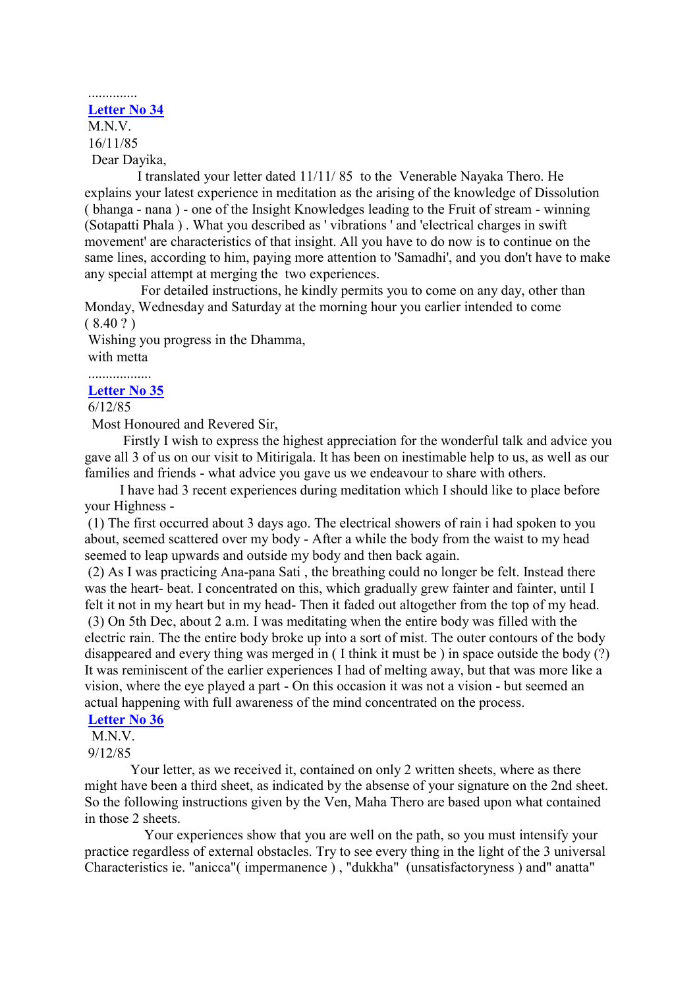# **[Letter No 34](http://comemeditate.webs.com/apps/blog/show/4705778-letter-no-34)**

..............

M<sub>N</sub>V 16/11/85 Dear Dayika,

I translated your letter dated 11/11/ 85 to the Venerable Nayaka Thero. He explains your latest experience in meditation as the arising of the knowledge of Dissolution ( bhanga - nana ) - one of the Insight Knowledges leading to the Fruit of stream - winning (Sotapatti Phala ) . What you described as ' vibrations ' and 'electrical charges in swift movement' are characteristics of that insight. All you have to do now is to continue on the same lines, according to him, paying more attention to 'Samadhi', and you don't have to make any special attempt at merging the two experiences.

For detailed instructions, he kindly permits you to come on any day, other than Monday, Wednesday and Saturday at the morning hour you earlier intended to come  $(8.40?)$ 

Wishing you progress in the Dhamma, with metta

.................. **[Letter No 35](http://comemeditate.webs.com/apps/blog/show/4705762-letter-no-35)**

6/12/85

Most Honoured and Revered Sir,

Firstly I wish to express the highest appreciation for the wonderful talk and advice you gave all 3 of us on our visit to Mitirigala. It has been on inestimable help to us, as well as our families and friends - what advice you gave us we endeavour to share with others.

I have had 3 recent experiences during meditation which I should like to place before your Highness -

(1) The first occurred about 3 days ago. The electrical showers of rain i had spoken to you about, seemed scattered over my body - After a while the body from the waist to my head seemed to leap upwards and outside my body and then back again.

(2) As I was practicing Ana-pana Sati , the breathing could no longer be felt. Instead there was the heart- beat. I concentrated on this, which gradually grew fainter and fainter, until I felt it not in my heart but in my head- Then it faded out altogether from the top of my head. (3) On 5th Dec, about 2 a.m. I was meditating when the entire body was filled with the electric rain. The the entire body broke up into a sort of mist. The outer contours of the body disappeared and every thing was merged in ( I think it must be ) in space outside the body (?) It was reminiscent of the earlier experiences I had of melting away, but that was more like a vision, where the eye played a part - On this occasion it was not a vision - but seemed an actual happening with full awareness of the mind concentrated on the process.

# **[Letter No 36](http://comemeditate.webs.com/apps/blog/show/4705716-letter-no-36)**

M<sub>N</sub>V

9/12/85

Your letter, as we received it, contained on only 2 written sheets, where as there might have been a third sheet, as indicated by the absense of your signature on the 2nd sheet. So the following instructions given by the Ven, Maha Thero are based upon what contained in those 2 sheets.

Your experiences show that you are well on the path, so you must intensify your practice regardless of external obstacles. Try to see every thing in the light of the 3 universal Characteristics ie. "anicca"( impermanence ) , "dukkha" (unsatisfactoryness ) and" anatta"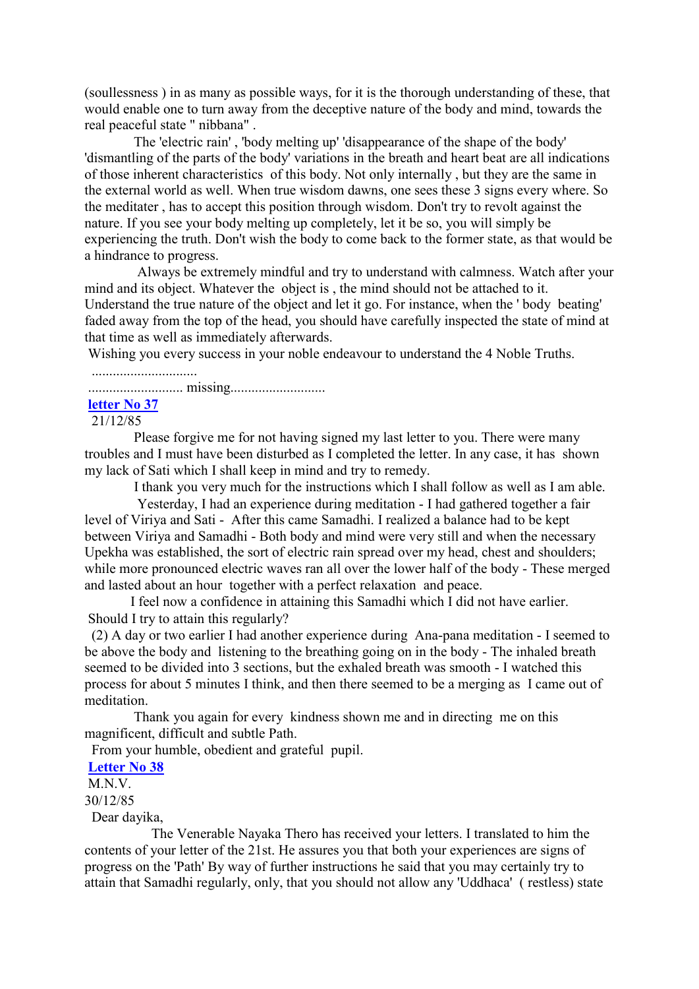(soullessness ) in as many as possible ways, for it is the thorough understanding of these, that would enable one to turn away from the deceptive nature of the body and mind, towards the real peaceful state " nibbana" .

The 'electric rain' , 'body melting up' 'disappearance of the shape of the body' 'dismantling of the parts of the body' variations in the breath and heart beat are all indications of those inherent characteristics of this body. Not only internally , but they are the same in the external world as well. When true wisdom dawns, one sees these 3 signs every where. So the meditater , has to accept this position through wisdom. Don't try to revolt against the nature. If you see your body melting up completely, let it be so, you will simply be experiencing the truth. Don't wish the body to come back to the former state, as that would be a hindrance to progress.

Always be extremely mindful and try to understand with calmness. Watch after your mind and its object. Whatever the object is , the mind should not be attached to it. Understand the true nature of the object and let it go. For instance, when the ' body beating' faded away from the top of the head, you should have carefully inspected the state of mind at that time as well as immediately afterwards.

Wishing you every success in your noble endeavour to understand the 4 Noble Truths.

.............................. ........................... missing...........................

# **[letter No 37](http://comemeditate.webs.com/apps/blog/show/4705692-letter-no-37)**

21/12/85

Please forgive me for not having signed my last letter to you. There were many troubles and I must have been disturbed as I completed the letter. In any case, it has shown my lack of Sati which I shall keep in mind and try to remedy.

I thank you very much for the instructions which I shall follow as well as I am able.

Yesterday, I had an experience during meditation - I had gathered together a fair level of Viriya and Sati - After this came Samadhi. I realized a balance had to be kept between Viriya and Samadhi - Both body and mind were very still and when the necessary Upekha was established, the sort of electric rain spread over my head, chest and shoulders; while more pronounced electric waves ran all over the lower half of the body - These merged and lasted about an hour together with a perfect relaxation and peace.

I feel now a confidence in attaining this Samadhi which I did not have earlier. Should I try to attain this regularly?

(2) A day or two earlier I had another experience during Ana-pana meditation - I seemed to be above the body and listening to the breathing going on in the body - The inhaled breath seemed to be divided into 3 sections, but the exhaled breath was smooth - I watched this process for about 5 minutes I think, and then there seemed to be a merging as I came out of meditation.

Thank you again for every kindness shown me and in directing me on this magnificent, difficult and subtle Path.

From your humble, obedient and grateful pupil.

# **[Letter No 38](http://comemeditate.webs.com/apps/blog/show/4705686-letter-no-38)**

M.N.V.

30/12/85

Dear dayika,

The Venerable Nayaka Thero has received your letters. I translated to him the contents of your letter of the 21st. He assures you that both your experiences are signs of progress on the 'Path' By way of further instructions he said that you may certainly try to attain that Samadhi regularly, only, that you should not allow any 'Uddhaca' ( restless) state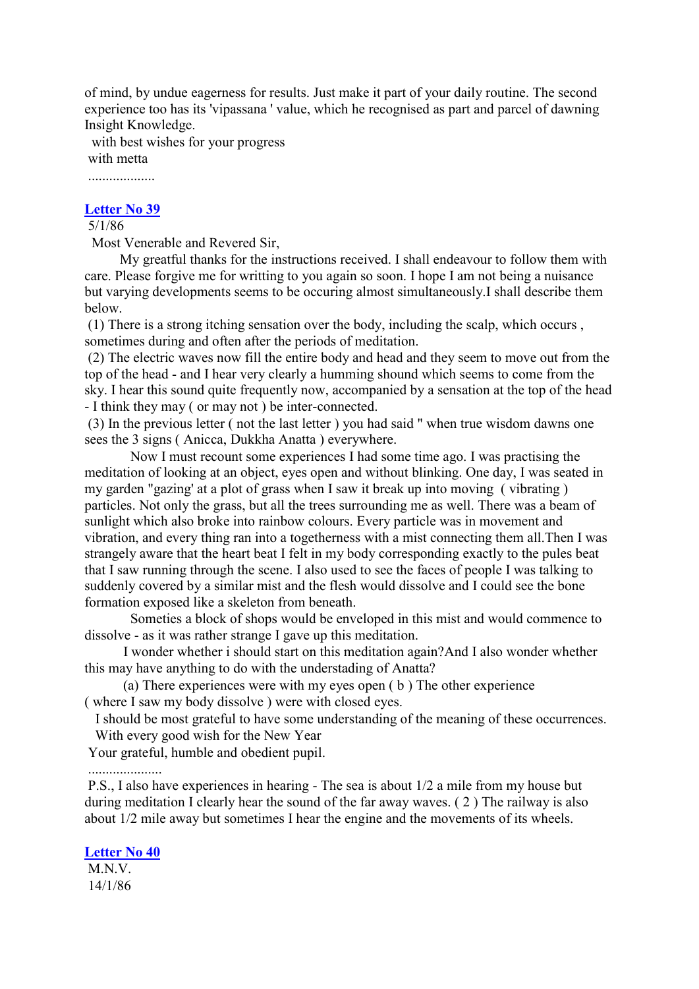of mind, by undue eagerness for results. Just make it part of your daily routine. The second experience too has its 'vipassana ' value, which he recognised as part and parcel of dawning Insight Knowledge.

with best wishes for your progress with metta

...................

# **[Letter No 39](http://comemeditate.webs.com/apps/blog/show/4704216-letter-no-39)**

# 5/1/86

Most Venerable and Revered Sir,

My greatful thanks for the instructions received. I shall endeavour to follow them with care. Please forgive me for writting to you again so soon. I hope I am not being a nuisance but varying developments seems to be occuring almost simultaneously.I shall describe them below.

(1) There is a strong itching sensation over the body, including the scalp, which occurs , sometimes during and often after the periods of meditation.

(2) The electric waves now fill the entire body and head and they seem to move out from the top of the head - and I hear very clearly a humming shound which seems to come from the sky. I hear this sound quite frequently now, accompanied by a sensation at the top of the head - I think they may ( or may not ) be inter-connected.

(3) In the previous letter ( not the last letter ) you had said " when true wisdom dawns one sees the 3 signs ( Anicca, Dukkha Anatta ) everywhere.

Now I must recount some experiences I had some time ago. I was practising the meditation of looking at an object, eyes open and without blinking. One day, I was seated in my garden "gazing' at a plot of grass when I saw it break up into moving ( vibrating ) particles. Not only the grass, but all the trees surrounding me as well. There was a beam of sunlight which also broke into rainbow colours. Every particle was in movement and vibration, and every thing ran into a togetherness with a mist connecting them all.Then I was strangely aware that the heart beat I felt in my body corresponding exactly to the pules beat that I saw running through the scene. I also used to see the faces of people I was talking to suddenly covered by a similar mist and the flesh would dissolve and I could see the bone formation exposed like a skeleton from beneath.

Someties a block of shops would be enveloped in this mist and would commence to dissolve - as it was rather strange I gave up this meditation.

I wonder whether i should start on this meditation again?And I also wonder whether this may have anything to do with the understading of Anatta?

(a) There experiences were with my eyes open ( b ) The other experience ( where I saw my body dissolve ) were with closed eyes.

I should be most grateful to have some understanding of the meaning of these occurrences. With every good wish for the New Year

Your grateful, humble and obedient pupil.

## .....................

P.S., I also have experiences in hearing - The sea is about 1/2 a mile from my house but during meditation I clearly hear the sound of the far away waves. ( 2 ) The railway is also about 1/2 mile away but sometimes I hear the engine and the movements of its wheels.

### **[Letter No 40](http://comemeditate.webs.com/apps/blog/show/4704199-letter-no-40)**

M.N.V. 14/1/86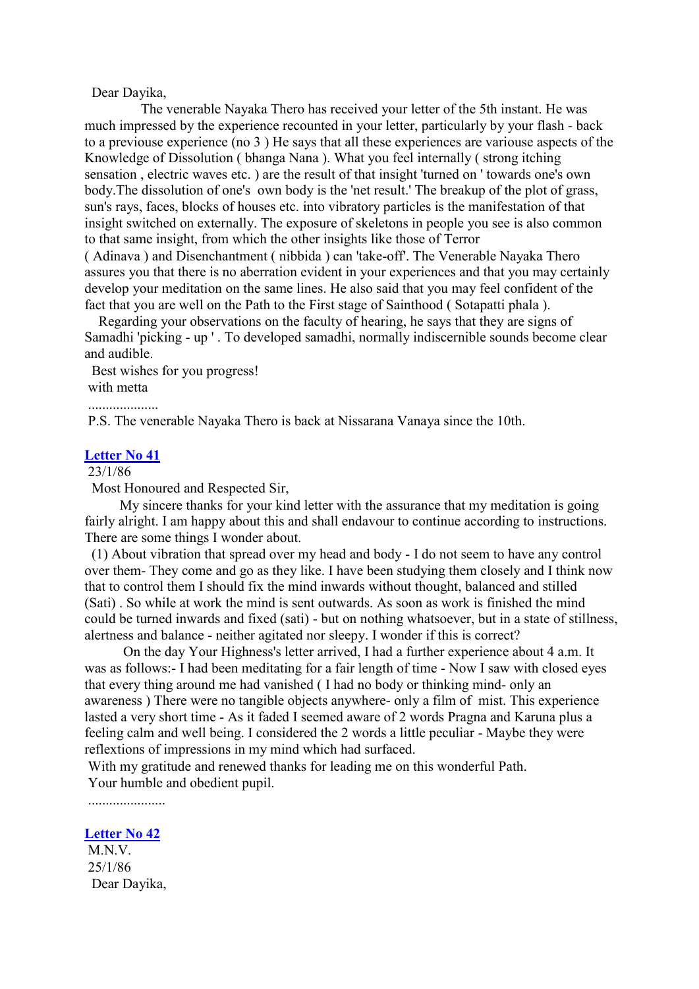## Dear Dayika,

The venerable Nayaka Thero has received your letter of the 5th instant. He was much impressed by the experience recounted in your letter, particularly by your flash - back to a previouse experience (no 3 ) He says that all these experiences are variouse aspects of the Knowledge of Dissolution ( bhanga Nana ). What you feel internally ( strong itching sensation , electric waves etc. ) are the result of that insight 'turned on ' towards one's own body.The dissolution of one's own body is the 'net result.' The breakup of the plot of grass, sun's rays, faces, blocks of houses etc. into vibratory particles is the manifestation of that insight switched on externally. The exposure of skeletons in people you see is also common to that same insight, from which the other insights like those of Terror ( Adinava ) and Disenchantment ( nibbida ) can 'take-off'. The Venerable Nayaka Thero assures you that there is no aberration evident in your experiences and that you may certainly develop your meditation on the same lines. He also said that you may feel confident of the

fact that you are well on the Path to the First stage of Sainthood ( Sotapatti phala ). Regarding your observations on the faculty of hearing, he says that they are signs of Samadhi 'picking - up ' . To developed samadhi, normally indiscernible sounds become clear and audible.

Best wishes for you progress! with metta

P.S. The venerable Nayaka Thero is back at Nissarana Vanaya since the 10th.

#### **[Letter No 41](http://comemeditate.webs.com/apps/blog/show/4704190-letter-no-41)**

....................

## 23/1/86

Most Honoured and Respected Sir,

My sincere thanks for your kind letter with the assurance that my meditation is going fairly alright. I am happy about this and shall endavour to continue according to instructions. There are some things I wonder about.

(1) About vibration that spread over my head and body - I do not seem to have any control over them- They come and go as they like. I have been studying them closely and I think now that to control them I should fix the mind inwards without thought, balanced and stilled (Sati) . So while at work the mind is sent outwards. As soon as work is finished the mind could be turned inwards and fixed (sati) - but on nothing whatsoever, but in a state of stillness, alertness and balance - neither agitated nor sleepy. I wonder if this is correct?

On the day Your Highness's letter arrived, I had a further experience about 4 a.m. It was as follows:- I had been meditating for a fair length of time - Now I saw with closed eyes that every thing around me had vanished ( I had no body or thinking mind- only an awareness ) There were no tangible objects anywhere- only a film of mist. This experience lasted a very short time - As it faded I seemed aware of 2 words Pragna and Karuna plus a feeling calm and well being. I considered the 2 words a little peculiar - Maybe they were reflextions of impressions in my mind which had surfaced.

With my gratitude and renewed thanks for leading me on this wonderful Path. Your humble and obedient pupil.

......................

## **[Letter No 42](http://comemeditate.webs.com/apps/blog/show/4704181-letter-no-42)**

M.N.V. 25/1/86 Dear Dayika,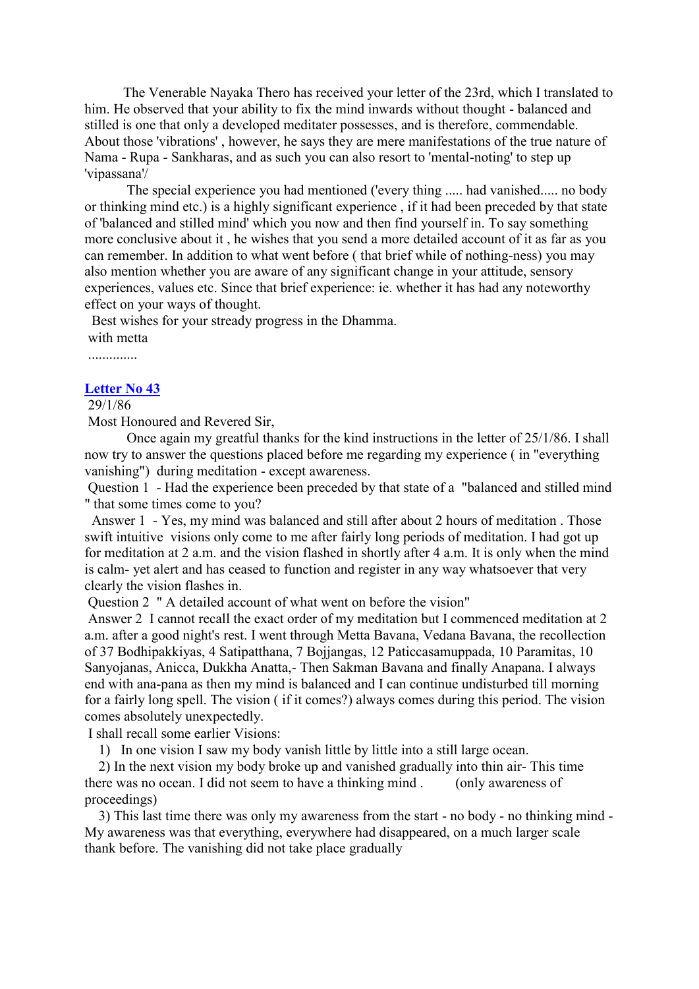The Venerable Nayaka Thero has received your letter of the 23rd, which I translated to him. He observed that your ability to fix the mind inwards without thought - balanced and stilled is one that only a developed meditater possesses, and is therefore, commendable. About those 'vibrations' , however, he says they are mere manifestations of the true nature of Nama - Rupa - Sankharas, and as such you can also resort to 'mental-noting' to step up 'vipassana'/

The special experience you had mentioned ('every thing ..... had vanished..... no body or thinking mind etc.) is a highly significant experience , if it had been preceded by that state of 'balanced and stilled mind' which you now and then find yourself in. To say something more conclusive about it , he wishes that you send a more detailed account of it as far as you can remember. In addition to what went before ( that brief while of nothing-ness) you may also mention whether you are aware of any significant change in your attitude, sensory experiences, values etc. Since that brief experience: ie. whether it has had any noteworthy effect on your ways of thought.

Best wishes for your stready progress in the Dhamma. with metta

..............

#### **[Letter No 43](http://comemeditate.webs.com/apps/blog/show/4704150-letter-no-43)**

29/1/86

Most Honoured and Revered Sir,

Once again my greatful thanks for the kind instructions in the letter of 25/1/86. I shall now try to answer the questions placed before me regarding my experience ( in "everything vanishing") during meditation - except awareness.

Question 1 - Had the experience been preceded by that state of a "balanced and stilled mind " that some times come to you?

Answer 1 - Yes, my mind was balanced and still after about 2 hours of meditation . Those swift intuitive visions only come to me after fairly long periods of meditation. I had got up for meditation at 2 a.m. and the vision flashed in shortly after 4 a.m. It is only when the mind is calm- yet alert and has ceased to function and register in any way whatsoever that very clearly the vision flashes in.

Question 2 " A detailed account of what went on before the vision"

Answer 2 I cannot recall the exact order of my meditation but I commenced meditation at 2 a.m. after a good night's rest. I went through Metta Bavana, Vedana Bavana, the recollection of 37 Bodhipakkiyas, 4 Satipatthana, 7 Bojjangas, 12 Paticcasamuppada, 10 Paramitas, 10 Sanyojanas, Anicca, Dukkha Anatta,- Then Sakman Bavana and finally Anapana. I always end with ana-pana as then my mind is balanced and I can continue undisturbed till morning for a fairly long spell. The vision ( if it comes?) always comes during this period. The vision comes absolutely unexpectedly.

I shall recall some earlier Visions:

1) In one vision I saw my body vanish little by little into a still large ocean.

2) In the next vision my body broke up and vanished gradually into thin air- This time there was no ocean. I did not seem to have a thinking mind . (only awareness of proceedings)

3) This last time there was only my awareness from the start - no body - no thinking mind - My awareness was that everything, everywhere had disappeared, on a much larger scale thank before. The vanishing did not take place gradually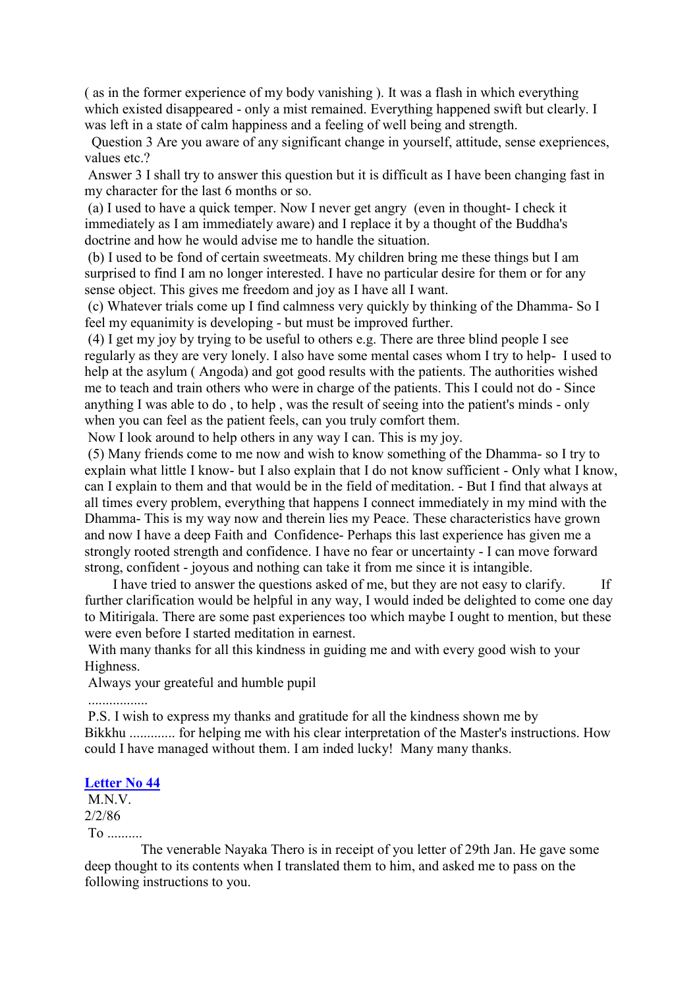( as in the former experience of my body vanishing ). It was a flash in which everything which existed disappeared - only a mist remained. Everything happened swift but clearly. I was left in a state of calm happiness and a feeling of well being and strength.

Question 3 Are you aware of any significant change in yourself, attitude, sense exepriences, values etc.?

Answer 3 I shall try to answer this question but it is difficult as I have been changing fast in my character for the last 6 months or so.

(a) I used to have a quick temper. Now I never get angry (even in thought- I check it immediately as I am immediately aware) and I replace it by a thought of the Buddha's doctrine and how he would advise me to handle the situation.

(b) I used to be fond of certain sweetmeats. My children bring me these things but I am surprised to find I am no longer interested. I have no particular desire for them or for any sense object. This gives me freedom and joy as I have all I want.

(c) Whatever trials come up I find calmness very quickly by thinking of the Dhamma- So I feel my equanimity is developing - but must be improved further.

(4) I get my joy by trying to be useful to others e.g. There are three blind people I see regularly as they are very lonely. I also have some mental cases whom I try to help- I used to help at the asylum ( Angoda) and got good results with the patients. The authorities wished me to teach and train others who were in charge of the patients. This I could not do - Since anything I was able to do , to help , was the result of seeing into the patient's minds - only when you can feel as the patient feels, can you truly comfort them.

Now I look around to help others in any way I can. This is my joy.

(5) Many friends come to me now and wish to know something of the Dhamma- so I try to explain what little I know- but I also explain that I do not know sufficient - Only what I know, can I explain to them and that would be in the field of meditation. - But I find that always at all times every problem, everything that happens I connect immediately in my mind with the Dhamma- This is my way now and therein lies my Peace. These characteristics have grown and now I have a deep Faith and Confidence- Perhaps this last experience has given me a strongly rooted strength and confidence. I have no fear or uncertainty - I can move forward strong, confident - joyous and nothing can take it from me since it is intangible.

I have tried to answer the questions asked of me, but they are not easy to clarify. If further clarification would be helpful in any way, I would inded be delighted to come one day to Mitirigala. There are some past experiences too which maybe I ought to mention, but these were even before I started meditation in earnest.

With many thanks for all this kindness in guiding me and with every good wish to your Highness.

Always your greateful and humble pupil

.................

P.S. I wish to express my thanks and gratitude for all the kindness shown me by Bikkhu ............. for helping me with his clear interpretation of the Master's instructions. How could I have managed without them. I am inded lucky! Many many thanks.

#### **[Letter No 44](http://comemeditate.webs.com/apps/blog/show/4704138-letter-no-44)**

M.N.V. 2/2/86 To ..........

The venerable Nayaka Thero is in receipt of you letter of 29th Jan. He gave some deep thought to its contents when I translated them to him, and asked me to pass on the following instructions to you.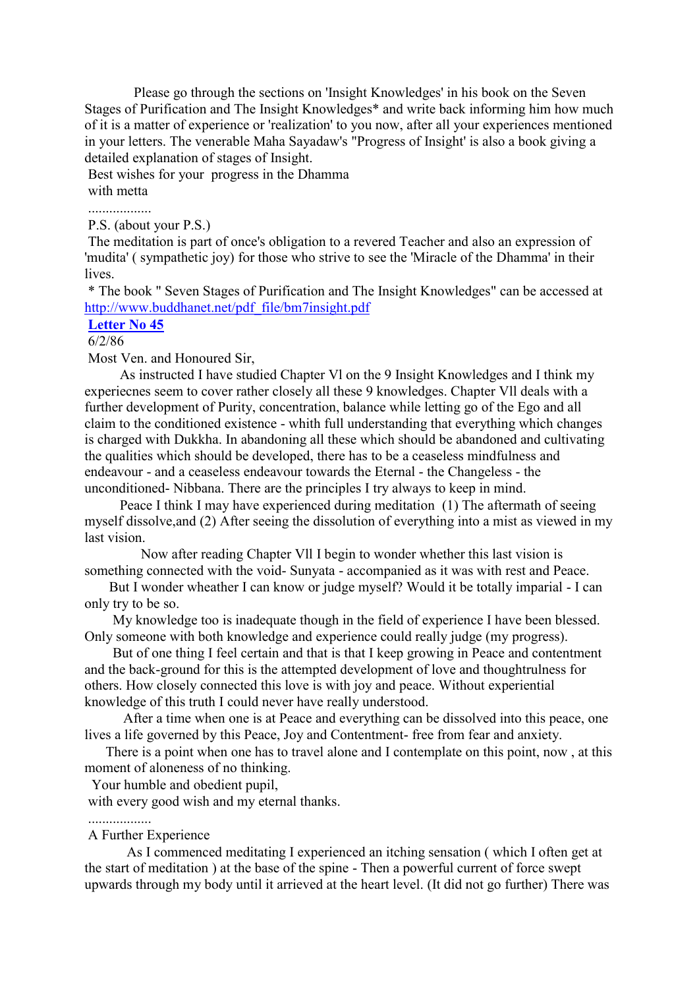Please go through the sections on 'Insight Knowledges' in his book on the Seven Stages of Purification and The Insight Knowledges\* and write back informing him how much of it is a matter of experience or 'realization' to you now, after all your experiences mentioned in your letters. The venerable Maha Sayadaw's "Progress of Insight' is also a book giving a detailed explanation of stages of Insight.

Best wishes for your progress in the Dhamma with metta

..................

P.S. (about your P.S.)

The meditation is part of once's obligation to a revered Teacher and also an expression of 'mudita' ( sympathetic joy) for those who strive to see the 'Miracle of the Dhamma' in their lives.

\* The book " Seven Stages of Purification and The Insight Knowledges" can be accessed at [http://www.buddhanet.net/pdf\\_file/bm7insight.pdf](http://www.buddhanet.net/pdf_file/bm7insight.pdf)

**[Letter No 45](http://comemeditate.webs.com/apps/blog/show/4704130-letter-no-45)**

# 6/2/86

Most Ven. and Honoured Sir,

As instructed I have studied Chapter Vl on the 9 Insight Knowledges and I think my experiecnes seem to cover rather closely all these 9 knowledges. Chapter Vll deals with a further development of Purity, concentration, balance while letting go of the Ego and all claim to the conditioned existence - whith full understanding that everything which changes is charged with Dukkha. In abandoning all these which should be abandoned and cultivating the qualities which should be developed, there has to be a ceaseless mindfulness and endeavour - and a ceaseless endeavour towards the Eternal - the Changeless - the unconditioned- Nibbana. There are the principles I try always to keep in mind.

Peace I think I may have experienced during meditation (1) The aftermath of seeing myself dissolve,and (2) After seeing the dissolution of everything into a mist as viewed in my last vision.

Now after reading Chapter Vll I begin to wonder whether this last vision is something connected with the void- Sunyata - accompanied as it was with rest and Peace.

But I wonder wheather I can know or judge myself? Would it be totally imparial - I can only try to be so.

My knowledge too is inadequate though in the field of experience I have been blessed. Only someone with both knowledge and experience could really judge (my progress).

But of one thing I feel certain and that is that I keep growing in Peace and contentment and the back-ground for this is the attempted development of love and thoughtrulness for others. How closely connected this love is with joy and peace. Without experiential knowledge of this truth I could never have really understood.

After a time when one is at Peace and everything can be dissolved into this peace, one lives a life governed by this Peace, Joy and Contentment- free from fear and anxiety.

There is a point when one has to travel alone and I contemplate on this point, now , at this moment of aloneness of no thinking.

Your humble and obedient pupil,

with every good wish and my eternal thanks.

#### A Further Experience

..................

As I commenced meditating I experienced an itching sensation ( which I often get at the start of meditation ) at the base of the spine - Then a powerful current of force swept upwards through my body until it arrieved at the heart level. (It did not go further) There was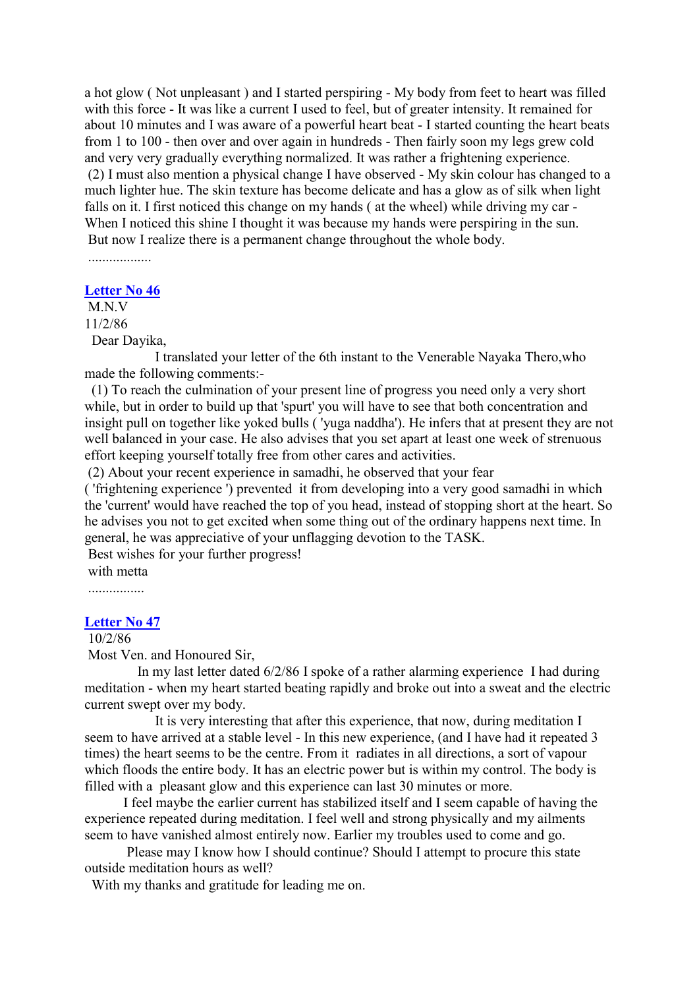a hot glow ( Not unpleasant ) and I started perspiring - My body from feet to heart was filled with this force - It was like a current I used to feel, but of greater intensity. It remained for about 10 minutes and I was aware of a powerful heart beat - I started counting the heart beats from 1 to 100 - then over and over again in hundreds - Then fairly soon my legs grew cold and very very gradually everything normalized. It was rather a frightening experience. (2) I must also mention a physical change I have observed - My skin colour has changed to a much lighter hue. The skin texture has become delicate and has a glow as of silk when light falls on it. I first noticed this change on my hands ( at the wheel) while driving my car - When I noticed this shine I thought it was because my hands were perspiring in the sun. But now I realize there is a permanent change throughout the whole body.

..................

#### **[Letter No 46](http://comemeditate.webs.com/apps/blog/show/4704115-letter-no-46)**

M<sub>N</sub> 11/2/86 Dear Dayika,

I translated your letter of the 6th instant to the Venerable Nayaka Thero,who made the following comments:-

(1) To reach the culmination of your present line of progress you need only a very short while, but in order to build up that 'spurt' you will have to see that both concentration and insight pull on together like yoked bulls ( 'yuga naddha'). He infers that at present they are not well balanced in your case. He also advises that you set apart at least one week of strenuous effort keeping yourself totally free from other cares and activities.

(2) About your recent experience in samadhi, he observed that your fear

( 'frightening experience ') prevented it from developing into a very good samadhi in which the 'current' would have reached the top of you head, instead of stopping short at the heart. So he advises you not to get excited when some thing out of the ordinary happens next time. In general, he was appreciative of your unflagging devotion to the TASK.

Best wishes for your further progress!

with metta

................

#### **[Letter No 47](http://comemeditate.webs.com/apps/blog/show/4704110-letter-no-47)**

# 10/2/86

Most Ven. and Honoured Sir,

In my last letter dated 6/2/86 I spoke of a rather alarming experience I had during meditation - when my heart started beating rapidly and broke out into a sweat and the electric current swept over my body.

It is very interesting that after this experience, that now, during meditation I seem to have arrived at a stable level - In this new experience, (and I have had it repeated 3 times) the heart seems to be the centre. From it radiates in all directions, a sort of vapour which floods the entire body. It has an electric power but is within my control. The body is filled with a pleasant glow and this experience can last 30 minutes or more.

I feel maybe the earlier current has stabilized itself and I seem capable of having the experience repeated during meditation. I feel well and strong physically and my ailments seem to have vanished almost entirely now. Earlier my troubles used to come and go.

Please may I know how I should continue? Should I attempt to procure this state outside meditation hours as well?

With my thanks and gratitude for leading me on.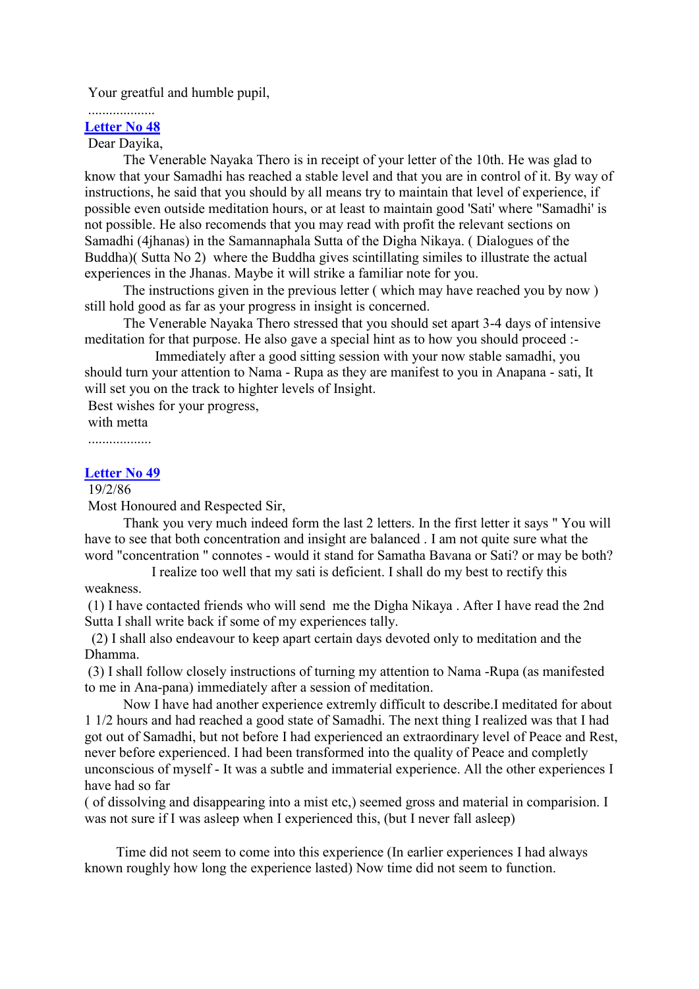Your greatful and humble pupil,

#### ................... **[Letter No 48](http://comemeditate.webs.com/apps/blog/show/4704090-letter-no-48)**

# Dear Dayika,

The Venerable Nayaka Thero is in receipt of your letter of the 10th. He was glad to know that your Samadhi has reached a stable level and that you are in control of it. By way of instructions, he said that you should by all means try to maintain that level of experience, if possible even outside meditation hours, or at least to maintain good 'Sati' where "Samadhi' is not possible. He also recomends that you may read with profit the relevant sections on Samadhi (4jhanas) in the Samannaphala Sutta of the Digha Nikaya. ( Dialogues of the Buddha)( Sutta No 2) where the Buddha gives scintillating similes to illustrate the actual experiences in the Jhanas. Maybe it will strike a familiar note for you.

The instructions given in the previous letter ( which may have reached you by now ) still hold good as far as your progress in insight is concerned.

The Venerable Nayaka Thero stressed that you should set apart 3-4 days of intensive meditation for that purpose. He also gave a special hint as to how you should proceed :-

Immediately after a good sitting session with your now stable samadhi, you should turn your attention to Nama - Rupa as they are manifest to you in Anapana - sati, It will set you on the track to highter levels of Insight.

Best wishes for your progress,

with metta ..................

# **[Letter No 49](http://comemeditate.webs.com/apps/blog/show/4704084-letter-no-49)**

19/2/86

Most Honoured and Respected Sir,

Thank you very much indeed form the last 2 letters. In the first letter it says " You will have to see that both concentration and insight are balanced . I am not quite sure what the word "concentration " connotes - would it stand for Samatha Bavana or Sati? or may be both?

I realize too well that my sati is deficient. I shall do my best to rectify this weakness.

(1) I have contacted friends who will send me the Digha Nikaya . After I have read the 2nd Sutta I shall write back if some of my experiences tally.

(2) I shall also endeavour to keep apart certain days devoted only to meditation and the Dhamma.

(3) I shall follow closely instructions of turning my attention to Nama -Rupa (as manifested to me in Ana-pana) immediately after a session of meditation.

Now I have had another experience extremly difficult to describe.I meditated for about 1 1/2 hours and had reached a good state of Samadhi. The next thing I realized was that I had got out of Samadhi, but not before I had experienced an extraordinary level of Peace and Rest, never before experienced. I had been transformed into the quality of Peace and completly unconscious of myself - It was a subtle and immaterial experience. All the other experiences I have had so far

( of dissolving and disappearing into a mist etc,) seemed gross and material in comparision. I was not sure if I was asleep when I experienced this, (but I never fall asleep)

Time did not seem to come into this experience (In earlier experiences I had always known roughly how long the experience lasted) Now time did not seem to function.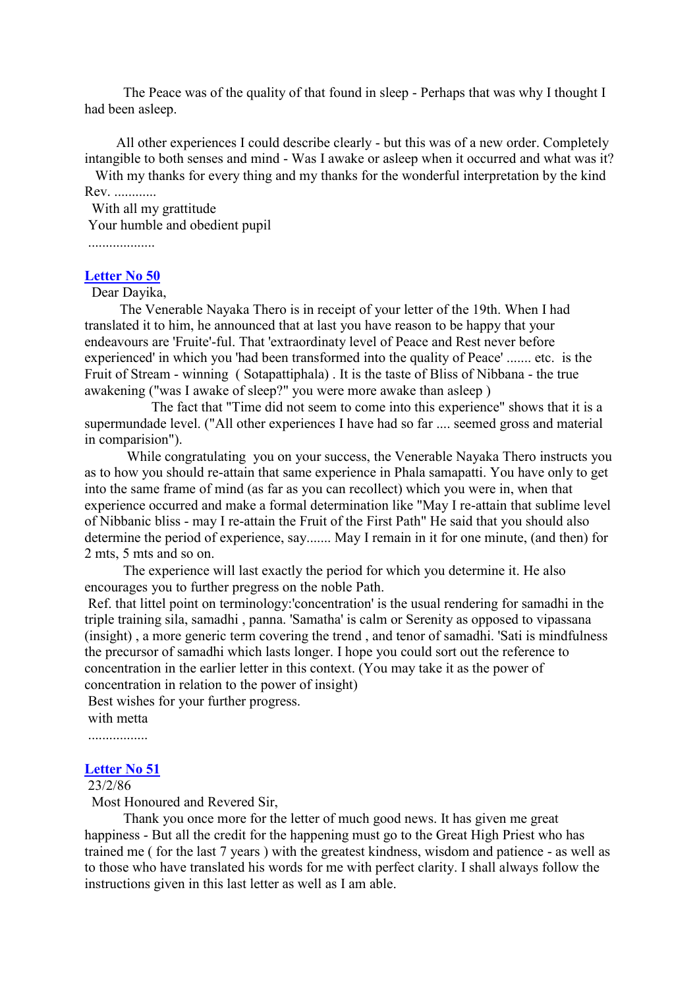The Peace was of the quality of that found in sleep - Perhaps that was why I thought I had been asleep.

All other experiences I could describe clearly - but this was of a new order. Completely intangible to both senses and mind - Was I awake or asleep when it occurred and what was it?

With my thanks for every thing and my thanks for the wonderful interpretation by the kind Rev. ............

With all my grattitude Your humble and obedient pupil

...................

# **[Letter No 50](http://comemeditate.webs.com/apps/blog/show/4704078-letter-no-50)**

Dear Dayika,

The Venerable Nayaka Thero is in receipt of your letter of the 19th. When I had translated it to him, he announced that at last you have reason to be happy that your endeavours are 'Fruite'-ful. That 'extraordinaty level of Peace and Rest never before experienced' in which you 'had been transformed into the quality of Peace' ....... etc. is the Fruit of Stream - winning ( Sotapattiphala) . It is the taste of Bliss of Nibbana - the true awakening ("was I awake of sleep?" you were more awake than asleep )

The fact that "Time did not seem to come into this experience" shows that it is a supermundade level. ("All other experiences I have had so far .... seemed gross and material in comparision").

While congratulating you on your success, the Venerable Nayaka Thero instructs you as to how you should re-attain that same experience in Phala samapatti. You have only to get into the same frame of mind (as far as you can recollect) which you were in, when that experience occurred and make a formal determination like "May I re-attain that sublime level of Nibbanic bliss - may I re-attain the Fruit of the First Path" He said that you should also determine the period of experience, say....... May I remain in it for one minute, (and then) for 2 mts, 5 mts and so on.

The experience will last exactly the period for which you determine it. He also encourages you to further pregress on the noble Path.

Ref. that littel point on terminology:'concentration' is the usual rendering for samadhi in the triple training sila, samadhi , panna. 'Samatha' is calm or Serenity as opposed to vipassana (insight) , a more generic term covering the trend , and tenor of samadhi. 'Sati is mindfulness the precursor of samadhi which lasts longer. I hope you could sort out the reference to concentration in the earlier letter in this context. (You may take it as the power of concentration in relation to the power of insight)

Best wishes for your further progress. with metta

.................

# **[Letter No 51](http://comemeditate.webs.com/apps/blog/show/4703949-letter-no-51)**

# 23/2/86

Most Honoured and Revered Sir,

Thank you once more for the letter of much good news. It has given me great happiness - But all the credit for the happening must go to the Great High Priest who has trained me ( for the last 7 years ) with the greatest kindness, wisdom and patience - as well as to those who have translated his words for me with perfect clarity. I shall always follow the instructions given in this last letter as well as I am able.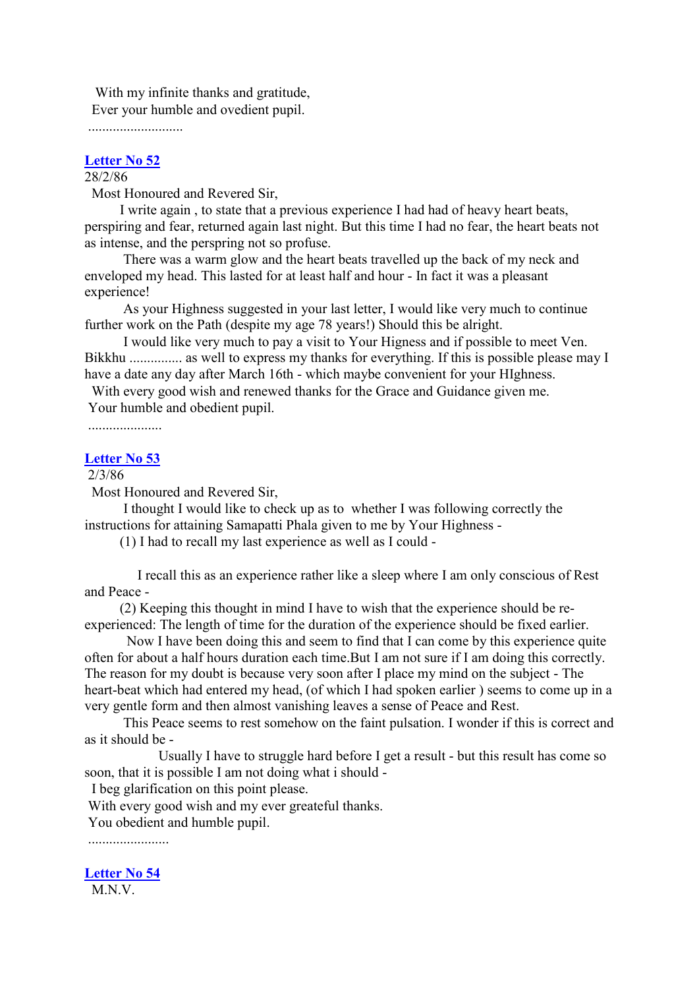With my infinite thanks and gratitude, Ever your humble and ovedient pupil.

...........................

#### **[Letter No 52](http://comemeditate.webs.com/apps/blog/show/4703944-letter-no-52)**

# 28/2/86

Most Honoured and Revered Sir,

I write again , to state that a previous experience I had had of heavy heart beats, perspiring and fear, returned again last night. But this time I had no fear, the heart beats not as intense, and the perspring not so profuse.

There was a warm glow and the heart beats travelled up the back of my neck and enveloped my head. This lasted for at least half and hour - In fact it was a pleasant experience!

As your Highness suggested in your last letter, I would like very much to continue further work on the Path (despite my age 78 years!) Should this be alright.

I would like very much to pay a visit to Your Higness and if possible to meet Ven. Bikkhu ............... as well to express my thanks for everything. If this is possible please may I have a date any day after March 16th - which maybe convenient for your HIghness.

With every good wish and renewed thanks for the Grace and Guidance given me. Your humble and obedient pupil.

.....................

## **[Letter No 53](http://comemeditate.webs.com/apps/blog/show/4703935-letter-no-53)**

## 2/3/86

Most Honoured and Revered Sir,

I thought I would like to check up as to whether I was following correctly the instructions for attaining Samapatti Phala given to me by Your Highness -

(1) I had to recall my last experience as well as I could -

I recall this as an experience rather like a sleep where I am only conscious of Rest and Peace -

(2) Keeping this thought in mind I have to wish that the experience should be reexperienced: The length of time for the duration of the experience should be fixed earlier.

Now I have been doing this and seem to find that I can come by this experience quite often for about a half hours duration each time.But I am not sure if I am doing this correctly. The reason for my doubt is because very soon after I place my mind on the subject - The heart-beat which had entered my head, (of which I had spoken earlier ) seems to come up in a very gentle form and then almost vanishing leaves a sense of Peace and Rest.

This Peace seems to rest somehow on the faint pulsation. I wonder if this is correct and as it should be -

Usually I have to struggle hard before I get a result - but this result has come so soon, that it is possible I am not doing what i should -

I beg glarification on this point please.

With every good wish and my ever greateful thanks.

You obedient and humble pupil.

.......................

**[Letter No 54](http://comemeditate.webs.com/apps/blog/show/4703933-letter-no-54)**

M.N.V.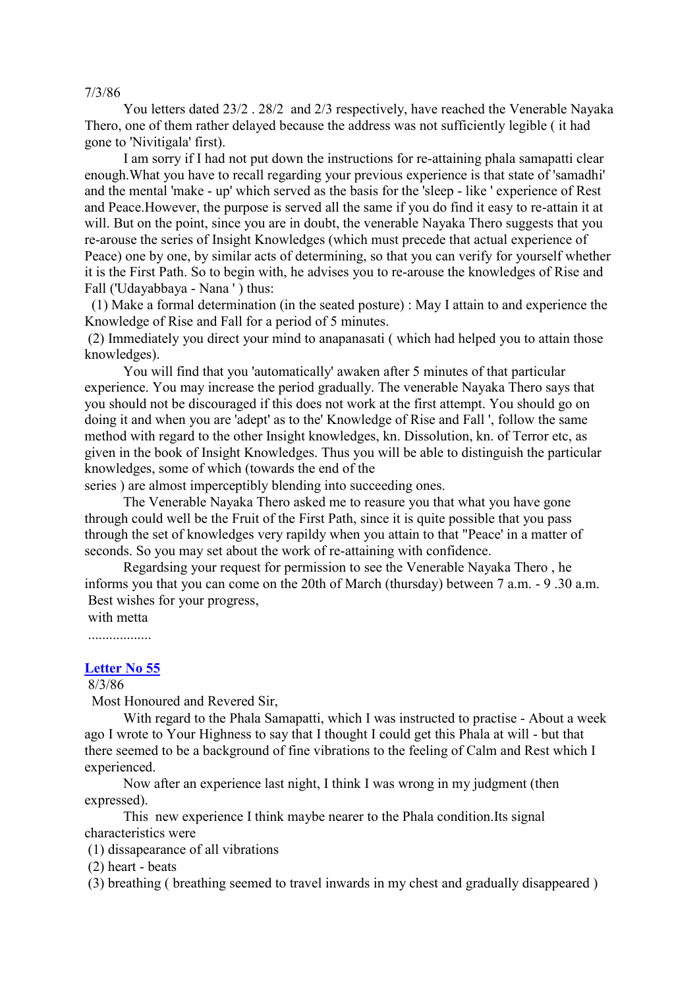7/3/86

You letters dated 23/2 . 28/2 and 2/3 respectively, have reached the Venerable Nayaka Thero, one of them rather delayed because the address was not sufficiently legible ( it had gone to 'Nivitigala' first).

I am sorry if I had not put down the instructions for re-attaining phala samapatti clear enough.What you have to recall regarding your previous experience is that state of 'samadhi' and the mental 'make - up' which served as the basis for the 'sleep - like ' experience of Rest and Peace.However, the purpose is served all the same if you do find it easy to re-attain it at will. But on the point, since you are in doubt, the venerable Nayaka Thero suggests that you re-arouse the series of Insight Knowledges (which must precede that actual experience of Peace) one by one, by similar acts of determining, so that you can verify for yourself whether it is the First Path. So to begin with, he advises you to re-arouse the knowledges of Rise and Fall ('Udayabbaya - Nana ' ) thus:

(1) Make a formal determination (in the seated posture) : May I attain to and experience the Knowledge of Rise and Fall for a period of 5 minutes.

(2) Immediately you direct your mind to anapanasati ( which had helped you to attain those knowledges).

You will find that you 'automatically' awaken after 5 minutes of that particular experience. You may increase the period gradually. The venerable Nayaka Thero says that you should not be discouraged if this does not work at the first attempt. You should go on doing it and when you are 'adept' as to the' Knowledge of Rise and Fall ', follow the same method with regard to the other Insight knowledges, kn. Dissolution, kn. of Terror etc, as given in the book of Insight Knowledges. Thus you will be able to distinguish the particular knowledges, some of which (towards the end of the

series ) are almost imperceptibly blending into succeeding ones.

The Venerable Nayaka Thero asked me to reasure you that what you have gone through could well be the Fruit of the First Path, since it is quite possible that you pass through the set of knowledges very rapildy when you attain to that "Peace' in a matter of seconds. So you may set about the work of re-attaining with confidence.

Regardsing your request for permission to see the Venerable Nayaka Thero , he informs you that you can come on the 20th of March (thursday) between 7 a.m. - 9 .30 a.m. Best wishes for your progress,

with metta

..................

## **[Letter No 55](http://comemeditate.webs.com/apps/blog/show/4703925-letter-no-55)**

8/3/86

Most Honoured and Revered Sir,

With regard to the Phala Samapatti, which I was instructed to practise - About a week ago I wrote to Your Highness to say that I thought I could get this Phala at will - but that there seemed to be a background of fine vibrations to the feeling of Calm and Rest which I experienced.

Now after an experience last night, I think I was wrong in my judgment (then expressed).

This new experience I think maybe nearer to the Phala condition.Its signal characteristics were

(1) dissapearance of all vibrations

(2) heart - beats

(3) breathing ( breathing seemed to travel inwards in my chest and gradually disappeared )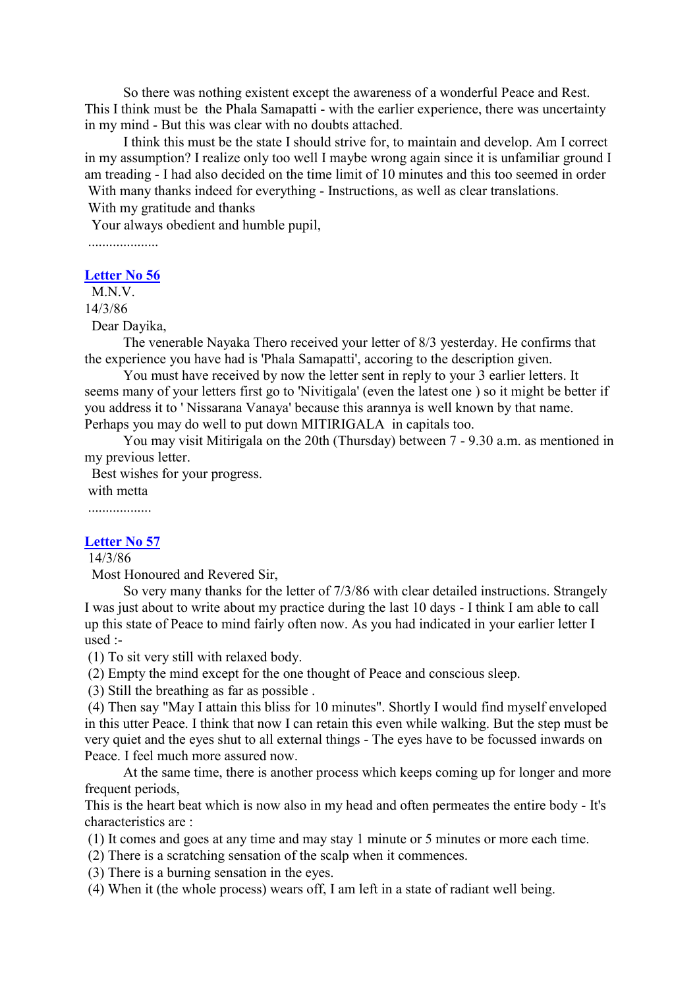So there was nothing existent except the awareness of a wonderful Peace and Rest. This I think must be the Phala Samapatti - with the earlier experience, there was uncertainty in my mind - But this was clear with no doubts attached.

I think this must be the state I should strive for, to maintain and develop. Am I correct in my assumption? I realize only too well I maybe wrong again since it is unfamiliar ground I am treading - I had also decided on the time limit of 10 minutes and this too seemed in order With many thanks indeed for everything - Instructions, as well as clear translations.

With my gratitude and thanks

Your always obedient and humble pupil,

....................

**[Letter No 56](http://comemeditate.webs.com/apps/blog/show/4703920-letter-no-56)** M<sub>N</sub>V

14/3/86

Dear Dayika,

The venerable Nayaka Thero received your letter of 8/3 yesterday. He confirms that the experience you have had is 'Phala Samapatti', accoring to the description given.

You must have received by now the letter sent in reply to your 3 earlier letters. It seems many of your letters first go to 'Nivitigala' (even the latest one ) so it might be better if you address it to ' Nissarana Vanaya' because this arannya is well known by that name. Perhaps you may do well to put down MITIRIGALA in capitals too.

You may visit Mitirigala on the 20th (Thursday) between 7 - 9.30 a.m. as mentioned in my previous letter.

Best wishes for your progress.

with metta

..................

## **[Letter No 57](http://comemeditate.webs.com/apps/blog/show/4703913-letter-no-57)**

14/3/86

Most Honoured and Revered Sir,

So very many thanks for the letter of 7/3/86 with clear detailed instructions. Strangely I was just about to write about my practice during the last 10 days - I think I am able to call up this state of Peace to mind fairly often now. As you had indicated in your earlier letter I used :-

(1) To sit very still with relaxed body.

(2) Empty the mind except for the one thought of Peace and conscious sleep.

(3) Still the breathing as far as possible .

(4) Then say "May I attain this bliss for 10 minutes". Shortly I would find myself enveloped in this utter Peace. I think that now I can retain this even while walking. But the step must be very quiet and the eyes shut to all external things - The eyes have to be focussed inwards on Peace. I feel much more assured now.

At the same time, there is another process which keeps coming up for longer and more frequent periods,

This is the heart beat which is now also in my head and often permeates the entire body - It's characteristics are :

(1) It comes and goes at any time and may stay 1 minute or 5 minutes or more each time.

(2) There is a scratching sensation of the scalp when it commences.

(3) There is a burning sensation in the eyes.

(4) When it (the whole process) wears off, I am left in a state of radiant well being.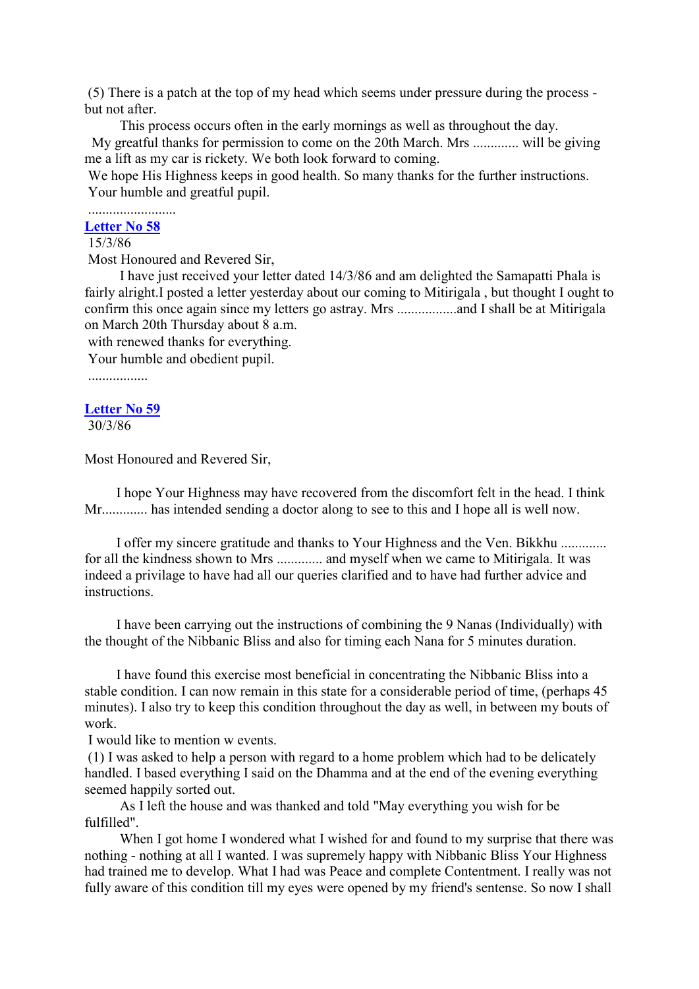(5) There is a patch at the top of my head which seems under pressure during the process but not after.

This process occurs often in the early mornings as well as throughout the day. My greatful thanks for permission to come on the 20th March. Mrs ............. will be giving me a lift as my car is rickety. We both look forward to coming.

We hope His Highness keeps in good health. So many thanks for the further instructions. Your humble and greatful pupil.

#### ......................... **[Letter No 58](http://comemeditate.webs.com/apps/blog/show/4681182-letter-no-58)**

# 15/3/86

Most Honoured and Revered Sir,

I have just received your letter dated 14/3/86 and am delighted the Samapatti Phala is fairly alright.I posted a letter vesterday about our coming to Mitirigala, but thought I ought to confirm this once again since my letters go astray. Mrs .................and I shall be at Mitirigala on March 20th Thursday about 8 a.m.

with renewed thanks for everything.

Your humble and obedient pupil.

.................

## **[Letter No 59](http://comemeditate.webs.com/apps/blog/show/4681176-letter-59)**

30/3/86

Most Honoured and Revered Sir,

I hope Your Highness may have recovered from the discomfort felt in the head. I think Mr............. has intended sending a doctor along to see to this and I hope all is well now.

I offer my sincere gratitude and thanks to Your Highness and the Ven. Bikkhu ............. for all the kindness shown to Mrs ............. and myself when we came to Mitirigala. It was indeed a privilage to have had all our queries clarified and to have had further advice and instructions.

I have been carrying out the instructions of combining the 9 Nanas (Individually) with the thought of the Nibbanic Bliss and also for timing each Nana for 5 minutes duration.

I have found this exercise most beneficial in concentrating the Nibbanic Bliss into a stable condition. I can now remain in this state for a considerable period of time, (perhaps 45 minutes). I also try to keep this condition throughout the day as well, in between my bouts of work.

I would like to mention w events.

(1) I was asked to help a person with regard to a home problem which had to be delicately handled. I based everything I said on the Dhamma and at the end of the evening everything seemed happily sorted out.

As I left the house and was thanked and told "May everything you wish for be fulfilled".

When I got home I wondered what I wished for and found to my surprise that there was nothing - nothing at all I wanted. I was supremely happy with Nibbanic Bliss Your Highness had trained me to develop. What I had was Peace and complete Contentment. I really was not fully aware of this condition till my eyes were opened by my friend's sentense. So now I shall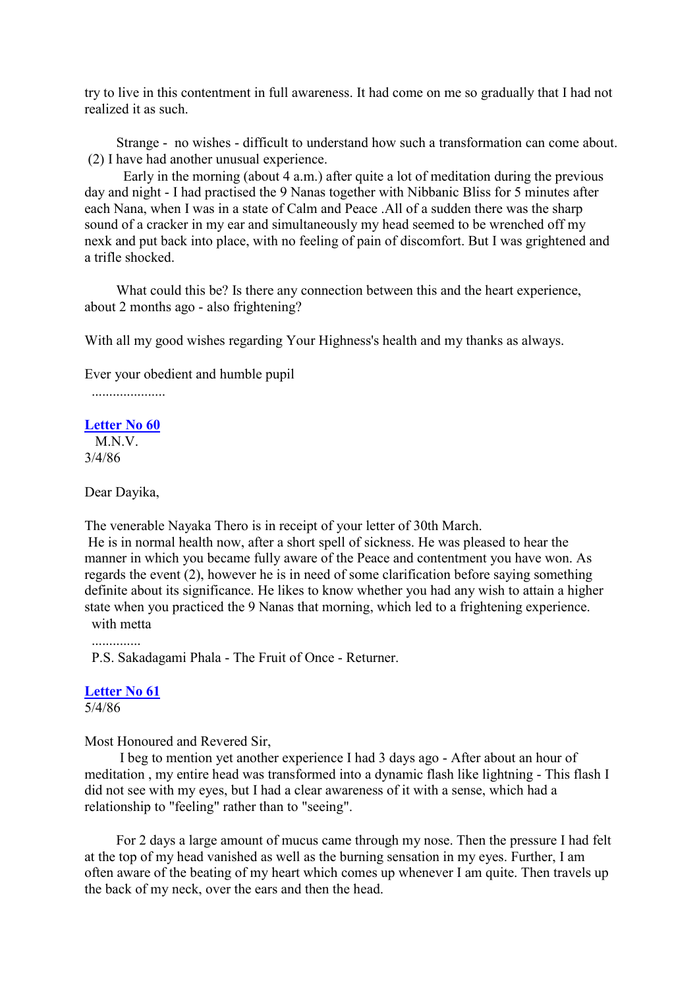try to live in this contentment in full awareness. It had come on me so gradually that I had not realized it as such.

Strange - no wishes - difficult to understand how such a transformation can come about. (2) I have had another unusual experience.

Early in the morning (about 4 a.m.) after quite a lot of meditation during the previous day and night - I had practised the 9 Nanas together with Nibbanic Bliss for 5 minutes after each Nana, when I was in a state of Calm and Peace .All of a sudden there was the sharp sound of a cracker in my ear and simultaneously my head seemed to be wrenched off my nexk and put back into place, with no feeling of pain of discomfort. But I was grightened and a trifle shocked.

What could this be? Is there any connection between this and the heart experience, about 2 months ago - also frightening?

With all my good wishes regarding Your Highness's health and my thanks as always.

Ever your obedient and humble pupil

.....................

#### **[Letter No 60](http://comemeditate.webs.com/apps/blog/show/4681165-letter-60)**

M.N.V. 3/4/86

Dear Dayika,

The venerable Nayaka Thero is in receipt of your letter of 30th March.

He is in normal health now, after a short spell of sickness. He was pleased to hear the manner in which you became fully aware of the Peace and contentment you have won. As regards the event (2), however he is in need of some clarification before saying something definite about its significance. He likes to know whether you had any wish to attain a higher state when you practiced the 9 Nanas that morning, which led to a frightening experience. with metta

P.S. Sakadagami Phala - The Fruit of Once - Returner.

### **[Letter No 61](http://comemeditate.webs.com/apps/blog/show/4681159-letter-no-61)**

5/4/86

Most Honoured and Revered Sir,

I beg to mention yet another experience I had 3 days ago - After about an hour of meditation , my entire head was transformed into a dynamic flash like lightning - This flash I did not see with my eyes, but I had a clear awareness of it with a sense, which had a relationship to "feeling" rather than to "seeing".

For 2 days a large amount of mucus came through my nose. Then the pressure I had felt at the top of my head vanished as well as the burning sensation in my eyes. Further, I am often aware of the beating of my heart which comes up whenever I am quite. Then travels up the back of my neck, over the ears and then the head.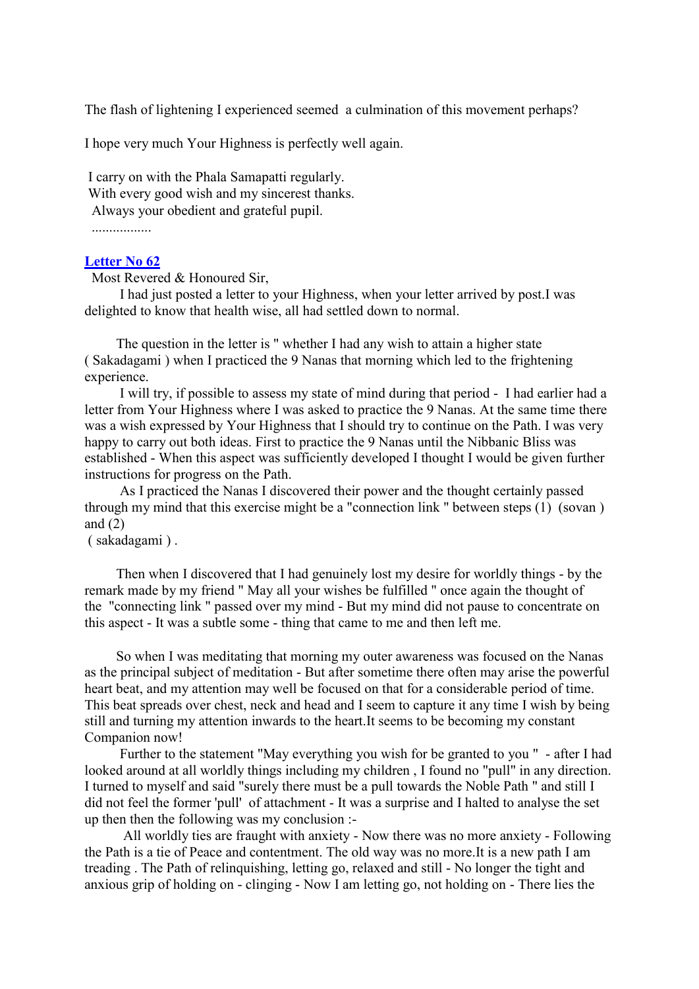The flash of lightening I experienced seemed a culmination of this movement perhaps?

I hope very much Your Highness is perfectly well again.

I carry on with the Phala Samapatti regularly. With every good wish and my sincerest thanks. Always your obedient and grateful pupil.

.................

## **[Letter No 62](http://comemeditate.webs.com/apps/blog/show/4681154-letter-no-62)**

Most Revered & Honoured Sir,

I had just posted a letter to your Highness, when your letter arrived by post.I was delighted to know that health wise, all had settled down to normal.

The question in the letter is " whether I had any wish to attain a higher state ( Sakadagami ) when I practiced the 9 Nanas that morning which led to the frightening experience.

I will try, if possible to assess my state of mind during that period - I had earlier had a letter from Your Highness where I was asked to practice the 9 Nanas. At the same time there was a wish expressed by Your Highness that I should try to continue on the Path. I was very happy to carry out both ideas. First to practice the 9 Nanas until the Nibbanic Bliss was established - When this aspect was sufficiently developed I thought I would be given further instructions for progress on the Path.

As I practiced the Nanas I discovered their power and the thought certainly passed through my mind that this exercise might be a "connection link " between steps (1) (sovan ) and  $(2)$ 

( sakadagami ) .

Then when I discovered that I had genuinely lost my desire for worldly things - by the remark made by my friend " May all your wishes be fulfilled " once again the thought of the "connecting link " passed over my mind - But my mind did not pause to concentrate on this aspect - It was a subtle some - thing that came to me and then left me.

So when I was meditating that morning my outer awareness was focused on the Nanas as the principal subject of meditation - But after sometime there often may arise the powerful heart beat, and my attention may well be focused on that for a considerable period of time. This beat spreads over chest, neck and head and I seem to capture it any time I wish by being still and turning my attention inwards to the heart.It seems to be becoming my constant Companion now!

Further to the statement "May everything you wish for be granted to you " - after I had looked around at all worldly things including my children , I found no "pull" in any direction. I turned to myself and said "surely there must be a pull towards the Noble Path " and still I did not feel the former 'pull' of attachment - It was a surprise and I halted to analyse the set up then then the following was my conclusion :-

All worldly ties are fraught with anxiety - Now there was no more anxiety - Following the Path is a tie of Peace and contentment. The old way was no more.It is a new path I am treading . The Path of relinquishing, letting go, relaxed and still - No longer the tight and anxious grip of holding on - clinging - Now I am letting go, not holding on - There lies the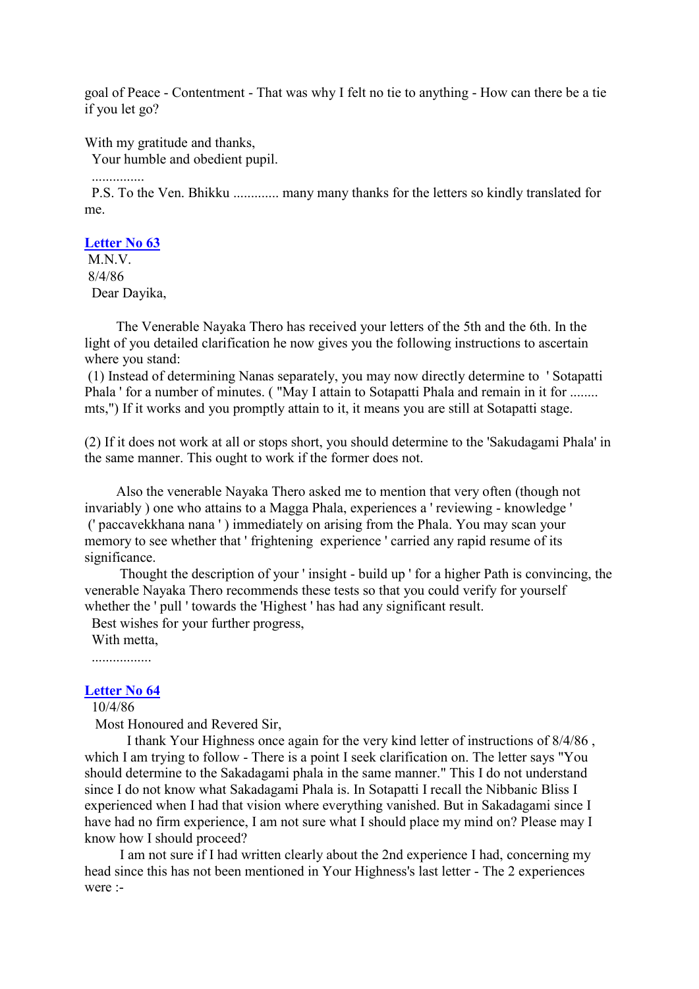goal of Peace - Contentment - That was why I felt no tie to anything - How can there be a tie if you let go?

With my gratitude and thanks,

Your humble and obedient pupil.

...............

P.S. To the Ven. Bhikku ............. many many thanks for the letters so kindly translated for me.

#### **[Letter No 63](http://comemeditate.webs.com/apps/blog/show/4681149-letter-no-63)**

M.N.V. 8/4/86 Dear Dayika,

The Venerable Nayaka Thero has received your letters of the 5th and the 6th. In the light of you detailed clarification he now gives you the following instructions to ascertain where you stand:

(1) Instead of determining Nanas separately, you may now directly determine to ' Sotapatti Phala ' for a number of minutes. ("May I attain to Sotapatti Phala and remain in it for ........ mts,") If it works and you promptly attain to it, it means you are still at Sotapatti stage.

(2) If it does not work at all or stops short, you should determine to the 'Sakudagami Phala' in the same manner. This ought to work if the former does not.

Also the venerable Nayaka Thero asked me to mention that very often (though not invariably ) one who attains to a Magga Phala, experiences a ' reviewing - knowledge ' (' paccavekkhana nana ' ) immediately on arising from the Phala. You may scan your memory to see whether that ' frightening experience ' carried any rapid resume of its significance.

Thought the description of your ' insight - build up ' for a higher Path is convincing, the venerable Nayaka Thero recommends these tests so that you could verify for yourself whether the ' pull ' towards the 'Highest ' has had any significant result.

Best wishes for your further progress,

With metta

.................

# **[Letter No 64](http://comemeditate.webs.com/apps/blog/show/4681139-letter-no-64)**

10/4/86

Most Honoured and Revered Sir,

I thank Your Highness once again for the very kind letter of instructions of 8/4/86 , which I am trying to follow - There is a point I seek clarification on. The letter says "You should determine to the Sakadagami phala in the same manner." This I do not understand since I do not know what Sakadagami Phala is. In Sotapatti I recall the Nibbanic Bliss I experienced when I had that vision where everything vanished. But in Sakadagami since I have had no firm experience, I am not sure what I should place my mind on? Please may I know how I should proceed?

I am not sure if I had written clearly about the 2nd experience I had, concerning my head since this has not been mentioned in Your Highness's last letter - The 2 experiences were :-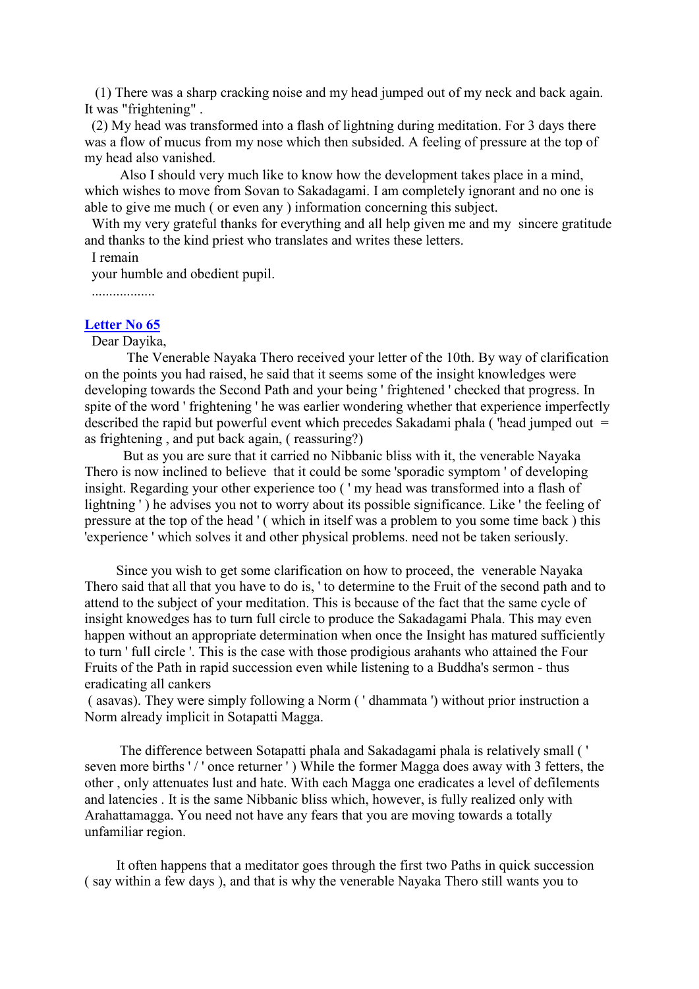(1) There was a sharp cracking noise and my head jumped out of my neck and back again. It was "frightening" .

(2) My head was transformed into a flash of lightning during meditation. For 3 days there was a flow of mucus from my nose which then subsided. A feeling of pressure at the top of my head also vanished.

Also I should very much like to know how the development takes place in a mind, which wishes to move from Sovan to Sakadagami. I am completely ignorant and no one is able to give me much ( or even any ) information concerning this subject.

With my very grateful thanks for everything and all help given me and my sincere gratitude and thanks to the kind priest who translates and writes these letters.

I remain

your humble and obedient pupil.

..................

# **[Letter No 65](http://comemeditate.webs.com/apps/blog/show/4681063-letter-no-65)**

#### Dear Dayika,

The Venerable Nayaka Thero received your letter of the 10th. By way of clarification on the points you had raised, he said that it seems some of the insight knowledges were developing towards the Second Path and your being ' frightened ' checked that progress. In spite of the word ' frightening ' he was earlier wondering whether that experience imperfectly described the rapid but powerful event which precedes Sakadami phala ('head jumped out  $=$ as frightening , and put back again, ( reassuring?)

But as you are sure that it carried no Nibbanic bliss with it, the venerable Nayaka Thero is now inclined to believe that it could be some 'sporadic symptom ' of developing insight. Regarding your other experience too ( ' my head was transformed into a flash of lightning ' ) he advises you not to worry about its possible significance. Like ' the feeling of pressure at the top of the head ' ( which in itself was a problem to you some time back ) this 'experience ' which solves it and other physical problems. need not be taken seriously.

Since you wish to get some clarification on how to proceed, the venerable Nayaka Thero said that all that you have to do is, ' to determine to the Fruit of the second path and to attend to the subject of your meditation. This is because of the fact that the same cycle of insight knowedges has to turn full circle to produce the Sakadagami Phala. This may even happen without an appropriate determination when once the Insight has matured sufficiently to turn ' full circle '. This is the case with those prodigious arahants who attained the Four Fruits of the Path in rapid succession even while listening to a Buddha's sermon - thus eradicating all cankers

( asavas). They were simply following a Norm ( ' dhammata ') without prior instruction a Norm already implicit in Sotapatti Magga.

The difference between Sotapatti phala and Sakadagami phala is relatively small ( ' seven more births '/' once returner') While the former Magga does away with 3 fetters, the other , only attenuates lust and hate. With each Magga one eradicates a level of defilements and latencies . It is the same Nibbanic bliss which, however, is fully realized only with Arahattamagga. You need not have any fears that you are moving towards a totally unfamiliar region.

It often happens that a meditator goes through the first two Paths in quick succession ( say within a few days ), and that is why the venerable Nayaka Thero still wants you to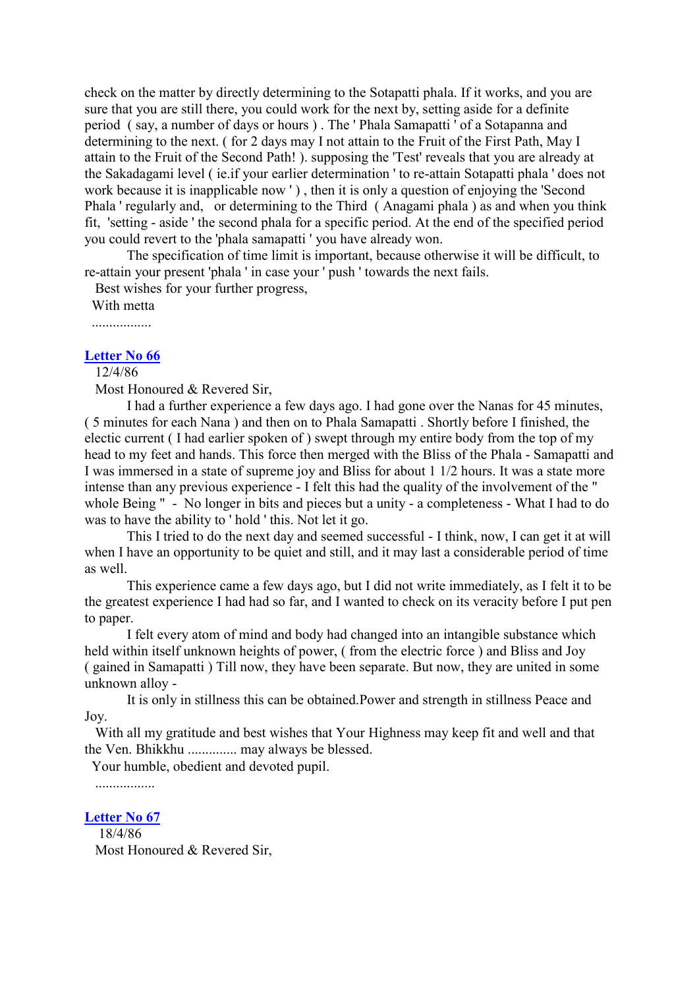check on the matter by directly determining to the Sotapatti phala. If it works, and you are sure that you are still there, you could work for the next by, setting aside for a definite period ( say, a number of days or hours ) . The ' Phala Samapatti ' of a Sotapanna and determining to the next. ( for 2 days may I not attain to the Fruit of the First Path, May I attain to the Fruit of the Second Path! ). supposing the 'Test' reveals that you are already at the Sakadagami level ( ie.if your earlier determination ' to re-attain Sotapatti phala ' does not work because it is inapplicable now ' ) , then it is only a question of enjoying the 'Second Phala ' regularly and, or determining to the Third ( Anagami phala ) as and when you think fit, 'setting - aside ' the second phala for a specific period. At the end of the specified period you could revert to the 'phala samapatti ' you have already won.

The specification of time limit is important, because otherwise it will be difficult, to re-attain your present 'phala ' in case your ' push ' towards the next fails.

Best wishes for your further progress,

With metta

.................

# **[Letter No 66](http://comemeditate.webs.com/apps/blog/show/4681059-letter-no-66)**

12/4/86

Most Honoured & Revered Sir,

I had a further experience a few days ago. I had gone over the Nanas for 45 minutes, ( 5 minutes for each Nana ) and then on to Phala Samapatti . Shortly before I finished, the electic current ( I had earlier spoken of ) swept through my entire body from the top of my head to my feet and hands. This force then merged with the Bliss of the Phala - Samapatti and I was immersed in a state of supreme joy and Bliss for about 1 1/2 hours. It was a state more intense than any previous experience - I felt this had the quality of the involvement of the " whole Being " - No longer in bits and pieces but a unity - a completeness - What I had to do was to have the ability to ' hold ' this. Not let it go.

This I tried to do the next day and seemed successful - I think, now, I can get it at will when I have an opportunity to be quiet and still, and it may last a considerable period of time as well.

This experience came a few days ago, but I did not write immediately, as I felt it to be the greatest experience I had had so far, and I wanted to check on its veracity before I put pen to paper.

I felt every atom of mind and body had changed into an intangible substance which held within itself unknown heights of power, ( from the electric force ) and Bliss and Joy ( gained in Samapatti ) Till now, they have been separate. But now, they are united in some unknown alloy -

It is only in stillness this can be obtained.Power and strength in stillness Peace and Joy.

With all my gratitude and best wishes that Your Highness may keep fit and well and that the Ven. Bhikkhu .............. may always be blessed.

Your humble, obedient and devoted pupil.

.................

**[Letter No 67](http://comemeditate.webs.com/apps/blog/show/4681056-letter-no-67)** 18/4/86 Most Honoured & Revered Sir,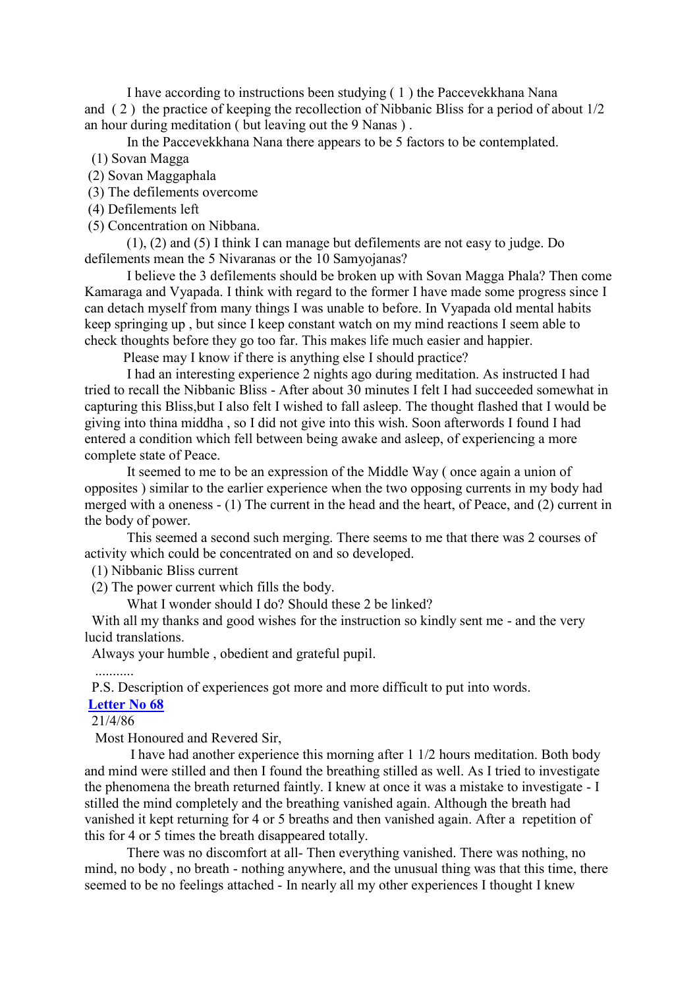I have according to instructions been studying ( 1 ) the Paccevekkhana Nana and ( 2 ) the practice of keeping the recollection of Nibbanic Bliss for a period of about 1/2 an hour during meditation ( but leaving out the 9 Nanas ) .

In the Paccevekkhana Nana there appears to be 5 factors to be contemplated.

(1) Sovan Magga

(2) Sovan Maggaphala

(3) The defilements overcome

(4) Defilements left

(5) Concentration on Nibbana.

(1), (2) and (5) I think I can manage but defilements are not easy to judge. Do defilements mean the 5 Nivaranas or the 10 Samyojanas?

I believe the 3 defilements should be broken up with Sovan Magga Phala? Then come Kamaraga and Vyapada. I think with regard to the former I have made some progress since I can detach myself from many things I was unable to before. In Vyapada old mental habits keep springing up , but since I keep constant watch on my mind reactions I seem able to check thoughts before they go too far. This makes life much easier and happier.

Please may I know if there is anything else I should practice?

I had an interesting experience 2 nights ago during meditation. As instructed I had tried to recall the Nibbanic Bliss - After about 30 minutes I felt I had succeeded somewhat in capturing this Bliss,but I also felt I wished to fall asleep. The thought flashed that I would be giving into thina middha , so I did not give into this wish. Soon afterwords I found I had entered a condition which fell between being awake and asleep, of experiencing a more complete state of Peace.

It seemed to me to be an expression of the Middle Way ( once again a union of opposites ) similar to the earlier experience when the two opposing currents in my body had merged with a oneness - (1) The current in the head and the heart, of Peace, and (2) current in the body of power.

This seemed a second such merging. There seems to me that there was 2 courses of activity which could be concentrated on and so developed.

(1) Nibbanic Bliss current

(2) The power current which fills the body.

What I wonder should I do? Should these 2 be linked?

With all my thanks and good wishes for the instruction so kindly sent me - and the very lucid translations.

Always your humble , obedient and grateful pupil.

...........

P.S. Description of experiences got more and more difficult to put into words.

# **[Letter No 68](http://comemeditate.webs.com/apps/blog/show/4681055-letter-no-68)**

21/4/86

Most Honoured and Revered Sir,

I have had another experience this morning after 1 1/2 hours meditation. Both body and mind were stilled and then I found the breathing stilled as well. As I tried to investigate the phenomena the breath returned faintly. I knew at once it was a mistake to investigate - I stilled the mind completely and the breathing vanished again. Although the breath had vanished it kept returning for 4 or 5 breaths and then vanished again. After a repetition of this for 4 or 5 times the breath disappeared totally.

There was no discomfort at all- Then everything vanished. There was nothing, no mind, no body , no breath - nothing anywhere, and the unusual thing was that this time, there seemed to be no feelings attached - In nearly all my other experiences I thought I knew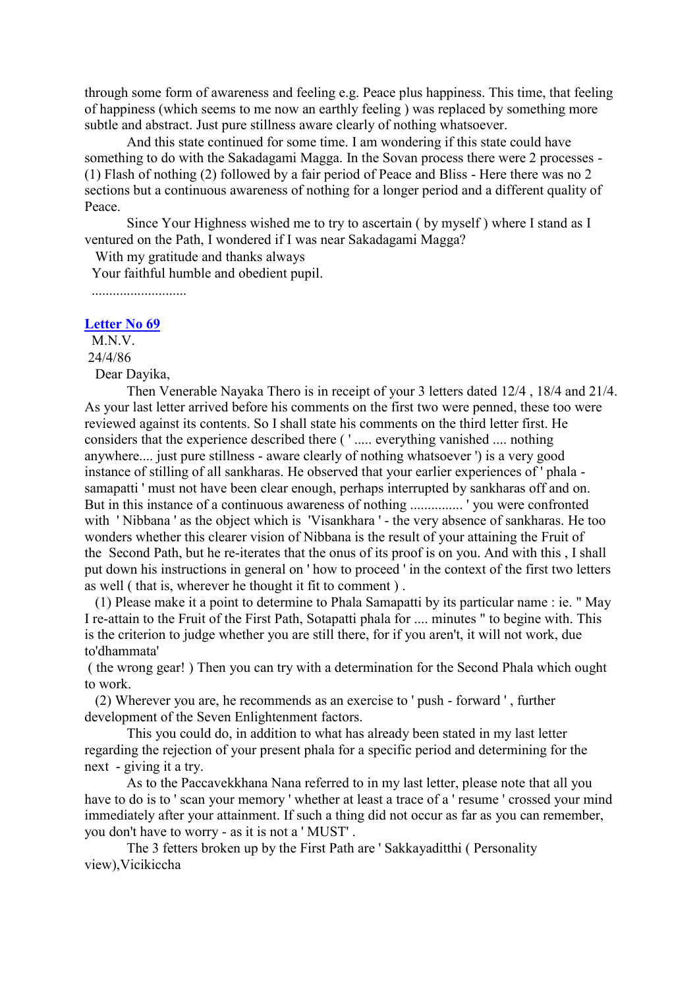through some form of awareness and feeling e.g. Peace plus happiness. This time, that feeling of happiness (which seems to me now an earthly feeling ) was replaced by something more subtle and abstract. Just pure stillness aware clearly of nothing whatsoever.

And this state continued for some time. I am wondering if this state could have something to do with the Sakadagami Magga. In the Sovan process there were 2 processes -(1) Flash of nothing (2) followed by a fair period of Peace and Bliss - Here there was no 2 sections but a continuous awareness of nothing for a longer period and a different quality of Peace.

Since Your Highness wished me to try to ascertain ( by myself ) where I stand as I ventured on the Path, I wondered if I was near Sakadagami Magga?

With my gratitude and thanks always

Your faithful humble and obedient pupil.

...........................

#### **[Letter No 69](http://comemeditate.webs.com/apps/blog/show/4681054-letter-no-69)**

M.N.V.

24/4/86

Dear Dayika,

Then Venerable Nayaka Thero is in receipt of your 3 letters dated 12/4 , 18/4 and 21/4. As your last letter arrived before his comments on the first two were penned, these too were reviewed against its contents. So I shall state his comments on the third letter first. He considers that the experience described there ( ' ..... everything vanished .... nothing anywhere.... just pure stillness - aware clearly of nothing whatsoever ') is a very good instance of stilling of all sankharas. He observed that your earlier experiences of ' phala samapatti ' must not have been clear enough, perhaps interrupted by sankharas off and on. But in this instance of a continuous awareness of nothing ............... ' you were confronted with ' Nibbana ' as the object which is 'Visankhara ' - the very absence of sankharas. He too wonders whether this clearer vision of Nibbana is the result of your attaining the Fruit of the Second Path, but he re-iterates that the onus of its proof is on you. And with this , I shall put down his instructions in general on ' how to proceed ' in the context of the first two letters as well ( that is, wherever he thought it fit to comment ) .

(1) Please make it a point to determine to Phala Samapatti by its particular name : ie. " May I re-attain to the Fruit of the First Path, Sotapatti phala for .... minutes " to begine with. This is the criterion to judge whether you are still there, for if you aren't, it will not work, due to'dhammata'

( the wrong gear! ) Then you can try with a determination for the Second Phala which ought to work.

(2) Wherever you are, he recommends as an exercise to ' push - forward ' , further development of the Seven Enlightenment factors.

This you could do, in addition to what has already been stated in my last letter regarding the rejection of your present phala for a specific period and determining for the next - giving it a try.

As to the Paccavekkhana Nana referred to in my last letter, please note that all you have to do is to ' scan your memory ' whether at least a trace of a ' resume ' crossed your mind immediately after your attainment. If such a thing did not occur as far as you can remember, you don't have to worry - as it is not a ' MUST' .

The 3 fetters broken up by the First Path are ' Sakkayaditthi ( Personality view),Vicikiccha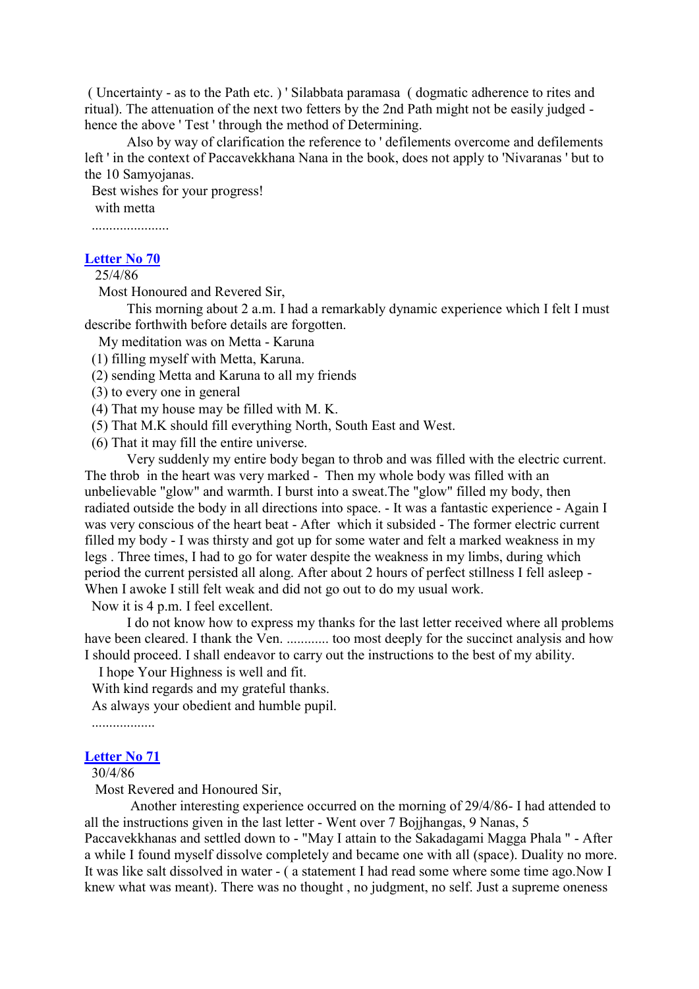( Uncertainty - as to the Path etc. ) ' Silabbata paramasa ( dogmatic adherence to rites and ritual). The attenuation of the next two fetters by the 2nd Path might not be easily judged hence the above ' Test ' through the method of Determining.

Also by way of clarification the reference to ' defilements overcome and defilements left ' in the context of Paccavekkhana Nana in the book, does not apply to 'Nivaranas ' but to the 10 Samyojanas.

Best wishes for your progress! with metta

......................

### **[Letter No 70](http://comemeditate.webs.com/apps/blog/show/4681051-letter-no-70)**

25/4/86

Most Honoured and Revered Sir,

This morning about 2 a.m. I had a remarkably dynamic experience which I felt I must describe forthwith before details are forgotten.

My meditation was on Metta - Karuna

- (1) filling myself with Metta, Karuna.
- (2) sending Metta and Karuna to all my friends

(3) to every one in general

- (4) That my house may be filled with M. K.
- (5) That M.K should fill everything North, South East and West.
- (6) That it may fill the entire universe.

Very suddenly my entire body began to throb and was filled with the electric current. The throb in the heart was very marked - Then my whole body was filled with an unbelievable "glow" and warmth. I burst into a sweat.The "glow" filled my body, then radiated outside the body in all directions into space. - It was a fantastic experience - Again I was very conscious of the heart beat - After which it subsided - The former electric current filled my body - I was thirsty and got up for some water and felt a marked weakness in my legs . Three times, I had to go for water despite the weakness in my limbs, during which period the current persisted all along. After about 2 hours of perfect stillness I fell asleep - When I awoke I still felt weak and did not go out to do my usual work.

Now it is 4 p.m. I feel excellent.

I do not know how to express my thanks for the last letter received where all problems have been cleared. I thank the Ven. ............. too most deeply for the succinct analysis and how I should proceed. I shall endeavor to carry out the instructions to the best of my ability.

I hope Your Highness is well and fit.

With kind regards and my grateful thanks.

As always your obedient and humble pupil.

..................

## **[Letter No 71](http://comemeditate.webs.com/apps/blog/show/4681048-letter-no-71)**

30/4/86

Most Revered and Honoured Sir,

Another interesting experience occurred on the morning of 29/4/86- I had attended to all the instructions given in the last letter - Went over 7 Bojjhangas, 9 Nanas, 5

Paccavekkhanas and settled down to - "May I attain to the Sakadagami Magga Phala " - After a while I found myself dissolve completely and became one with all (space). Duality no more. It was like salt dissolved in water - ( a statement I had read some where some time ago.Now I knew what was meant). There was no thought , no judgment, no self. Just a supreme oneness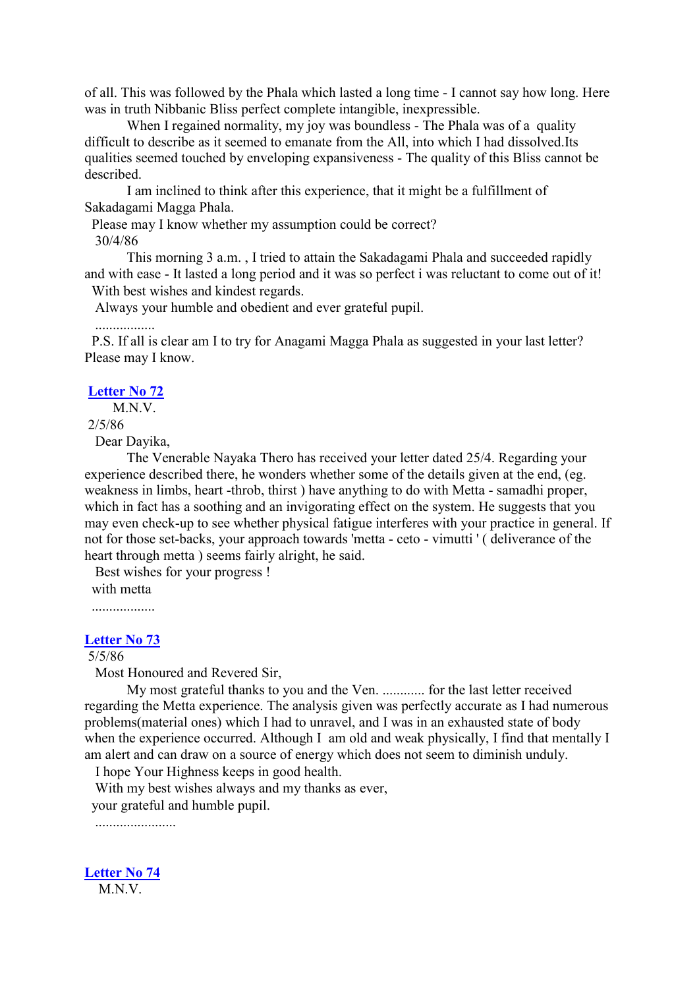of all. This was followed by the Phala which lasted a long time - I cannot say how long. Here was in truth Nibbanic Bliss perfect complete intangible, inexpressible.

When I regained normality, my joy was boundless - The Phala was of a quality difficult to describe as it seemed to emanate from the All, into which I had dissolved.Its qualities seemed touched by enveloping expansiveness - The quality of this Bliss cannot be described.

I am inclined to think after this experience, that it might be a fulfillment of Sakadagami Magga Phala.

Please may I know whether my assumption could be correct? 30/4/86

This morning 3 a.m. , I tried to attain the Sakadagami Phala and succeeded rapidly and with ease - It lasted a long period and it was so perfect i was reluctant to come out of it!

With best wishes and kindest regards.

Always your humble and obedient and ever grateful pupil.

P.S. If all is clear am I to try for Anagami Magga Phala as suggested in your last letter? Please may I know.

# **[Letter No 72](http://comemeditate.webs.com/apps/blog/show/4681043-letter-no-72)**

.................

M<sub>N</sub>V

#### 2/5/86

Dear Dayika,

The Venerable Nayaka Thero has received your letter dated 25/4. Regarding your experience described there, he wonders whether some of the details given at the end, (eg. weakness in limbs, heart -throb, thirst ) have anything to do with Metta - samadhi proper, which in fact has a soothing and an invigorating effect on the system. He suggests that you may even check-up to see whether physical fatigue interferes with your practice in general. If not for those set-backs, your approach towards 'metta - ceto - vimutti ' ( deliverance of the heart through metta ) seems fairly alright, he said.

Best wishes for your progress ! with metta

..................

# **[Letter No 73](http://comemeditate.webs.com/apps/blog/show/4681041-letter-no-73)**

# 5/5/86

Most Honoured and Revered Sir,

My most grateful thanks to you and the Ven. ............ for the last letter received regarding the Metta experience. The analysis given was perfectly accurate as I had numerous problems(material ones) which I had to unravel, and I was in an exhausted state of body when the experience occurred. Although I am old and weak physically, I find that mentally I am alert and can draw on a source of energy which does not seem to diminish unduly.

I hope Your Highness keeps in good health.

With my best wishes always and my thanks as ever, your grateful and humble pupil.

.......................

**[Letter No 74](http://comemeditate.webs.com/apps/blog/show/4681037-letter-no-74)** M.N.V.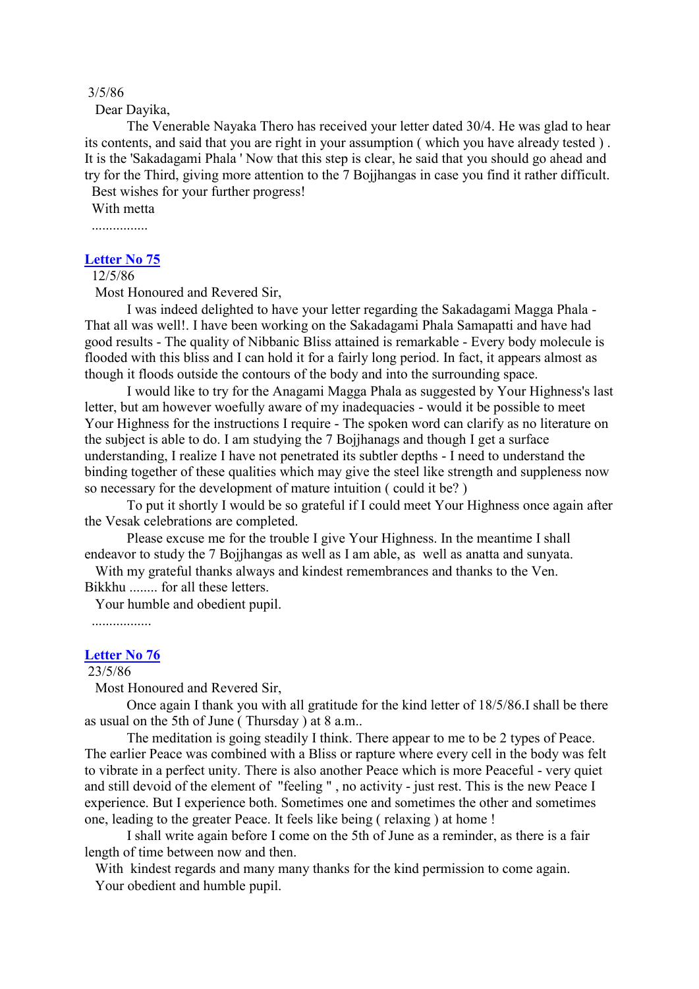#### 3/5/86

Dear Dayika,

The Venerable Nayaka Thero has received your letter dated 30/4. He was glad to hear its contents, and said that you are right in your assumption ( which you have already tested ) . It is the 'Sakadagami Phala ' Now that this step is clear, he said that you should go ahead and try for the Third, giving more attention to the 7 Bojjhangas in case you find it rather difficult.

Best wishes for your further progress! With metta

................

## **[Letter No 75](http://comemeditate.webs.com/apps/blog/show/4681035-letter-no-75)**

12/5/86

Most Honoured and Revered Sir,

I was indeed delighted to have your letter regarding the Sakadagami Magga Phala - That all was well!. I have been working on the Sakadagami Phala Samapatti and have had good results - The quality of Nibbanic Bliss attained is remarkable - Every body molecule is flooded with this bliss and I can hold it for a fairly long period. In fact, it appears almost as though it floods outside the contours of the body and into the surrounding space.

I would like to try for the Anagami Magga Phala as suggested by Your Highness's last letter, but am however woefully aware of my inadequacies - would it be possible to meet Your Highness for the instructions I require - The spoken word can clarify as no literature on the subject is able to do. I am studying the 7 Bojjhanags and though I get a surface understanding, I realize I have not penetrated its subtler depths - I need to understand the binding together of these qualities which may give the steel like strength and suppleness now so necessary for the development of mature intuition ( could it be? )

To put it shortly I would be so grateful if I could meet Your Highness once again after the Vesak celebrations are completed.

Please excuse me for the trouble I give Your Highness. In the meantime I shall endeavor to study the 7 Bojjhangas as well as I am able, as well as anatta and sunyata.

With my grateful thanks always and kindest remembrances and thanks to the Ven. Bikkhu ........ for all these letters.

Your humble and obedient pupil.

.................

#### **[Letter No 76](http://comemeditate.webs.com/apps/blog/show/4681029-letter-no-76)**

#### 23/5/86

Most Honoured and Revered Sir,

Once again I thank you with all gratitude for the kind letter of 18/5/86.I shall be there as usual on the 5th of June ( Thursday ) at 8 a.m..

The meditation is going steadily I think. There appear to me to be 2 types of Peace. The earlier Peace was combined with a Bliss or rapture where every cell in the body was felt to vibrate in a perfect unity. There is also another Peace which is more Peaceful - very quiet and still devoid of the element of "feeling " , no activity - just rest. This is the new Peace I experience. But I experience both. Sometimes one and sometimes the other and sometimes one, leading to the greater Peace. It feels like being ( relaxing ) at home !

I shall write again before I come on the 5th of June as a reminder, as there is a fair length of time between now and then.

With kindest regards and many many thanks for the kind permission to come again. Your obedient and humble pupil.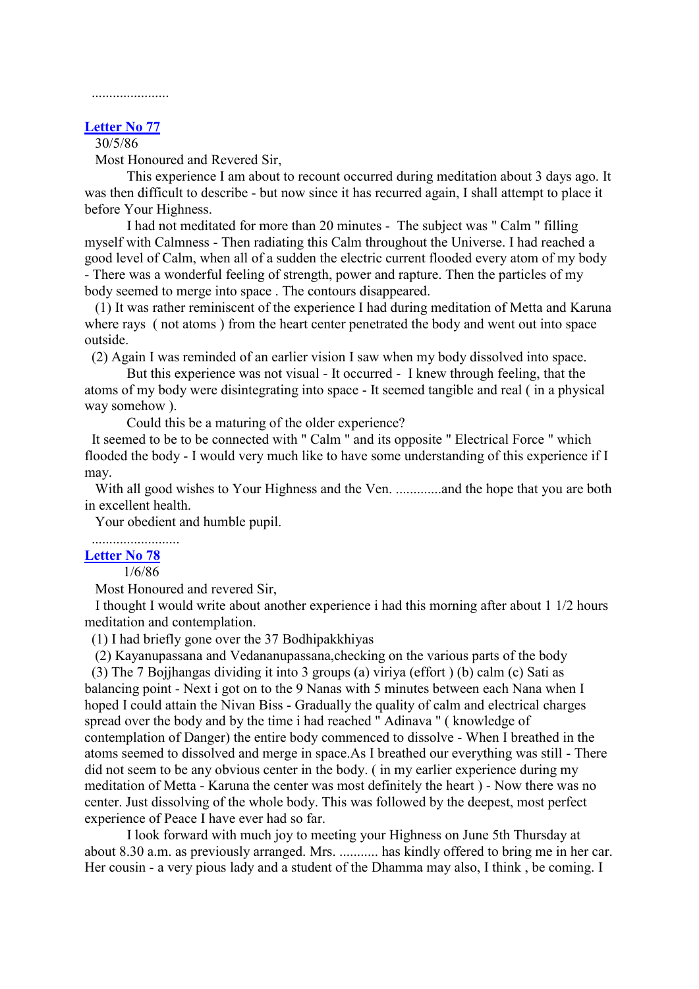# ......................

# **[Letter No 77](http://comemeditate.webs.com/apps/blog/show/4681028-letter-no-77)**

# 30/5/86

Most Honoured and Revered Sir,

This experience I am about to recount occurred during meditation about 3 days ago. It was then difficult to describe - but now since it has recurred again, I shall attempt to place it before Your Highness.

I had not meditated for more than 20 minutes - The subject was " Calm " filling myself with Calmness - Then radiating this Calm throughout the Universe. I had reached a good level of Calm, when all of a sudden the electric current flooded every atom of my body - There was a wonderful feeling of strength, power and rapture. Then the particles of my body seemed to merge into space . The contours disappeared.

(1) It was rather reminiscent of the experience I had during meditation of Metta and Karuna where rays ( not atoms ) from the heart center penetrated the body and went out into space outside.

(2) Again I was reminded of an earlier vision I saw when my body dissolved into space.

But this experience was not visual - It occurred - I knew through feeling, that the atoms of my body were disintegrating into space - It seemed tangible and real ( in a physical way somehow ).

Could this be a maturing of the older experience?

It seemed to be to be connected with " Calm " and its opposite " Electrical Force " which flooded the body - I would very much like to have some understanding of this experience if I may.

With all good wishes to Your Highness and the Ven. .............and the hope that you are both in excellent health.

Your obedient and humble pupil.

### ......................... **[Letter No 78](http://comemeditate.webs.com/apps/blog/show/4680198-letter-no-78)**

1/6/86

Most Honoured and revered Sir,

I thought I would write about another experience i had this morning after about 1 1/2 hours meditation and contemplation.

(1) I had briefly gone over the 37 Bodhipakkhiyas

(2) Kayanupassana and Vedananupassana,checking on the various parts of the body

(3) The 7 Bojjhangas dividing it into 3 groups (a) viriya (effort ) (b) calm (c) Sati as balancing point - Next i got on to the 9 Nanas with 5 minutes between each Nana when I hoped I could attain the Nivan Biss - Gradually the quality of calm and electrical charges spread over the body and by the time i had reached " Adinava " ( knowledge of contemplation of Danger) the entire body commenced to dissolve - When I breathed in the atoms seemed to dissolved and merge in space.As I breathed our everything was still - There did not seem to be any obvious center in the body. ( in my earlier experience during my meditation of Metta - Karuna the center was most definitely the heart ) - Now there was no center. Just dissolving of the whole body. This was followed by the deepest, most perfect experience of Peace I have ever had so far.

I look forward with much joy to meeting your Highness on June 5th Thursday at about 8.30 a.m. as previously arranged. Mrs. ........... has kindly offered to bring me in her car. Her cousin - a very pious lady and a student of the Dhamma may also, I think , be coming. I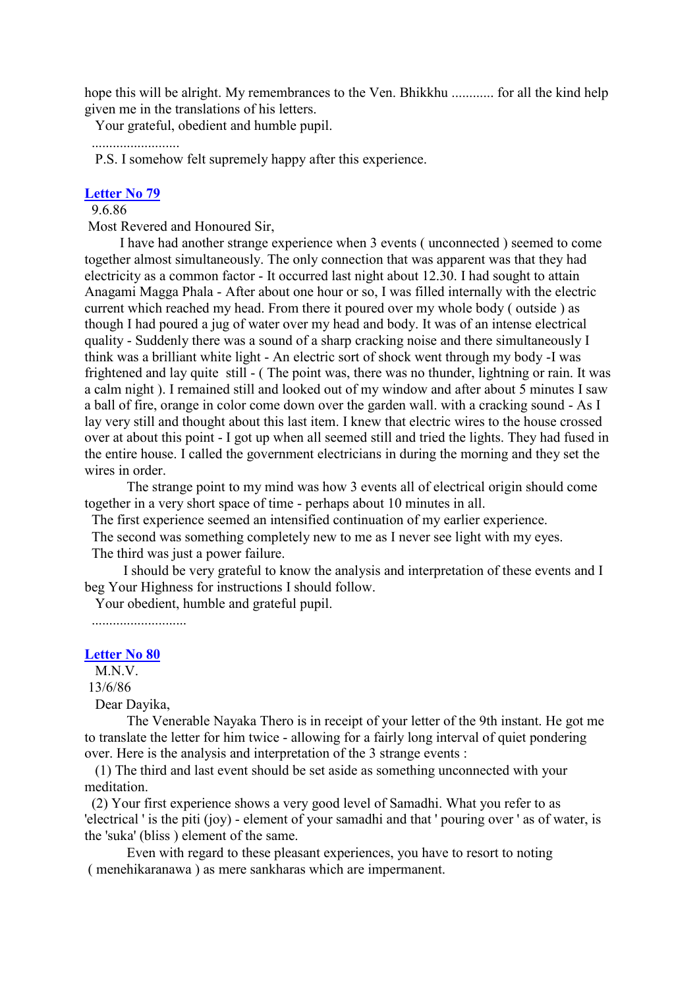hope this will be alright. My remembrances to the Ven. Bhikkhu ............ for all the kind help given me in the translations of his letters.

Your grateful, obedient and humble pupil.

.........................

P.S. I somehow felt supremely happy after this experience.

## **[Letter No 79](http://comemeditate.webs.com/apps/blog/show/4680197-letter-no-79)**

9.6.86

Most Revered and Honoured Sir,

I have had another strange experience when 3 events ( unconnected ) seemed to come together almost simultaneously. The only connection that was apparent was that they had electricity as a common factor - It occurred last night about 12.30. I had sought to attain Anagami Magga Phala - After about one hour or so, I was filled internally with the electric current which reached my head. From there it poured over my whole body ( outside ) as though I had poured a jug of water over my head and body. It was of an intense electrical quality - Suddenly there was a sound of a sharp cracking noise and there simultaneously I think was a brilliant white light - An electric sort of shock went through my body -I was frightened and lay quite still - ( The point was, there was no thunder, lightning or rain. It was a calm night ). I remained still and looked out of my window and after about 5 minutes I saw a ball of fire, orange in color come down over the garden wall. with a cracking sound - As I lay very still and thought about this last item. I knew that electric wires to the house crossed over at about this point - I got up when all seemed still and tried the lights. They had fused in the entire house. I called the government electricians in during the morning and they set the wires in order

The strange point to my mind was how 3 events all of electrical origin should come together in a very short space of time - perhaps about 10 minutes in all.

The first experience seemed an intensified continuation of my earlier experience.

The second was something completely new to me as I never see light with my eyes.

The third was just a power failure.

I should be very grateful to know the analysis and interpretation of these events and I beg Your Highness for instructions I should follow.

Your obedient, humble and grateful pupil.

...........................

## **[Letter No 80](http://comemeditate.webs.com/apps/blog/show/4680194-letter-no-80)**

M.N.V.

13/6/86

Dear Dayika,

The Venerable Nayaka Thero is in receipt of your letter of the 9th instant. He got me to translate the letter for him twice - allowing for a fairly long interval of quiet pondering over. Here is the analysis and interpretation of the 3 strange events :

(1) The third and last event should be set aside as something unconnected with your meditation.

(2) Your first experience shows a very good level of Samadhi. What you refer to as 'electrical ' is the piti (joy) - element of your samadhi and that ' pouring over ' as of water, is the 'suka' (bliss ) element of the same.

Even with regard to these pleasant experiences, you have to resort to noting ( menehikaranawa ) as mere sankharas which are impermanent.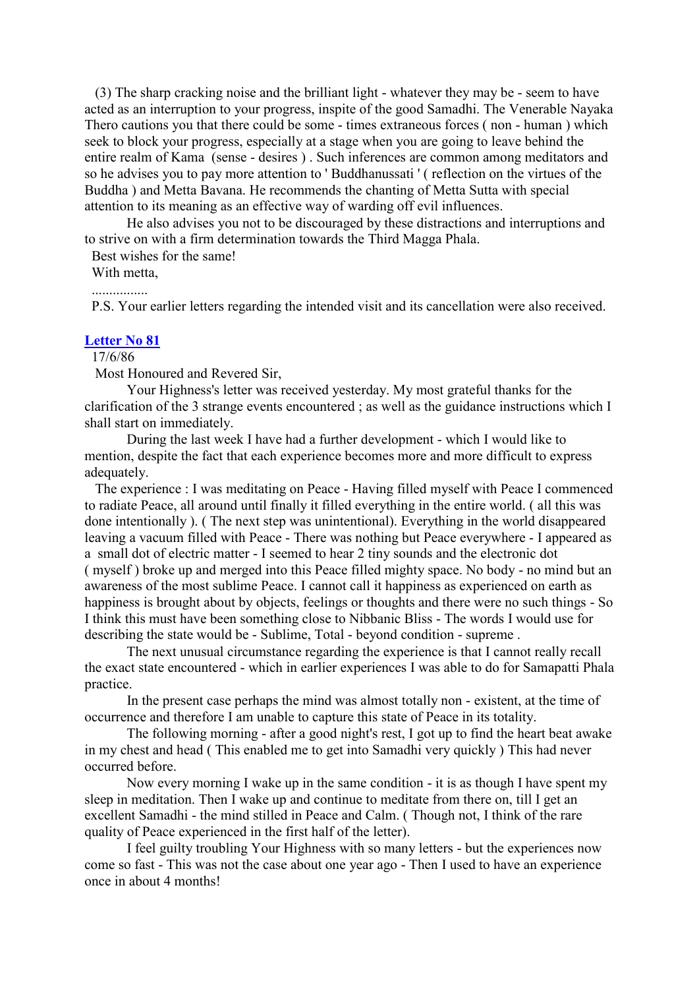(3) The sharp cracking noise and the brilliant light - whatever they may be - seem to have acted as an interruption to your progress, inspite of the good Samadhi. The Venerable Nayaka Thero cautions you that there could be some - times extraneous forces ( non - human ) which seek to block your progress, especially at a stage when you are going to leave behind the entire realm of Kama (sense - desires ) . Such inferences are common among meditators and so he advises you to pay more attention to ' Buddhanussati ' ( reflection on the virtues of the Buddha ) and Metta Bavana. He recommends the chanting of Metta Sutta with special attention to its meaning as an effective way of warding off evil influences.

He also advises you not to be discouraged by these distractions and interruptions and to strive on with a firm determination towards the Third Magga Phala.

Best wishes for the same!

With metta,

................

P.S. Your earlier letters regarding the intended visit and its cancellation were also received.

## **[Letter No 81](http://comemeditate.webs.com/apps/blog/show/4680188-letter-no-81)**

17/6/86

Most Honoured and Revered Sir,

Your Highness's letter was received yesterday. My most grateful thanks for the clarification of the 3 strange events encountered ; as well as the guidance instructions which I shall start on immediately.

During the last week I have had a further development - which I would like to mention, despite the fact that each experience becomes more and more difficult to express adequately.

The experience : I was meditating on Peace - Having filled myself with Peace I commenced to radiate Peace, all around until finally it filled everything in the entire world. ( all this was done intentionally ). ( The next step was unintentional). Everything in the world disappeared leaving a vacuum filled with Peace - There was nothing but Peace everywhere - I appeared as a small dot of electric matter - I seemed to hear 2 tiny sounds and the electronic dot ( myself ) broke up and merged into this Peace filled mighty space. No body - no mind but an awareness of the most sublime Peace. I cannot call it happiness as experienced on earth as happiness is brought about by objects, feelings or thoughts and there were no such things - So I think this must have been something close to Nibbanic Bliss - The words I would use for describing the state would be - Sublime, Total - beyond condition - supreme .

The next unusual circumstance regarding the experience is that I cannot really recall the exact state encountered - which in earlier experiences I was able to do for Samapatti Phala practice.

In the present case perhaps the mind was almost totally non - existent, at the time of occurrence and therefore I am unable to capture this state of Peace in its totality.

The following morning - after a good night's rest, I got up to find the heart beat awake in my chest and head ( This enabled me to get into Samadhi very quickly ) This had never occurred before.

Now every morning I wake up in the same condition - it is as though I have spent my sleep in meditation. Then I wake up and continue to meditate from there on, till I get an excellent Samadhi - the mind stilled in Peace and Calm. ( Though not, I think of the rare quality of Peace experienced in the first half of the letter).

I feel guilty troubling Your Highness with so many letters - but the experiences now come so fast - This was not the case about one year ago - Then I used to have an experience once in about 4 months!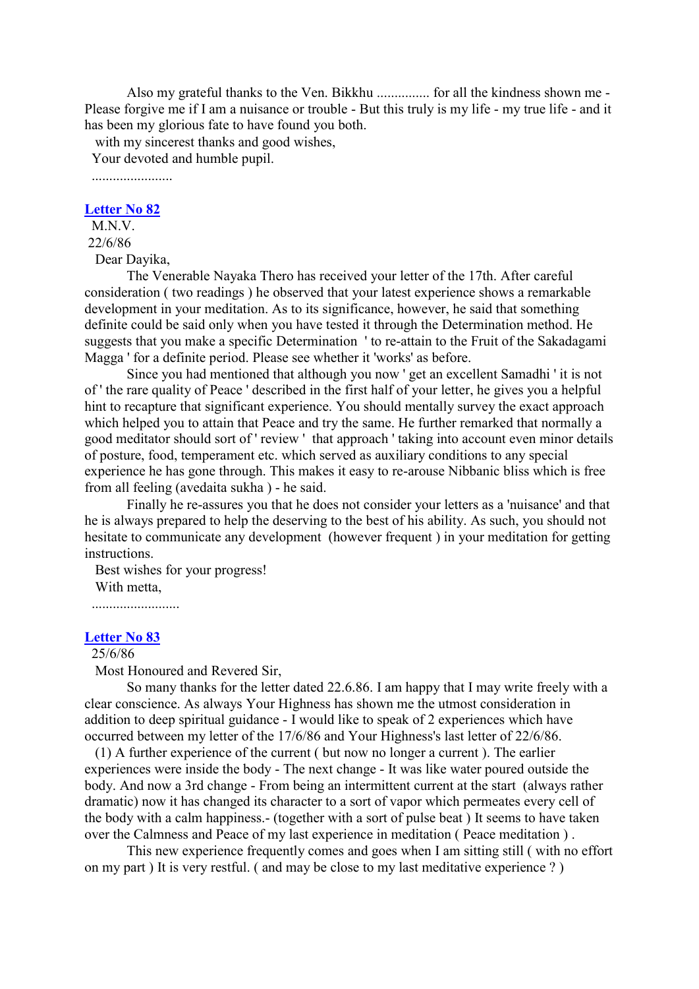Also my grateful thanks to the Ven. Bikkhu ............... for all the kindness shown me - Please forgive me if I am a nuisance or trouble - But this truly is my life - my true life - and it has been my glorious fate to have found you both.

with my sincerest thanks and good wishes,

Your devoted and humble pupil.

.......................

#### **[Letter No](http://comemeditate.webs.com/apps/blog/show/4680182-letter-no-82) 82**

M.N.V. 22/6/86

Dear Dayika,

The Venerable Nayaka Thero has received your letter of the 17th. After careful consideration ( two readings ) he observed that your latest experience shows a remarkable development in your meditation. As to its significance, however, he said that something definite could be said only when you have tested it through the Determination method. He suggests that you make a specific Determination ' to re-attain to the Fruit of the Sakadagami Magga ' for a definite period. Please see whether it 'works' as before.

Since you had mentioned that although you now ' get an excellent Samadhi ' it is not of ' the rare quality of Peace ' described in the first half of your letter, he gives you a helpful hint to recapture that significant experience. You should mentally survey the exact approach which helped you to attain that Peace and try the same. He further remarked that normally a good meditator should sort of ' review ' that approach ' taking into account even minor details of posture, food, temperament etc. which served as auxiliary conditions to any special experience he has gone through. This makes it easy to re-arouse Nibbanic bliss which is free from all feeling (avedaita sukha ) - he said.

Finally he re-assures you that he does not consider your letters as a 'nuisance' and that he is always prepared to help the deserving to the best of his ability. As such, you should not hesitate to communicate any development (however frequent ) in your meditation for getting instructions.

Best wishes for your progress! With metta,

.........................

## **[Letter No 83](http://comemeditate.webs.com/apps/blog/show/4680177-letter-no-83)**

25/6/86

Most Honoured and Revered Sir,

So many thanks for the letter dated 22.6.86. I am happy that I may write freely with a clear conscience. As always Your Highness has shown me the utmost consideration in addition to deep spiritual guidance - I would like to speak of 2 experiences which have occurred between my letter of the 17/6/86 and Your Highness's last letter of 22/6/86.

(1) A further experience of the current ( but now no longer a current ). The earlier experiences were inside the body - The next change - It was like water poured outside the body. And now a 3rd change - From being an intermittent current at the start (always rather dramatic) now it has changed its character to a sort of vapor which permeates every cell of the body with a calm happiness.- (together with a sort of pulse beat ) It seems to have taken over the Calmness and Peace of my last experience in meditation ( Peace meditation ) .

This new experience frequently comes and goes when I am sitting still ( with no effort on my part ) It is very restful. ( and may be close to my last meditative experience ? )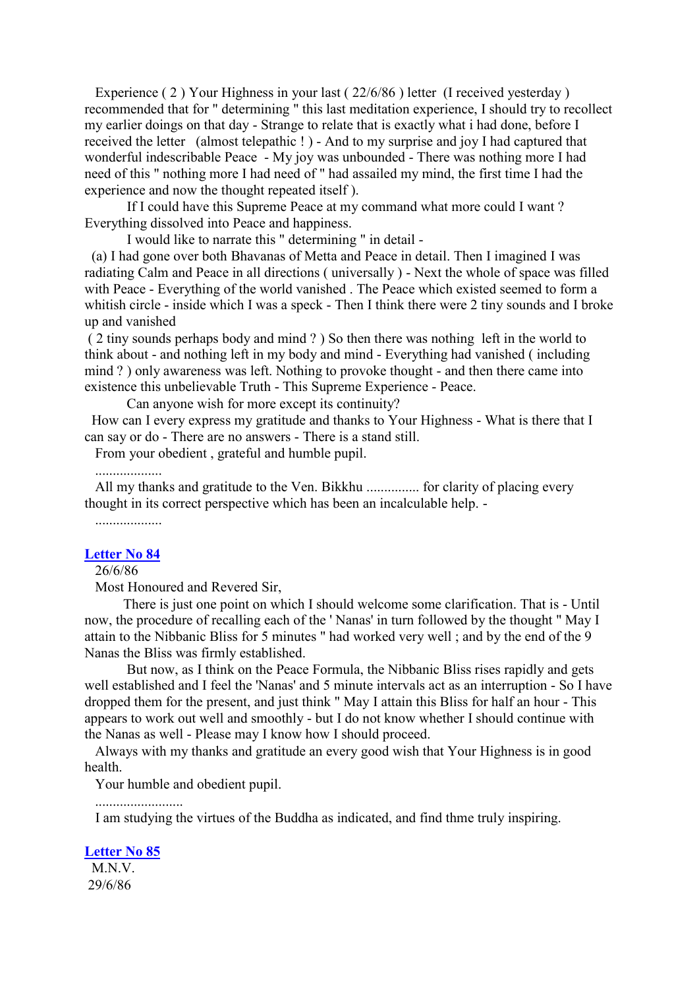Experience (2) Your Highness in your last (22/6/86) letter (I received yesterday) recommended that for " determining " this last meditation experience, I should try to recollect my earlier doings on that day - Strange to relate that is exactly what i had done, before I received the letter (almost telepathic ! ) - And to my surprise and joy I had captured that wonderful indescribable Peace - My joy was unbounded - There was nothing more I had need of this " nothing more I had need of " had assailed my mind, the first time I had the experience and now the thought repeated itself ).

If I could have this Supreme Peace at my command what more could I want ? Everything dissolved into Peace and happiness.

I would like to narrate this " determining " in detail -

(a) I had gone over both Bhavanas of Metta and Peace in detail. Then I imagined I was radiating Calm and Peace in all directions ( universally ) - Next the whole of space was filled with Peace - Everything of the world vanished . The Peace which existed seemed to form a whitish circle - inside which I was a speck - Then I think there were 2 tiny sounds and I broke up and vanished

( 2 tiny sounds perhaps body and mind ? ) So then there was nothing left in the world to think about - and nothing left in my body and mind - Everything had vanished ( including mind ? ) only awareness was left. Nothing to provoke thought - and then there came into existence this unbelievable Truth - This Supreme Experience - Peace.

Can anyone wish for more except its continuity?

How can I every express my gratitude and thanks to Your Highness - What is there that I can say or do - There are no answers - There is a stand still.

From your obedient , grateful and humble pupil.

...................

All my thanks and gratitude to the Ven. Bikkhu ............... for clarity of placing every thought in its correct perspective which has been an incalculable help. -

...................

#### **[Letter No 84](http://comemeditate.webs.com/apps/blog/show/4680170-letter-no-84)**

26/6/86

Most Honoured and Revered Sir,

There is just one point on which I should welcome some clarification. That is - Until now, the procedure of recalling each of the ' Nanas' in turn followed by the thought " May I attain to the Nibbanic Bliss for 5 minutes " had worked very well ; and by the end of the 9 Nanas the Bliss was firmly established.

But now, as I think on the Peace Formula, the Nibbanic Bliss rises rapidly and gets well established and I feel the 'Nanas' and 5 minute intervals act as an interruption - So I have dropped them for the present, and just think " May I attain this Bliss for half an hour - This appears to work out well and smoothly - but I do not know whether I should continue with the Nanas as well - Please may I know how I should proceed.

Always with my thanks and gratitude an every good wish that Your Highness is in good health.

Your humble and obedient pupil.

.........................

I am studying the virtues of the Buddha as indicated, and find thme truly inspiring.

**[Letter No 85](http://comemeditate.webs.com/apps/blog/show/4680166-letter-no-85)** M.N.V.

29/6/86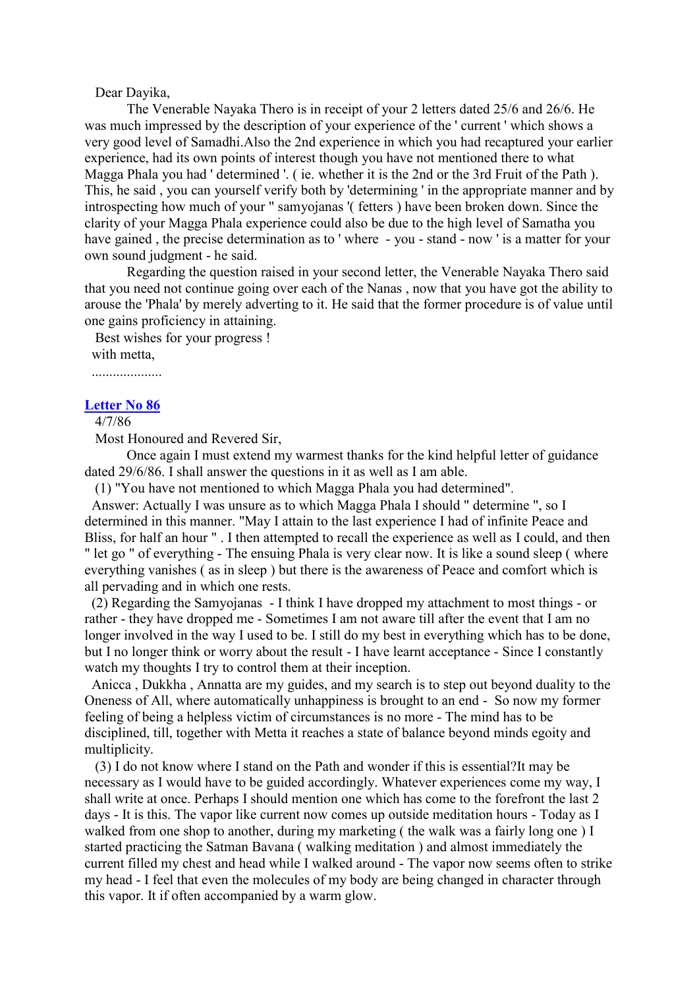## Dear Dayika,

The Venerable Nayaka Thero is in receipt of your 2 letters dated 25/6 and 26/6. He was much impressed by the description of your experience of the ' current ' which shows a very good level of Samadhi.Also the 2nd experience in which you had recaptured your earlier experience, had its own points of interest though you have not mentioned there to what Magga Phala you had ' determined '. ( ie. whether it is the 2nd or the 3rd Fruit of the Path ). This, he said , you can yourself verify both by 'determining ' in the appropriate manner and by introspecting how much of your " samyojanas '( fetters ) have been broken down. Since the clarity of your Magga Phala experience could also be due to the high level of Samatha you have gained , the precise determination as to ' where - you - stand - now ' is a matter for your own sound judgment - he said.

Regarding the question raised in your second letter, the Venerable Nayaka Thero said that you need not continue going over each of the Nanas , now that you have got the ability to arouse the 'Phala' by merely adverting to it. He said that the former procedure is of value until one gains proficiency in attaining.

Best wishes for your progress !

with metta,

....................

#### **[Letter No 86](http://comemeditate.webs.com/apps/blog/show/4680162-letter-no-86)**

4/7/86

Most Honoured and Revered Sir,

Once again I must extend my warmest thanks for the kind helpful letter of guidance dated 29/6/86. I shall answer the questions in it as well as I am able.

(1) "You have not mentioned to which Magga Phala you had determined".

Answer: Actually I was unsure as to which Magga Phala I should " determine ", so I determined in this manner. "May I attain to the last experience I had of infinite Peace and Bliss, for half an hour " . I then attempted to recall the experience as well as I could, and then " let go " of everything - The ensuing Phala is very clear now. It is like a sound sleep ( where everything vanishes ( as in sleep ) but there is the awareness of Peace and comfort which is all pervading and in which one rests.

(2) Regarding the Samyojanas - I think I have dropped my attachment to most things - or rather - they have dropped me - Sometimes I am not aware till after the event that I am no longer involved in the way I used to be. I still do my best in everything which has to be done, but I no longer think or worry about the result - I have learnt acceptance - Since I constantly watch my thoughts I try to control them at their inception.

Anicca , Dukkha , Annatta are my guides, and my search is to step out beyond duality to the Oneness of All, where automatically unhappiness is brought to an end - So now my former feeling of being a helpless victim of circumstances is no more - The mind has to be disciplined, till, together with Metta it reaches a state of balance beyond minds egoity and multiplicity.

(3) I do not know where I stand on the Path and wonder if this is essential?It may be necessary as I would have to be guided accordingly. Whatever experiences come my way, I shall write at once. Perhaps I should mention one which has come to the forefront the last 2 days - It is this. The vapor like current now comes up outside meditation hours - Today as I walked from one shop to another, during my marketing ( the walk was a fairly long one ) I started practicing the Satman Bavana ( walking meditation ) and almost immediately the current filled my chest and head while I walked around - The vapor now seems often to strike my head - I feel that even the molecules of my body are being changed in character through this vapor. It if often accompanied by a warm glow.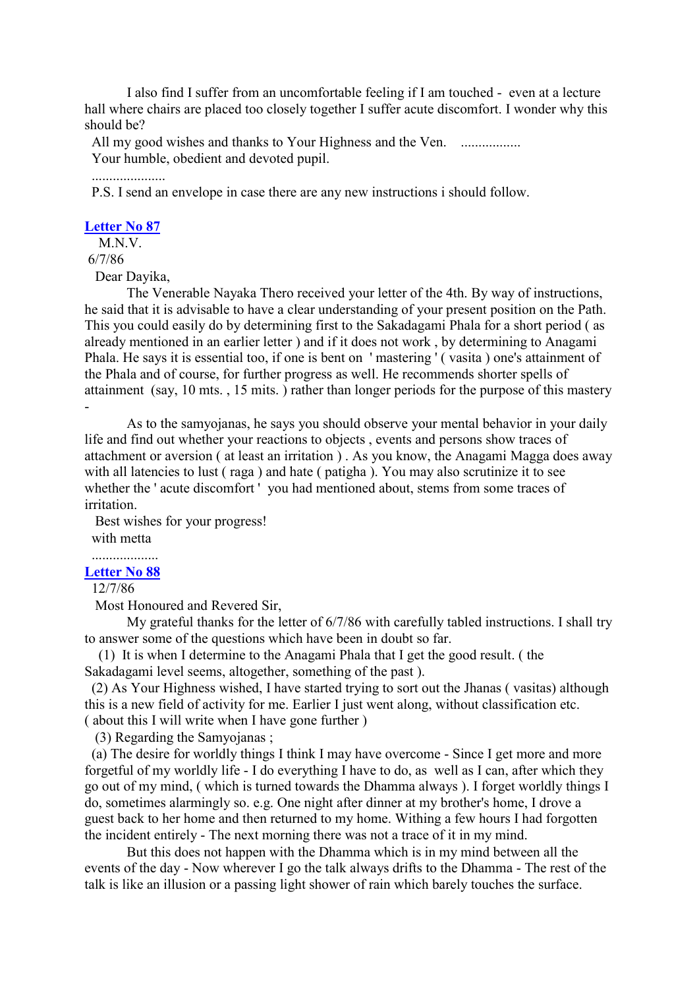I also find I suffer from an uncomfortable feeling if I am touched - even at a lecture hall where chairs are placed too closely together I suffer acute discomfort. I wonder why this should be?

All my good wishes and thanks to Your Highness and the Ven. ................. Your humble, obedient and devoted pupil.

.....................

P.S. I send an envelope in case there are any new instructions i should follow.

## **[Letter No 87](http://comemeditate.webs.com/apps/blog/show/4680157-letter-no-87)**

M.N.V.

6/7/86

Dear Dayika,

The Venerable Nayaka Thero received your letter of the 4th. By way of instructions, he said that it is advisable to have a clear understanding of your present position on the Path. This you could easily do by determining first to the Sakadagami Phala for a short period ( as already mentioned in an earlier letter ) and if it does not work , by determining to Anagami Phala. He says it is essential too, if one is bent on 'mastering' (vasita) one's attainment of the Phala and of course, for further progress as well. He recommends shorter spells of attainment (say, 10 mts. , 15 mits. ) rather than longer periods for the purpose of this mastery -

As to the samyojanas, he says you should observe your mental behavior in your daily life and find out whether your reactions to objects , events and persons show traces of attachment or aversion ( at least an irritation ) . As you know, the Anagami Magga does away with all latencies to lust (raga) and hate (patigha). You may also scrutinize it to see whether the ' acute discomfort ' you had mentioned about, stems from some traces of irritation.

Best wishes for your progress! with metta

# **[Letter No 88](http://comemeditate.webs.com/apps/blog/show/4680152-letter-no-88)**

12/7/86

Most Honoured and Revered Sir,

My grateful thanks for the letter of 6/7/86 with carefully tabled instructions. I shall try to answer some of the questions which have been in doubt so far.

(1) It is when I determine to the Anagami Phala that I get the good result. ( the Sakadagami level seems, altogether, something of the past ).

(2) As Your Highness wished, I have started trying to sort out the Jhanas ( vasitas) although this is a new field of activity for me. Earlier I just went along, without classification etc. ( about this I will write when I have gone further )

(3) Regarding the Samyojanas ;

(a) The desire for worldly things I think I may have overcome - Since I get more and more forgetful of my worldly life - I do everything I have to do, as well as I can, after which they go out of my mind, ( which is turned towards the Dhamma always ). I forget worldly things I do, sometimes alarmingly so. e.g. One night after dinner at my brother's home, I drove a guest back to her home and then returned to my home. Withing a few hours I had forgotten the incident entirely - The next morning there was not a trace of it in my mind.

But this does not happen with the Dhamma which is in my mind between all the events of the day - Now wherever I go the talk always drifts to the Dhamma - The rest of the talk is like an illusion or a passing light shower of rain which barely touches the surface.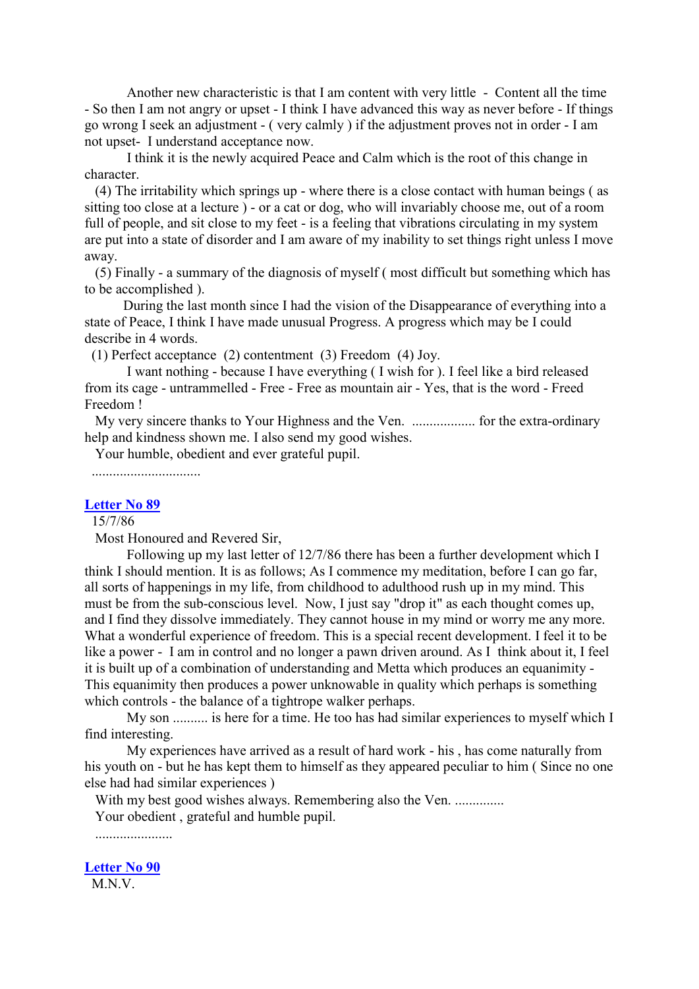Another new characteristic is that I am content with very little - Content all the time - So then I am not angry or upset - I think I have advanced this way as never before - If things go wrong I seek an adjustment - ( very calmly ) if the adjustment proves not in order - I am not upset- I understand acceptance now.

I think it is the newly acquired Peace and Calm which is the root of this change in character.

(4) The irritability which springs up - where there is a close contact with human beings ( as sitting too close at a lecture ) - or a cat or dog, who will invariably choose me, out of a room full of people, and sit close to my feet - is a feeling that vibrations circulating in my system are put into a state of disorder and I am aware of my inability to set things right unless I move away.

(5) Finally - a summary of the diagnosis of myself ( most difficult but something which has to be accomplished ).

During the last month since I had the vision of the Disappearance of everything into a state of Peace, I think I have made unusual Progress. A progress which may be I could describe in 4 words.

(1) Perfect acceptance (2) contentment (3) Freedom (4) Joy.

I want nothing - because I have everything ( I wish for ). I feel like a bird released from its cage - untrammelled - Free - Free as mountain air - Yes, that is the word - Freed Freedom !

My very sincere thanks to Your Highness and the Ven. .................. for the extra-ordinary help and kindness shown me. I also send my good wishes.

Your humble, obedient and ever grateful pupil.

...............................

#### **[Letter No 89](http://comemeditate.webs.com/apps/blog/show/4680145-letter-no-89)**

15/7/86

Most Honoured and Revered Sir,

Following up my last letter of 12/7/86 there has been a further development which I think I should mention. It is as follows; As I commence my meditation, before I can go far, all sorts of happenings in my life, from childhood to adulthood rush up in my mind. This must be from the sub-conscious level. Now, I just say "drop it" as each thought comes up, and I find they dissolve immediately. They cannot house in my mind or worry me any more. What a wonderful experience of freedom. This is a special recent development. I feel it to be like a power - I am in control and no longer a pawn driven around. As I think about it, I feel it is built up of a combination of understanding and Metta which produces an equanimity - This equanimity then produces a power unknowable in quality which perhaps is something which controls - the balance of a tightrope walker perhaps.

My son .......... is here for a time. He too has had similar experiences to myself which I find interesting.

My experiences have arrived as a result of hard work - his , has come naturally from his youth on - but he has kept them to himself as they appeared peculiar to him (Since no one else had had similar experiences )

With my best good wishes always. Remembering also the Ven. ..............

Your obedient , grateful and humble pupil.

......................

**[Letter No 90](http://comemeditate.webs.com/apps/blog/show/4680143-letter-no-90)**

M<sub>N</sub>V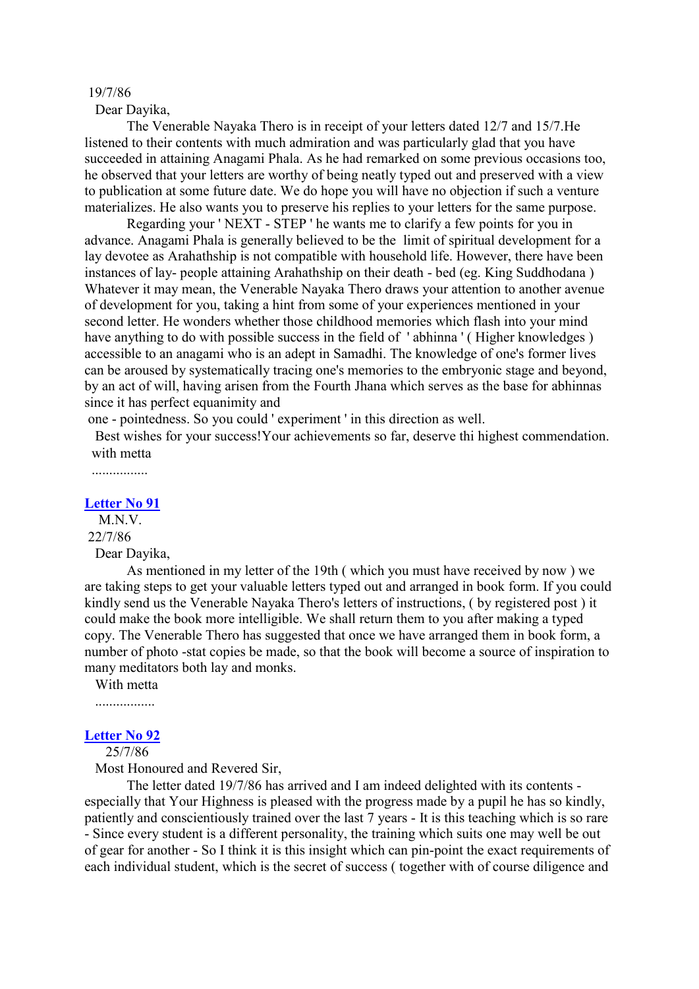#### 19/7/86

Dear Dayika,

The Venerable Nayaka Thero is in receipt of your letters dated 12/7 and 15/7.He listened to their contents with much admiration and was particularly glad that you have succeeded in attaining Anagami Phala. As he had remarked on some previous occasions too, he observed that your letters are worthy of being neatly typed out and preserved with a view to publication at some future date. We do hope you will have no objection if such a venture materializes. He also wants you to preserve his replies to your letters for the same purpose.

Regarding your ' NEXT - STEP ' he wants me to clarify a few points for you in advance. Anagami Phala is generally believed to be the limit of spiritual development for a lay devotee as Arahathship is not compatible with household life. However, there have been instances of lay- people attaining Arahathship on their death - bed (eg. King Suddhodana ) Whatever it may mean, the Venerable Nayaka Thero draws your attention to another avenue of development for you, taking a hint from some of your experiences mentioned in your second letter. He wonders whether those childhood memories which flash into your mind have anything to do with possible success in the field of 'abhinna' (Higher knowledges) accessible to an anagami who is an adept in Samadhi. The knowledge of one's former lives can be aroused by systematically tracing one's memories to the embryonic stage and beyond, by an act of will, having arisen from the Fourth Jhana which serves as the base for abhinnas since it has perfect equanimity and

one - pointedness. So you could ' experiment ' in this direction as well.

Best wishes for your success!Your achievements so far, deserve thi highest commendation. with metta

................

## **[Letter No 91](http://comemeditate.webs.com/apps/blog/show/4680140-letter-no-91)**

M.N.V. 22/7/86 Dear Dayika,

As mentioned in my letter of the 19th ( which you must have received by now ) we are taking steps to get your valuable letters typed out and arranged in book form. If you could kindly send us the Venerable Nayaka Thero's letters of instructions, ( by registered post ) it could make the book more intelligible. We shall return them to you after making a typed copy. The Venerable Thero has suggested that once we have arranged them in book form, a number of photo -stat copies be made, so that the book will become a source of inspiration to many meditators both lay and monks.

With metta

.................

#### **[Letter No 92](http://comemeditate.webs.com/apps/blog/show/4680133-letter-no-92)**

25/7/86

Most Honoured and Revered Sir,

The letter dated 19/7/86 has arrived and I am indeed delighted with its contents especially that Your Highness is pleased with the progress made by a pupil he has so kindly, patiently and conscientiously trained over the last 7 years - It is this teaching which is so rare - Since every student is a different personality, the training which suits one may well be out of gear for another - So I think it is this insight which can pin-point the exact requirements of each individual student, which is the secret of success ( together with of course diligence and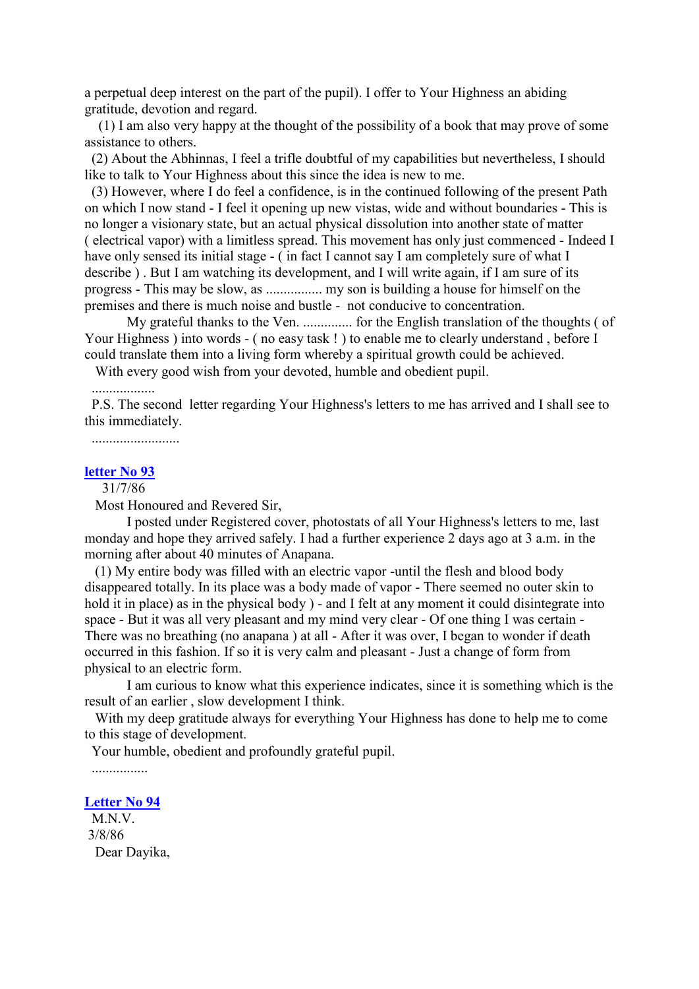a perpetual deep interest on the part of the pupil). I offer to Your Highness an abiding gratitude, devotion and regard.

(1) I am also very happy at the thought of the possibility of a book that may prove of some assistance to others.

(2) About the Abhinnas, I feel a trifle doubtful of my capabilities but nevertheless, I should like to talk to Your Highness about this since the idea is new to me.

(3) However, where I do feel a confidence, is in the continued following of the present Path on which I now stand - I feel it opening up new vistas, wide and without boundaries - This is no longer a visionary state, but an actual physical dissolution into another state of matter ( electrical vapor) with a limitless spread. This movement has only just commenced - Indeed I have only sensed its initial stage - (in fact I cannot say I am completely sure of what I describe ) . But I am watching its development, and I will write again, if I am sure of its progress - This may be slow, as ................ my son is building a house for himself on the premises and there is much noise and bustle - not conducive to concentration.

My grateful thanks to the Ven. .............. for the English translation of the thoughts ( of Your Highness ) into words - (no easy task !) to enable me to clearly understand, before I could translate them into a living form whereby a spiritual growth could be achieved.

With every good wish from your devoted, humble and obedient pupil.

# ..................

P.S. The second letter regarding Your Highness's letters to me has arrived and I shall see to this immediately.

.........................

## **[letter No 93](http://comemeditate.webs.com/apps/blog/show/4680125-letter-no-93)**

31/7/86

Most Honoured and Revered Sir,

I posted under Registered cover, photostats of all Your Highness's letters to me, last monday and hope they arrived safely. I had a further experience 2 days ago at 3 a.m. in the morning after about 40 minutes of Anapana.

(1) My entire body was filled with an electric vapor -until the flesh and blood body disappeared totally. In its place was a body made of vapor - There seemed no outer skin to hold it in place) as in the physical body ) - and I felt at any moment it could disintegrate into space - But it was all very pleasant and my mind very clear - Of one thing I was certain - There was no breathing (no anapana ) at all - After it was over, I began to wonder if death occurred in this fashion. If so it is very calm and pleasant - Just a change of form from physical to an electric form.

I am curious to know what this experience indicates, since it is something which is the result of an earlier , slow development I think.

With my deep gratitude always for everything Your Highness has done to help me to come to this stage of development.

Your humble, obedient and profoundly grateful pupil.

................

## **[Letter No 94](http://comemeditate.webs.com/apps/blog/show/4680123-letter-no-94)**

M.N.V. 3/8/86 Dear Dayika,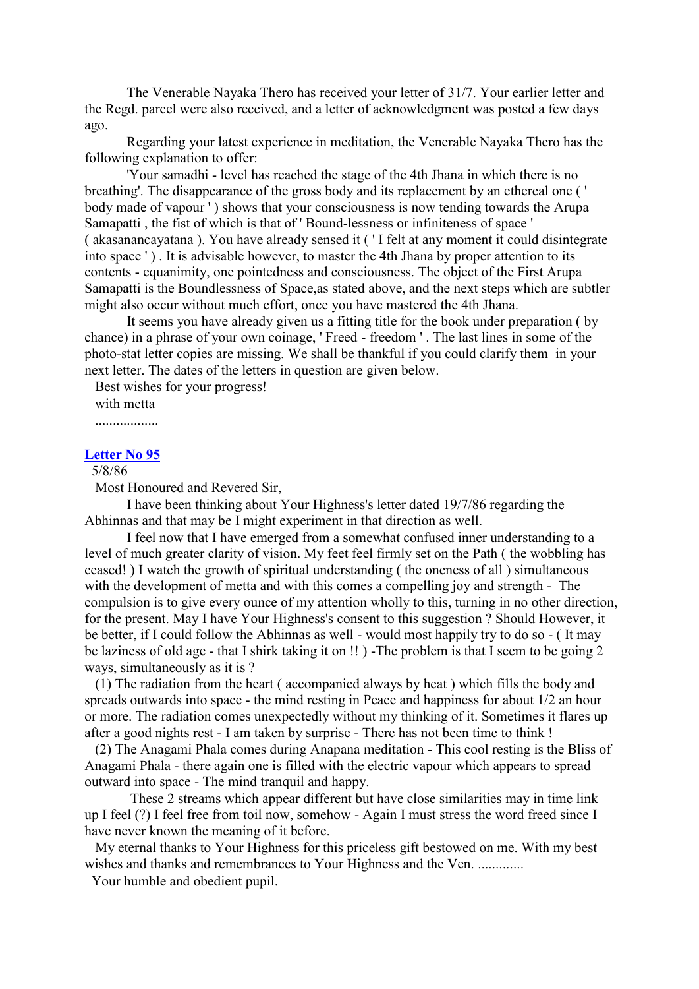The Venerable Nayaka Thero has received your letter of 31/7. Your earlier letter and the Regd. parcel were also received, and a letter of acknowledgment was posted a few days ago.

Regarding your latest experience in meditation, the Venerable Nayaka Thero has the following explanation to offer:

'Your samadhi - level has reached the stage of the 4th Jhana in which there is no breathing'. The disappearance of the gross body and its replacement by an ethereal one ( ' body made of vapour ' ) shows that your consciousness is now tending towards the Arupa Samapatti , the fist of which is that of ' Bound-lessness or infiniteness of space ' ( akasanancayatana ). You have already sensed it ( ' I felt at any moment it could disintegrate into space ' ) . It is advisable however, to master the 4th Jhana by proper attention to its contents - equanimity, one pointedness and consciousness. The object of the First Arupa Samapatti is the Boundlessness of Space,as stated above, and the next steps which are subtler might also occur without much effort, once you have mastered the 4th Jhana.

It seems you have already given us a fitting title for the book under preparation ( by chance) in a phrase of your own coinage, ' Freed - freedom ' . The last lines in some of the photo-stat letter copies are missing. We shall be thankful if you could clarify them in your next letter. The dates of the letters in question are given below.

Best wishes for your progress! with metta

#### **[Letter No 95](http://comemeditate.webs.com/apps/blog/show/4680117-letter-no-95)**

## 5/8/86

Most Honoured and Revered Sir,

I have been thinking about Your Highness's letter dated 19/7/86 regarding the Abhinnas and that may be I might experiment in that direction as well.

I feel now that I have emerged from a somewhat confused inner understanding to a level of much greater clarity of vision. My feet feel firmly set on the Path ( the wobbling has ceased! ) I watch the growth of spiritual understanding ( the oneness of all ) simultaneous with the development of metta and with this comes a compelling joy and strength - The compulsion is to give every ounce of my attention wholly to this, turning in no other direction, for the present. May I have Your Highness's consent to this suggestion ? Should However, it be better, if I could follow the Abhinnas as well - would most happily try to do so - ( It may be laziness of old age - that I shirk taking it on !! ) -The problem is that I seem to be going 2 ways, simultaneously as it is ?

(1) The radiation from the heart ( accompanied always by heat ) which fills the body and spreads outwards into space - the mind resting in Peace and happiness for about 1/2 an hour or more. The radiation comes unexpectedly without my thinking of it. Sometimes it flares up after a good nights rest - I am taken by surprise - There has not been time to think !

(2) The Anagami Phala comes during Anapana meditation - This cool resting is the Bliss of Anagami Phala - there again one is filled with the electric vapour which appears to spread outward into space - The mind tranquil and happy.

These 2 streams which appear different but have close similarities may in time link up I feel (?) I feel free from toil now, somehow - Again I must stress the word freed since I have never known the meaning of it before.

My eternal thanks to Your Highness for this priceless gift bestowed on me. With my best wishes and thanks and remembrances to Your Highness and the Ven. ..............

Your humble and obedient pupil.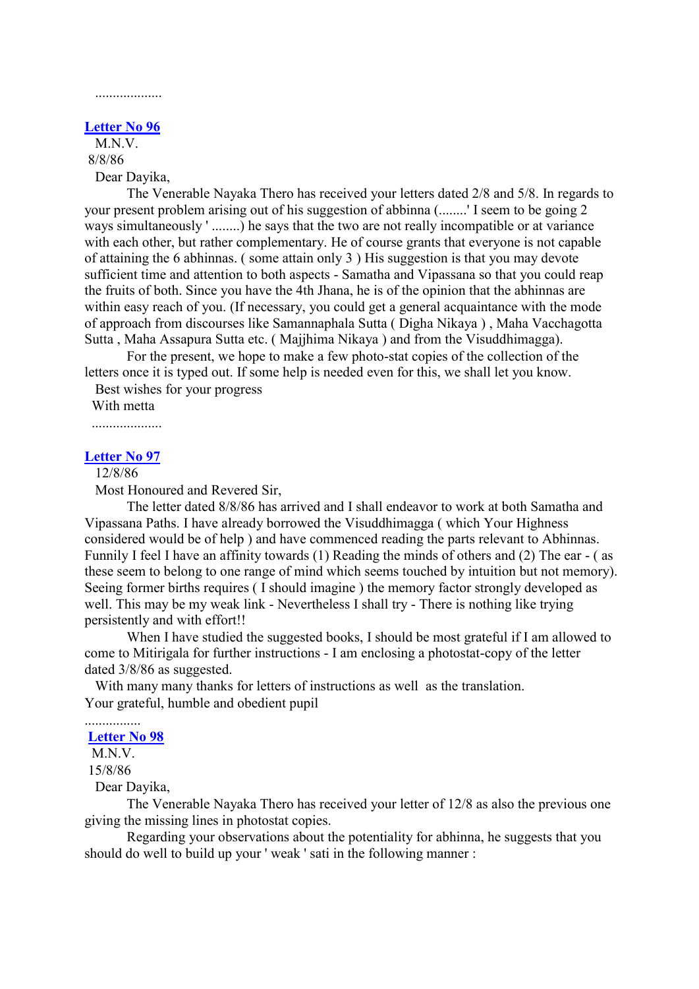## ...................

#### **[Letter No 96](http://comemeditate.webs.com/apps/blog/show/4680110-letter-no-96)**

M.N.V. 8/8/86

Dear Dayika,

The Venerable Nayaka Thero has received your letters dated 2/8 and 5/8. In regards to your present problem arising out of his suggestion of abbinna (........' I seem to be going 2 ways simultaneously ' ........) he says that the two are not really incompatible or at variance with each other, but rather complementary. He of course grants that everyone is not capable of attaining the 6 abhinnas. ( some attain only 3 ) His suggestion is that you may devote sufficient time and attention to both aspects - Samatha and Vipassana so that you could reap the fruits of both. Since you have the 4th Jhana, he is of the opinion that the abhinnas are within easy reach of you. (If necessary, you could get a general acquaintance with the mode of approach from discourses like Samannaphala Sutta ( Digha Nikaya ) , Maha Vacchagotta Sutta , Maha Assapura Sutta etc. ( Majjhima Nikaya ) and from the Visuddhimagga).

For the present, we hope to make a few photo-stat copies of the collection of the letters once it is typed out. If some help is needed even for this, we shall let you know.

Best wishes for your progress

With metta

....................

## **[Letter No 97](http://comemeditate.webs.com/apps/blog/show/4680105-letter-no-97)**

# 12/8/86

Most Honoured and Revered Sir,

The letter dated 8/8/86 has arrived and I shall endeavor to work at both Samatha and Vipassana Paths. I have already borrowed the Visuddhimagga ( which Your Highness considered would be of help ) and have commenced reading the parts relevant to Abhinnas. Funnily I feel I have an affinity towards (1) Reading the minds of others and (2) The ear - ( as these seem to belong to one range of mind which seems touched by intuition but not memory). Seeing former births requires ( I should imagine ) the memory factor strongly developed as well. This may be my weak link - Nevertheless I shall try - There is nothing like trying persistently and with effort!!

When I have studied the suggested books, I should be most grateful if I am allowed to come to Mitirigala for further instructions - I am enclosing a photostat-copy of the letter dated 3/8/86 as suggested.

With many many thanks for letters of instructions as well as the translation. Your grateful, humble and obedient pupil

# **[Letter No 98](http://comemeditate.webs.com/apps/blog/show/4680095-letter-no-98)**

M.N.V.

................

15/8/86

Dear Dayika,

The Venerable Nayaka Thero has received your letter of 12/8 as also the previous one giving the missing lines in photostat copies.

Regarding your observations about the potentiality for abhinna, he suggests that you should do well to build up your ' weak ' sati in the following manner :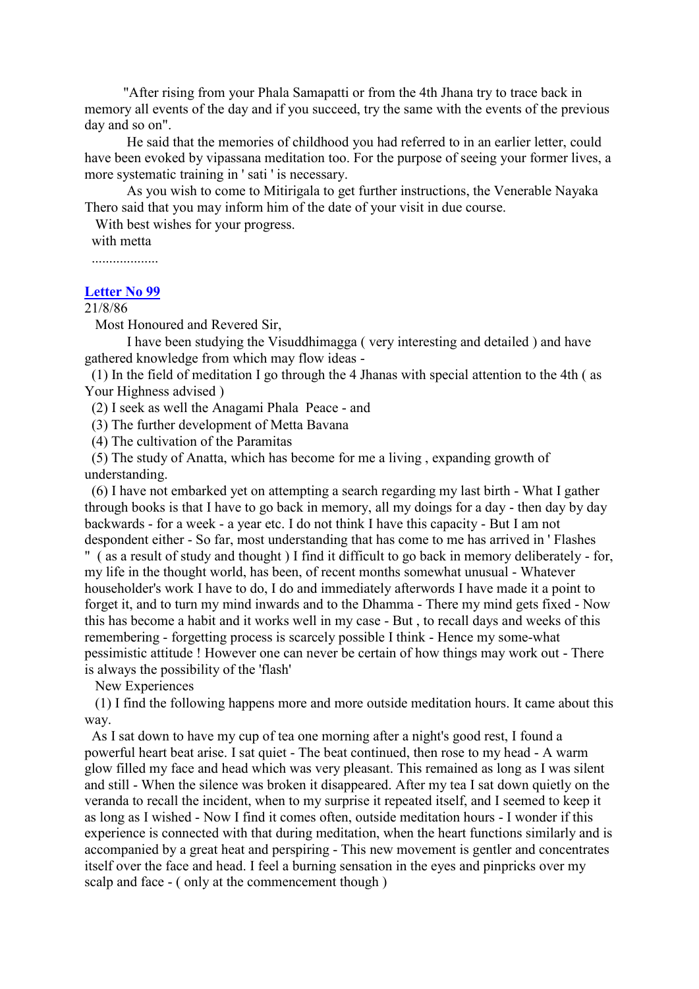"After rising from your Phala Samapatti or from the 4th Jhana try to trace back in memory all events of the day and if you succeed, try the same with the events of the previous day and so on".

He said that the memories of childhood you had referred to in an earlier letter, could have been evoked by vipassana meditation too. For the purpose of seeing your former lives, a more systematic training in ' sati ' is necessary.

As you wish to come to Mitirigala to get further instructions, the Venerable Nayaka Thero said that you may inform him of the date of your visit in due course.

With best wishes for your progress.

with metta

...................

### **[Letter No 99](http://comemeditate.webs.com/apps/blog/show/4680093-letter-no-99)**

## 21/8/86

Most Honoured and Revered Sir,

I have been studying the Visuddhimagga ( very interesting and detailed ) and have gathered knowledge from which may flow ideas -

(1) In the field of meditation I go through the 4 Jhanas with special attention to the 4th ( as Your Highness advised )

(2) I seek as well the Anagami Phala Peace - and

(3) The further development of Metta Bavana

(4) The cultivation of the Paramitas

(5) The study of Anatta, which has become for me a living , expanding growth of understanding.

(6) I have not embarked yet on attempting a search regarding my last birth - What I gather through books is that I have to go back in memory, all my doings for a day - then day by day backwards - for a week - a year etc. I do not think I have this capacity - But I am not despondent either - So far, most understanding that has come to me has arrived in ' Flashes

" ( as a result of study and thought ) I find it difficult to go back in memory deliberately - for, my life in the thought world, has been, of recent months somewhat unusual - Whatever householder's work I have to do, I do and immediately afterwords I have made it a point to forget it, and to turn my mind inwards and to the Dhamma - There my mind gets fixed - Now this has become a habit and it works well in my case - But , to recall days and weeks of this remembering - forgetting process is scarcely possible I think - Hence my some-what pessimistic attitude ! However one can never be certain of how things may work out - There is always the possibility of the 'flash'

New Experiences

(1) I find the following happens more and more outside meditation hours. It came about this way.

As I sat down to have my cup of tea one morning after a night's good rest, I found a powerful heart beat arise. I sat quiet - The beat continued, then rose to my head - A warm glow filled my face and head which was very pleasant. This remained as long as I was silent and still - When the silence was broken it disappeared. After my tea I sat down quietly on the veranda to recall the incident, when to my surprise it repeated itself, and I seemed to keep it as long as I wished - Now I find it comes often, outside meditation hours - I wonder if this experience is connected with that during meditation, when the heart functions similarly and is accompanied by a great heat and perspiring - This new movement is gentler and concentrates itself over the face and head. I feel a burning sensation in the eyes and pinpricks over my scalp and face - ( only at the commencement though )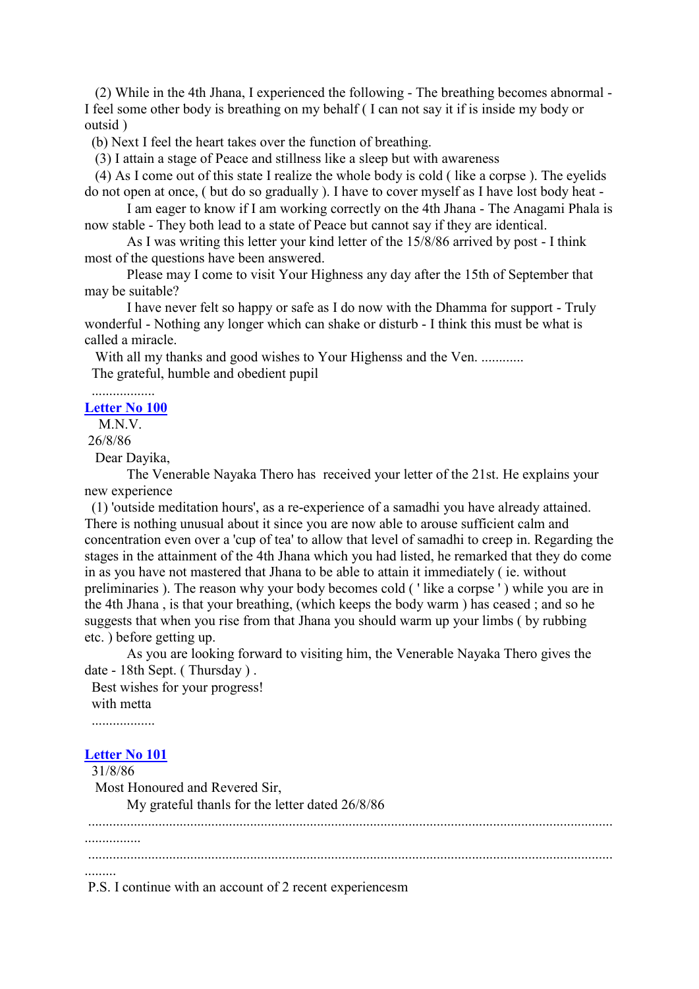(2) While in the 4th Jhana, I experienced the following - The breathing becomes abnormal - I feel some other body is breathing on my behalf ( I can not say it if is inside my body or outsid )

(b) Next I feel the heart takes over the function of breathing.

(3) I attain a stage of Peace and stillness like a sleep but with awareness

(4) As I come out of this state I realize the whole body is cold ( like a corpse ). The eyelids do not open at once, ( but do so gradually ). I have to cover myself as I have lost body heat -

I am eager to know if I am working correctly on the 4th Jhana - The Anagami Phala is now stable - They both lead to a state of Peace but cannot say if they are identical.

As I was writing this letter your kind letter of the 15/8/86 arrived by post - I think most of the questions have been answered.

Please may I come to visit Your Highness any day after the 15th of September that may be suitable?

I have never felt so happy or safe as I do now with the Dhamma for support - Truly wonderful - Nothing any longer which can shake or disturb - I think this must be what is called a miracle.

With all my thanks and good wishes to Your Highenss and the Ven. ............ The grateful, humble and obedient pupil

.................. **[Letter No 100](http://comemeditate.webs.com/apps/blog/show/4680083-letter-no-100)**

M.N.V.

26/8/86

Dear Dayika,

The Venerable Nayaka Thero has received your letter of the 21st. He explains your new experience

(1) 'outside meditation hours', as a re-experience of a samadhi you have already attained. There is nothing unusual about it since you are now able to arouse sufficient calm and concentration even over a 'cup of tea' to allow that level of samadhi to creep in. Regarding the stages in the attainment of the 4th Jhana which you had listed, he remarked that they do come in as you have not mastered that Jhana to be able to attain it immediately ( ie. without preliminaries ). The reason why your body becomes cold ( ' like a corpse ' ) while you are in the 4th Jhana , is that your breathing, (which keeps the body warm ) has ceased ; and so he suggests that when you rise from that Jhana you should warm up your limbs ( by rubbing etc. ) before getting up.

As you are looking forward to visiting him, the Venerable Nayaka Thero gives the date - 18th Sept. ( Thursday ) .

Best wishes for your progress! with metta

..................

## **[Letter No 101](http://comemeditate.webs.com/apps/blog/show/4680068-letter-no-101)**

31/8/86

Most Honoured and Revered Sir,

My grateful thanls for the letter dated 26/8/86

..................................................................................................................................................... ................ ..................................................................................................................................................... .........

P.S. I continue with an account of 2 recent experiencesm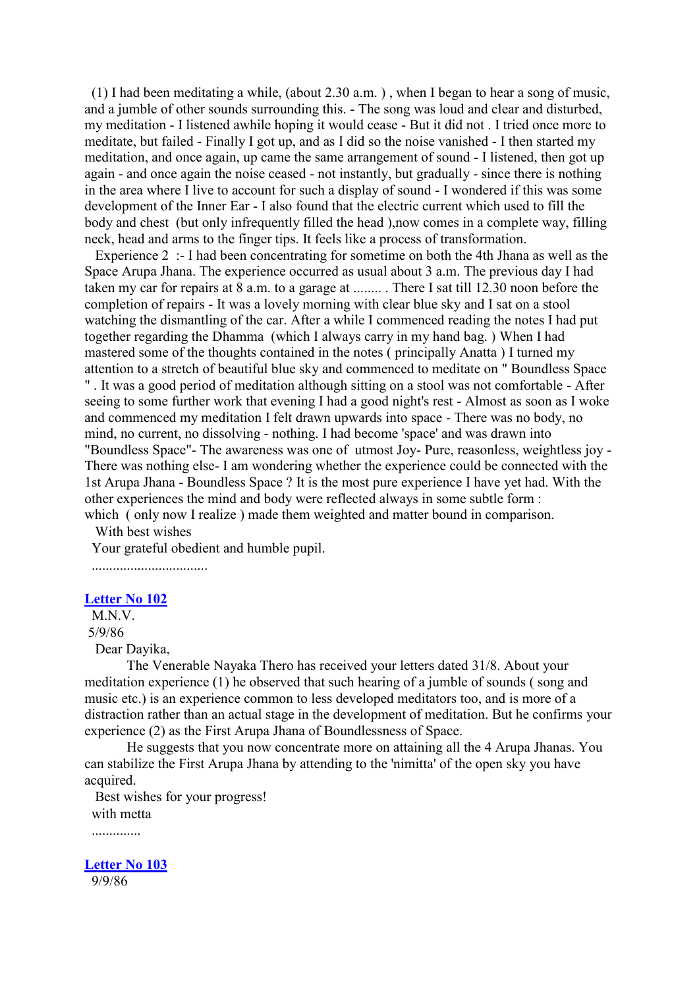(1) I had been meditating a while, (about 2.30 a.m. ) , when I began to hear a song of music, and a jumble of other sounds surrounding this. - The song was loud and clear and disturbed, my meditation - I listened awhile hoping it would cease - But it did not . I tried once more to meditate, but failed - Finally I got up, and as I did so the noise vanished - I then started my meditation, and once again, up came the same arrangement of sound - I listened, then got up again - and once again the noise ceased - not instantly, but gradually - since there is nothing in the area where I live to account for such a display of sound - I wondered if this was some development of the Inner Ear - I also found that the electric current which used to fill the body and chest (but only infrequently filled the head), now comes in a complete way, filling neck, head and arms to the finger tips. It feels like a process of transformation.

Experience 2 :- I had been concentrating for sometime on both the 4th Jhana as well as the Space Arupa Jhana. The experience occurred as usual about 3 a.m. The previous day I had taken my car for repairs at 8 a.m. to a garage at ........ . There I sat till 12.30 noon before the completion of repairs - It was a lovely morning with clear blue sky and I sat on a stool watching the dismantling of the car. After a while I commenced reading the notes I had put together regarding the Dhamma (which I always carry in my hand bag. ) When I had mastered some of the thoughts contained in the notes ( principally Anatta ) I turned my attention to a stretch of beautiful blue sky and commenced to meditate on " Boundless Space " . It was a good period of meditation although sitting on a stool was not comfortable - After seeing to some further work that evening I had a good night's rest - Almost as soon as I woke and commenced my meditation I felt drawn upwards into space - There was no body, no mind, no current, no dissolving - nothing. I had become 'space' and was drawn into "Boundless Space"- The awareness was one of utmost Joy- Pure, reasonless, weightless joy - There was nothing else- I am wondering whether the experience could be connected with the 1st Arupa Jhana - Boundless Space ? It is the most pure experience I have yet had. With the other experiences the mind and body were reflected always in some subtle form : which (only now I realize) made them weighted and matter bound in comparison.

With best wishes

Your grateful obedient and humble pupil.

.................................

#### **[Letter No 102](http://comemeditate.webs.com/apps/blog/show/4680062-letter-no-102)**

M<sub>N</sub>V 5/9/86 Dear Dayika,

The Venerable Nayaka Thero has received your letters dated 31/8. About your meditation experience (1) he observed that such hearing of a jumble of sounds ( song and music etc.) is an experience common to less developed meditators too, and is more of a distraction rather than an actual stage in the development of meditation. But he confirms your experience (2) as the First Arupa Jhana of Boundlessness of Space.

He suggests that you now concentrate more on attaining all the 4 Arupa Jhanas. You can stabilize the First Arupa Jhana by attending to the 'nimitta' of the open sky you have acquired.

Best wishes for your progress! with metta

..............

**[Letter No 103](http://comemeditate.webs.com/apps/blog/show/4680057-letter-no-103)** 9/9/86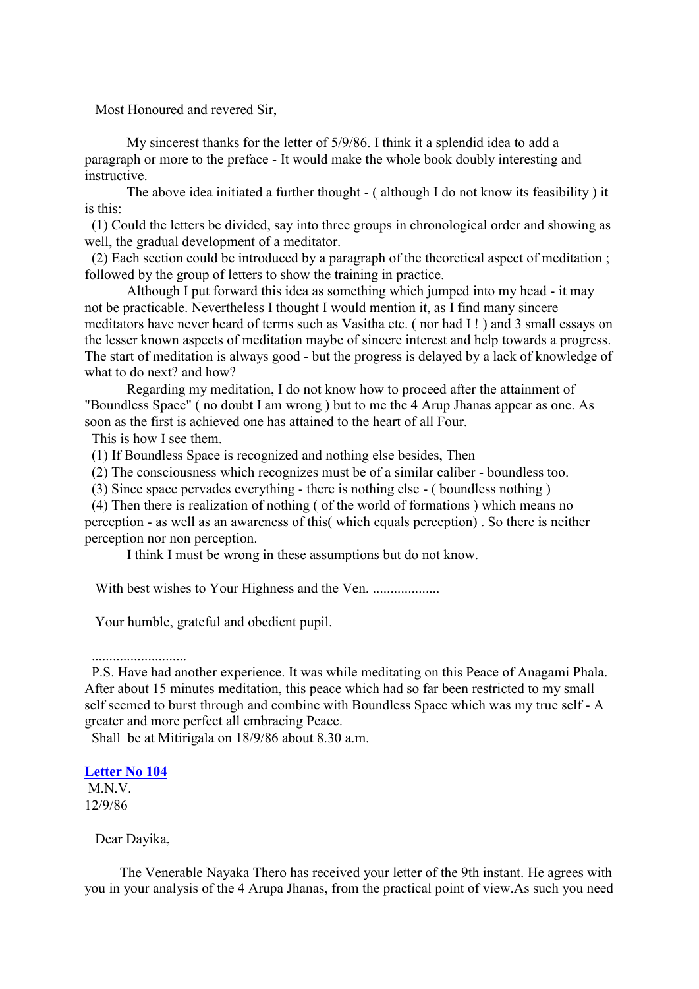Most Honoured and revered Sir,

My sincerest thanks for the letter of 5/9/86. I think it a splendid idea to add a paragraph or more to the preface - It would make the whole book doubly interesting and instructive.

The above idea initiated a further thought - ( although I do not know its feasibility ) it is this:

(1) Could the letters be divided, say into three groups in chronological order and showing as well, the gradual development of a meditator.

(2) Each section could be introduced by a paragraph of the theoretical aspect of meditation ; followed by the group of letters to show the training in practice.

Although I put forward this idea as something which jumped into my head - it may not be practicable. Nevertheless I thought I would mention it, as I find many sincere meditators have never heard of terms such as Vasitha etc. ( nor had I ! ) and 3 small essays on the lesser known aspects of meditation maybe of sincere interest and help towards a progress. The start of meditation is always good - but the progress is delayed by a lack of knowledge of what to do next? and how?

Regarding my meditation, I do not know how to proceed after the attainment of "Boundless Space" ( no doubt I am wrong ) but to me the 4 Arup Jhanas appear as one. As soon as the first is achieved one has attained to the heart of all Four.

This is how I see them.

(1) If Boundless Space is recognized and nothing else besides, Then

(2) The consciousness which recognizes must be of a similar caliber - boundless too.

(3) Since space pervades everything - there is nothing else - ( boundless nothing )

(4) Then there is realization of nothing ( of the world of formations ) which means no perception - as well as an awareness of this( which equals perception) . So there is neither perception nor non perception.

I think I must be wrong in these assumptions but do not know.

With best wishes to Your Highness and the Ven. ...................

Your humble, grateful and obedient pupil.

P.S. Have had another experience. It was while meditating on this Peace of Anagami Phala. After about 15 minutes meditation, this peace which had so far been restricted to my small self seemed to burst through and combine with Boundless Space which was my true self - A greater and more perfect all embracing Peace.

Shall be at Mitirigala on 18/9/86 about 8.30 a.m.

# **[Letter No 104](http://comemeditate.webs.com/apps/blog/show/4680045-letter-no-104)**

M<sub>N</sub>V 12/9/86

Dear Dayika,

The Venerable Nayaka Thero has received your letter of the 9th instant. He agrees with you in your analysis of the 4 Arupa Jhanas, from the practical point of view.As such you need